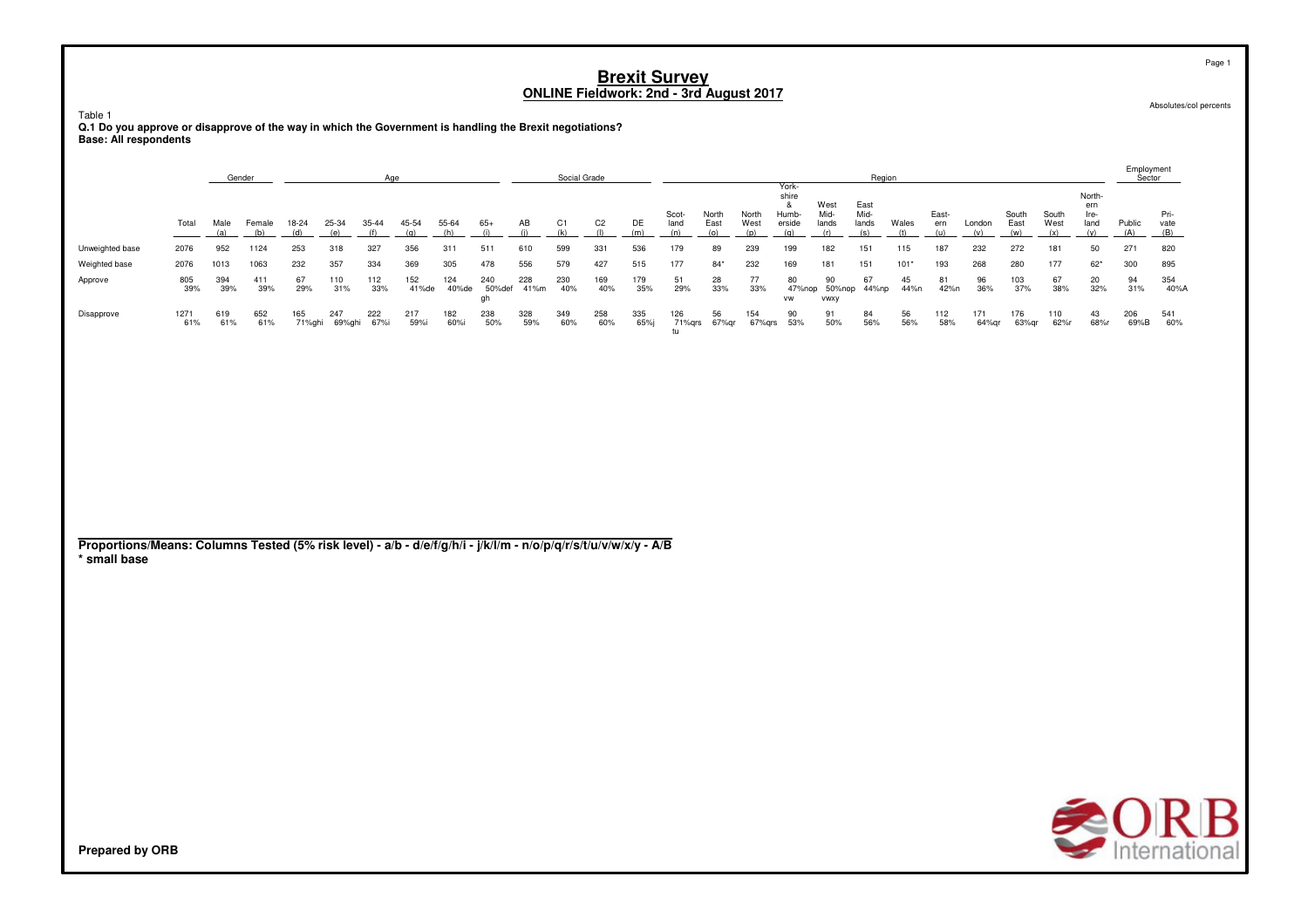Table 1

**Q.1 Do you approve or disapprove of the way in which the Government is handling the Brexit negotiations? Base: All respondents**

|                                                                                                                                 |             |             | Gender        |               |              | Age                |              |              |                     |             | Social Grade |                       |            |                      |                      |                      |                                               |                              | Region                       |              |                     |               |                      |                      |                                      | Employment<br>Sector |                     |
|---------------------------------------------------------------------------------------------------------------------------------|-------------|-------------|---------------|---------------|--------------|--------------------|--------------|--------------|---------------------|-------------|--------------|-----------------------|------------|----------------------|----------------------|----------------------|-----------------------------------------------|------------------------------|------------------------------|--------------|---------------------|---------------|----------------------|----------------------|--------------------------------------|----------------------|---------------------|
|                                                                                                                                 | Total       | Male<br>(a) | Female<br>(b) | 18-24<br>(d)  | 25-34<br>(e) | 35-44<br>(f)       | 45-54<br>(q) | 55-64<br>(h) | $65+$<br>(i)        | AB<br>(i)   | C1<br>(k)    | C <sub>2</sub><br>(1) | DE<br>(m)  | Scot-<br>land<br>(n) | North<br>East<br>(o) | North<br>West<br>(p) | York-<br>shire<br>&<br>Humb-<br>erside<br>(q) | West<br>Mid-<br>lands<br>(r) | East<br>Mid-<br>lands<br>(s) | Wales<br>(t) | East-<br>ern<br>(u) | London<br>(v) | South<br>East<br>(w) | South<br>West<br>(x) | North-<br>ern<br>Ire-<br>land<br>(y) | Public<br>(A)        | Pri-<br>vate<br>(B) |
| Unweighted base                                                                                                                 | 2076        | 952         | 1124          | 253           | 318          | 327                | 356          | 311          | 511                 | 610         | 599          | 331                   | 536        | 179                  | 89                   | 239                  | 199                                           | 182                          | 151                          | 115          | 187                 | 232           | 272                  | 181                  | 50                                   | 271                  | 820                 |
| Weighted base                                                                                                                   | 2076        | 1013        | 1063          | 232           | 357          | 334                | 369          | 305          | 478                 | 556         | 579          | 427                   | 515        | 177                  | $84*$                | 232                  | 169                                           | 181                          | 151                          | $101*$       | 193                 | 268           | 280                  | 177                  | $62*$                                | 300                  | 895                 |
| Approve                                                                                                                         | 805<br>39%  | 394<br>39%  | 411<br>39%    | 67<br>29%     | 110<br>31%   | 112<br>33%         | 152<br>41%de | 124<br>40%de | 240<br>50%def<br>gh | 228<br>41%m | 230<br>40%   | 169<br>40%            | 179<br>35% | 51<br>29%            | 28<br>33%            | 77<br>33%            | 80<br>47%nop<br><b>VW</b>                     | 90<br>50%nop<br>vwxy         | 67<br>44%np                  | 45<br>44%n   | 81<br>42%n          | 96<br>36%     | 103<br>37%           | 67<br>38%            | 20<br>32%                            | 94<br>31%            | 354<br>40%A         |
| Disapprove                                                                                                                      | 1271<br>61% | 619<br>61%  | 652<br>61%    | 165<br>71%ghi | 247          | 222<br>69%ghi 67%i | 217<br>59%i  | 182<br>60%i  | 238<br>50%          | 328<br>59%  | 349<br>60%   | 258<br>60%            | 335<br>65% | 126<br>tu            | 56<br>71%grs 67%gr   | 154<br>67%qrs        | 90<br>53%                                     | 91<br>50%                    | 84<br>56%                    | 56<br>56%    | 112<br>58%          | 171<br>64%qr  | 176<br>63%qr         | 110<br>62%r          | 43<br>68%r                           | 206<br>69%B          | 541<br>60%          |
|                                                                                                                                 |             |             |               |               |              |                    |              |              |                     |             |              |                       |            |                      |                      |                      |                                               |                              |                              |              |                     |               |                      |                      |                                      |                      |                     |
|                                                                                                                                 |             |             |               |               |              |                    |              |              |                     |             |              |                       |            |                      |                      |                      |                                               |                              |                              |              |                     |               |                      |                      |                                      |                      |                     |
| Proportions/Means: Columns Tested (5% risk level) - a/b - d/e/f/g/h/i - j/k/l/m - n/o/p/q/r/s/t/u/v/w/x/y - A/B<br>* small base |             |             |               |               |              |                    |              |              |                     |             |              |                       |            |                      |                      |                      |                                               |                              |                              |              |                     |               |                      |                      |                                      |                      |                     |
|                                                                                                                                 |             |             |               |               |              |                    |              |              |                     |             |              |                       |            |                      |                      |                      |                                               |                              |                              |              |                     |               |                      |                      |                                      |                      |                     |
|                                                                                                                                 |             |             |               |               |              |                    |              |              |                     |             |              |                       |            |                      |                      |                      |                                               |                              |                              |              |                     |               |                      |                      |                                      |                      |                     |
|                                                                                                                                 |             |             |               |               |              |                    |              |              |                     |             |              |                       |            |                      |                      |                      |                                               |                              |                              |              |                     |               |                      |                      |                                      |                      |                     |
|                                                                                                                                 |             |             |               |               |              |                    |              |              |                     |             |              |                       |            |                      |                      |                      |                                               |                              |                              |              |                     |               |                      |                      |                                      |                      |                     |
|                                                                                                                                 |             |             |               |               |              |                    |              |              |                     |             |              |                       |            |                      |                      |                      |                                               |                              |                              |              |                     |               |                      |                      |                                      |                      |                     |
|                                                                                                                                 |             |             |               |               |              |                    |              |              |                     |             |              |                       |            |                      |                      |                      |                                               |                              |                              |              |                     |               |                      |                      |                                      | $\sim$ $\cap$ $\sim$ |                     |

**SORB** 

Absolutes/col percents

Page 1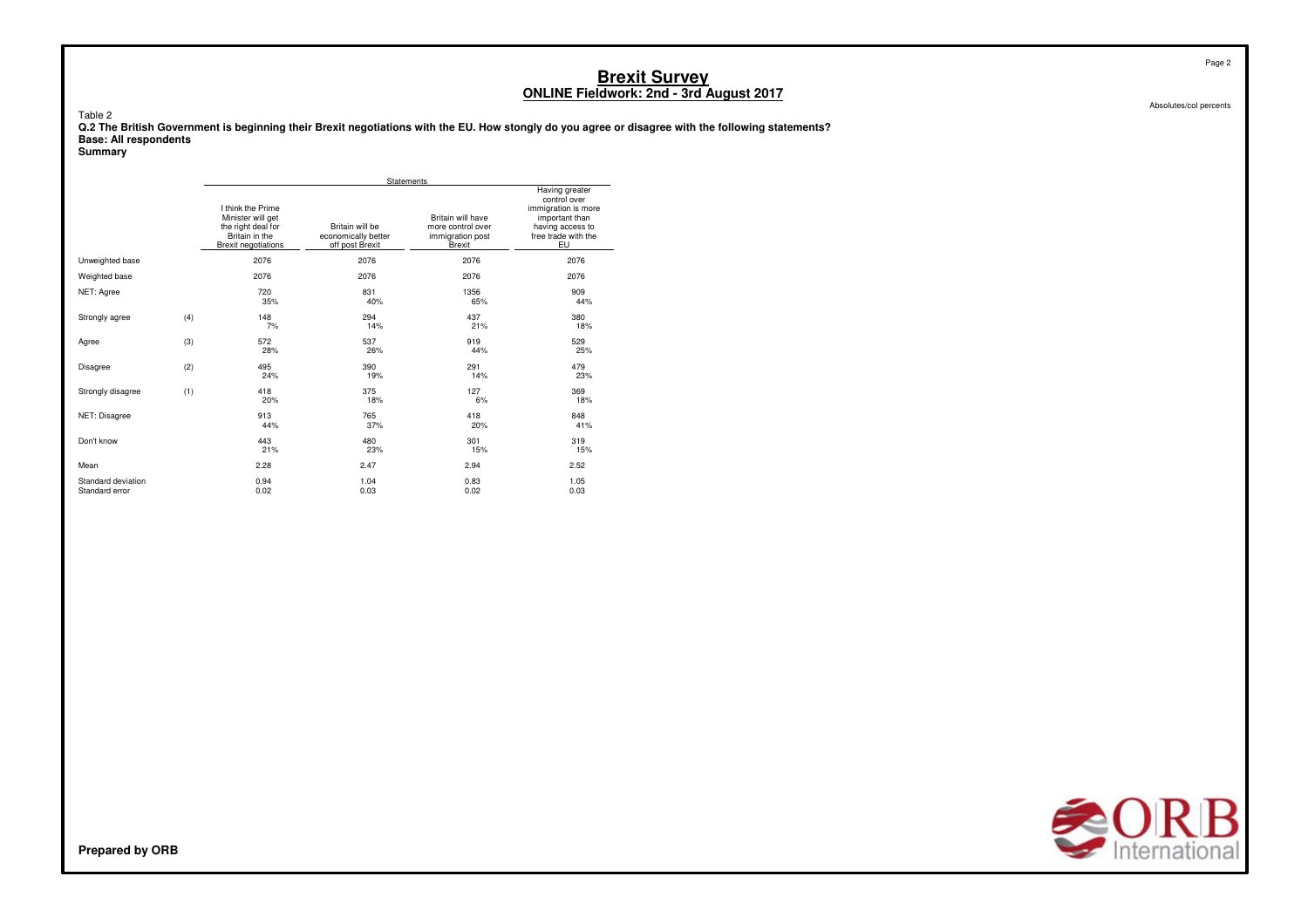Table 2

**Q.2 The British Government is beginning their Brexit negotiations with the EU. How stongly do you agree or disagree with the following statements? Base: All respondents**

#### **Summary**

|                                      |     |                                                                                                              | <b>Statements</b>                                         |                                                                             |                                                                                                                          |
|--------------------------------------|-----|--------------------------------------------------------------------------------------------------------------|-----------------------------------------------------------|-----------------------------------------------------------------------------|--------------------------------------------------------------------------------------------------------------------------|
|                                      |     | I think the Prime<br>Minister will get<br>the right deal for<br>Britain in the<br><b>Brexit negotiations</b> | Britain will be<br>economically better<br>off post Brexit | Britain will have<br>more control over<br>immigration post<br><b>Brexit</b> | Having greater<br>control over<br>immigration is more<br>important than<br>having access to<br>free trade with the<br>EU |
| Unweighted base                      |     | 2076                                                                                                         | 2076                                                      | 2076                                                                        | 2076                                                                                                                     |
| Weighted base                        |     | 2076                                                                                                         | 2076                                                      | 2076                                                                        | 2076                                                                                                                     |
| NET: Agree                           |     | 720<br>35%                                                                                                   | 831<br>40%                                                | 1356<br>65%                                                                 | 909<br>44%                                                                                                               |
| Strongly agree                       | (4) | 148<br>7%                                                                                                    | 294<br>14%                                                | 437<br>21%                                                                  | 380<br>18%                                                                                                               |
| Agree                                | (3) | 572<br>28%                                                                                                   | 537<br>26%                                                | 919<br>44%                                                                  | 529<br>25%                                                                                                               |
| <b>Disagree</b>                      | (2) | 495<br>24%                                                                                                   | 390<br>19%                                                | 291<br>14%                                                                  | 479<br>23%                                                                                                               |
| Strongly disagree                    | (1) | 418<br>20%                                                                                                   | 375<br>18%                                                | 127<br>6%                                                                   | 369<br>18%                                                                                                               |
| NET: Disagree                        |     | 913<br>44%                                                                                                   | 765<br>37%                                                | 418<br>20%                                                                  | 848<br>41%                                                                                                               |
| Don't know                           |     | 443<br>21%                                                                                                   | 480<br>23%                                                | 301<br>15%                                                                  | 319<br>15%                                                                                                               |
| Mean                                 |     | 2.28                                                                                                         | 2.47                                                      | 2.94                                                                        | 2.52                                                                                                                     |
| Standard deviation<br>Standard error |     | 0.94<br>0.02                                                                                                 | 1.04<br>0.03                                              | 0.83<br>0.02                                                                | 1.05<br>0.03                                                                                                             |



Absolutes/col percents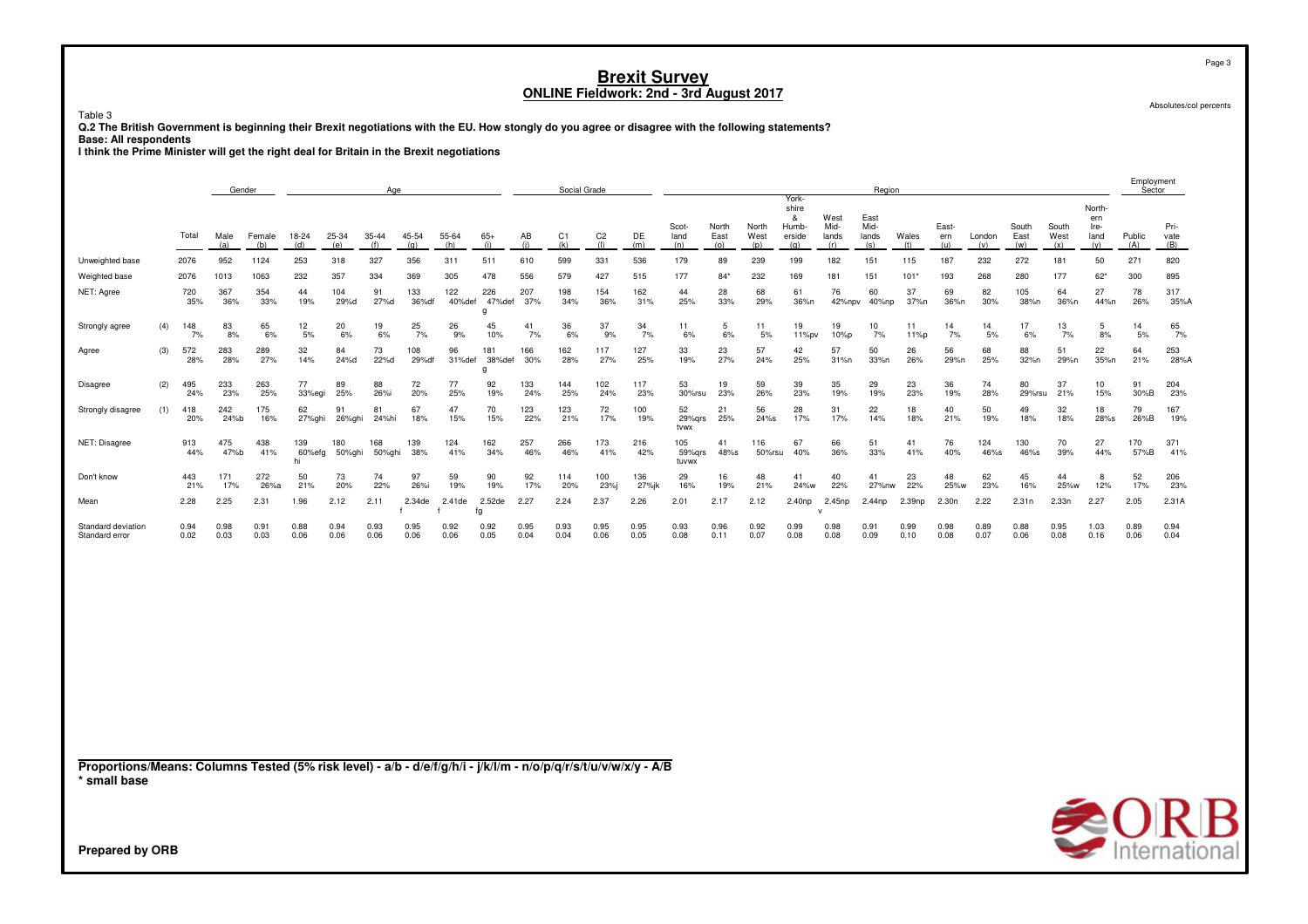Table 3

**Q.2 The British Government is beginning their Brexit negotiations with the EU. How stongly do you agree or disagree with the following statements? Base: All respondents**

**I think the Prime Minister will get the right deal for Britain in the Brexit negotiations**

|                                                                                                                                 |     |                    | Gender             |                    |                     |                    | Age               |                     |                      |                      |                   | Social Grade      |                       |                   |                        |                      |                      | York-                                |                              | Region                       |                      |                     |                  |                      |                      |                                      | Employment<br>Sector |                     |
|---------------------------------------------------------------------------------------------------------------------------------|-----|--------------------|--------------------|--------------------|---------------------|--------------------|-------------------|---------------------|----------------------|----------------------|-------------------|-------------------|-----------------------|-------------------|------------------------|----------------------|----------------------|--------------------------------------|------------------------------|------------------------------|----------------------|---------------------|------------------|----------------------|----------------------|--------------------------------------|----------------------|---------------------|
|                                                                                                                                 |     | Total              | Male<br>(a)        | Female<br>(b)      | 18-24<br>(d)        | 25-34<br>(e)       | 35-44<br>(f)      | 45-54<br>(q)        | 55-64<br>(h)         | $65+$<br>(i)         | AB<br>(i)         | C1<br>(k)         | C <sub>2</sub><br>(1) | DE<br>(m)         | Scot-<br>land<br>(n)   | North<br>East<br>(o) | North<br>West<br>(p) | shire<br>&<br>Humb-<br>erside<br>(q) | West<br>Mid-<br>lands<br>(r) | East<br>Mid-<br>lands<br>(s) | Wales<br>(t)         | East-<br>ern<br>(u) | London<br>(v)    | South<br>East<br>(w) | South<br>West<br>(x) | North-<br>ern<br>Ire-<br>land<br>(y) | Public<br>(A)        | Pri-<br>vate<br>(B) |
| Unweighted base                                                                                                                 |     | 2076               | 952                | 1124               | 253                 | 318                | 327               | 356                 | 311                  | 511                  | 610               | 599               | 331                   | 536               | 179                    | 89                   | 239                  | 199                                  | 182                          | 151                          | 115                  | 187                 | 232              | 272                  | 181                  | 50                                   | 271                  | 820                 |
| Weighted base<br>NET: Agree                                                                                                     |     | 2076<br>720<br>35% | 1013<br>367<br>36% | 1063<br>354<br>33% | 232<br>44<br>19%    | 357<br>104<br>29%d | 334<br>91<br>27%d | 369<br>133<br>36%df | 305<br>122<br>40%def | 478<br>226<br>47%def | 556<br>207<br>37% | 579<br>198<br>34% | 427<br>154<br>36%     | 515<br>162<br>31% | 177<br>44<br>25%       | $84*$<br>28<br>33%   | 232<br>68<br>29%     | 169<br>61<br>36%n                    | 181<br>76<br>42%npv          | 151<br>60<br>40%np           | $101*$<br>37<br>37%n | 193<br>69<br>36%n   | 268<br>82<br>30% | 280<br>105<br>38%n   | 177<br>64<br>36%n    | $62*$<br>27<br>44%n                  | 300<br>78<br>26%     | 895<br>317<br>35%A  |
| Strongly agree                                                                                                                  | (4) | 148<br>7%          | 83<br>8%           | 65<br>6%           | 12<br>5%            | 20<br>6%           | 19<br>6%          | 25<br>7%            | 26<br>9%             | g<br>45<br>10%       | 41<br>7%          | 36<br>6%          | 37<br>9%              | 34<br>7%          | 11<br>6%               | 5<br>6%              | 11<br>5%             | 19<br>11%pv                          | 19<br>10%p                   | 10<br>7%                     | 11<br>11%p           | 14<br>7%            | 14<br>5%         | 17<br>6%             | 13<br>7%             | 5<br>8%                              | 14<br>5%             | 65<br>7%            |
| Agree                                                                                                                           | (3) | 572<br>28%         | 283<br>28%         | 289<br>27%         | 32<br>14%           | 84<br>24%d         | 73<br>22%d        | 108<br>29%df        | 96<br>31%def         | 181<br>38%def<br>g   | 166<br>30%        | 162<br>28%        | 117<br>27%            | 127<br>25%        | 33<br>19%              | 23<br>27%            | 57<br>24%            | 42<br>25%                            | 57<br>31%n                   | 50<br>33%n                   | 26<br>26%            | 56<br>29%n          | 68<br>25%        | 88<br>32%n           | 51<br>29%n           | 22<br>35%n                           | 64<br>21%            | 253<br>28%A         |
| Disagree                                                                                                                        | (2) | 495<br>24%         | 233<br>23%         | 263<br>25%         | 77<br>33%egi        | 89<br>25%          | 88<br>26%i        | 72<br>20%           | 77<br>25%            | 92<br>19%            | 133<br>24%        | 144<br>25%        | 102<br>24%            | 117<br>23%        | 53<br>30%rsu           | 19<br>23%            | 59<br>26%            | 39<br>23%                            | 35<br>19%                    | 29<br>19%                    | 23<br>23%            | 36<br>19%           | 74<br>28%        | 80<br>29%rsu         | 37<br>21%            | 10<br>15%                            | 91<br>30%B           | 204<br>23%          |
| Strongly disagree                                                                                                               | (1) | 418<br>20%         | 242<br>24%b        | 175<br>16%         | 62<br>27%ghi        | 91<br>26%ghi       | 81<br>24%hi       | 67<br>18%           | 47<br>15%            | 70<br>15%            | 123<br>22%        | 123<br>21%        | 72<br>17%             | 100<br>19%        | 52<br>29%grs<br>tvwx   | 21<br>25%            | 56<br>$24\%s$        | 28<br>17%                            | 31<br>17%                    | 22<br>14%                    | 18<br>18%            | 40<br>21%           | 50<br>19%        | 49<br>18%            | 32<br>18%            | 18<br>28%s                           | 79<br>26%B           | 167<br>19%          |
| NET: Disagree                                                                                                                   |     | 913<br>44%         | 475<br>47%b        | 438<br>41%         | 139<br>60%efg<br>hi | 180<br>50%ghi      | 168<br>50%ghi     | 139<br>38%          | 124<br>41%           | 162<br>34%           | 257<br>46%        | 266<br>46%        | 173<br>41%            | 216<br>42%        | 105<br>59%grs<br>tuvwx | 41<br>48%s           | 116<br>50%rsu        | 67<br>40%                            | 66<br>36%                    | 51<br>33%                    | 41<br>41%            | 76<br>40%           | 124<br>46%s      | 130<br>46%s          | 70<br>39%            | 27<br>44%                            | 170<br>57%B          | 371<br>41%          |
| Don't know                                                                                                                      |     | 443<br>21%         | 171<br>17%         | 272<br>26%a        | 50<br>21%           | 73<br>20%          | 74<br>22%         | 97<br>26%i          | 59<br>19%            | 90<br>19%            | 92<br>17%         | 114<br>20%        | 100<br>23%            | 136<br>27%jk      | 29<br>16%              | 16<br>19%            | 48<br>21%            | 41<br>24%w                           | 40<br>22%                    | 41<br>27%nw                  | 23<br>22%            | 48<br>25%w          | 62<br>23%        | 45<br>16%            | 44<br>25%w           | 8<br>12%                             | 52<br>17%            | 206<br>23%          |
| Mean                                                                                                                            |     | 2.28               | 2.25               | 2.31               | 1.96                | 2.12               | 2.11              | 2.34de              | 2.41de               | 2.52de<br>fg         | 2.27              | 2.24              | 2.37                  | 2.26              | 2.01                   | 2.17                 | 2.12                 | 2.40np                               | 2.45np<br>$\mathbf{v}$       | 2.44 <sub>np</sub>           | 2.39np               | 2.30n               | 2.22             | 2.31n                | 2.33n                | 2.27                                 | 2.05                 | 2.31A               |
| Standard deviation<br>Standard error                                                                                            |     | 0.94<br>0.02       | 0.98<br>0.03       | 0.91<br>0.03       | 0.88<br>0.06        | 0.94<br>0.06       | 0.93<br>0.06      | 0.95<br>0.06        | 0.92<br>0.06         | 0.92<br>0.05         | 0.95<br>0.04      | 0.93<br>0.04      | 0.95<br>0.06          | 0.95<br>0.05      | 0.93<br>0.08           | 0.96<br>0.11         | 0.92<br>0.07         | 0.99<br>0.08                         | 0.98<br>0.08                 | 0.91<br>0.09                 | 0.99<br>0.10         | 0.98<br>0.08        | 0.89<br>0.07     | 0.88<br>0.06         | 0.95<br>0.08         | 1.03<br>0.16                         | 0.89<br>0.06         | 0.94<br>0.04        |
| Proportions/Means: Columns Tested (5% risk level) - a/b - d/e/f/g/h/i - j/k/l/m - n/o/p/q/r/s/t/u/v/w/x/y - A/B<br>* small base |     |                    |                    |                    |                     |                    |                   |                     |                      |                      |                   |                   |                       |                   |                        |                      |                      |                                      |                              |                              |                      |                     |                  |                      |                      |                                      |                      |                     |
|                                                                                                                                 |     |                    |                    |                    |                     |                    |                   |                     |                      |                      |                   |                   |                       |                   |                        |                      |                      |                                      |                              |                              |                      |                     |                  |                      |                      |                                      |                      | <b>SORB</b>         |
| Prepared by ORB                                                                                                                 |     |                    |                    |                    |                     |                    |                   |                     |                      |                      |                   |                   |                       |                   |                        |                      |                      |                                      |                              |                              |                      |                     |                  |                      |                      |                                      |                      |                     |

Page 3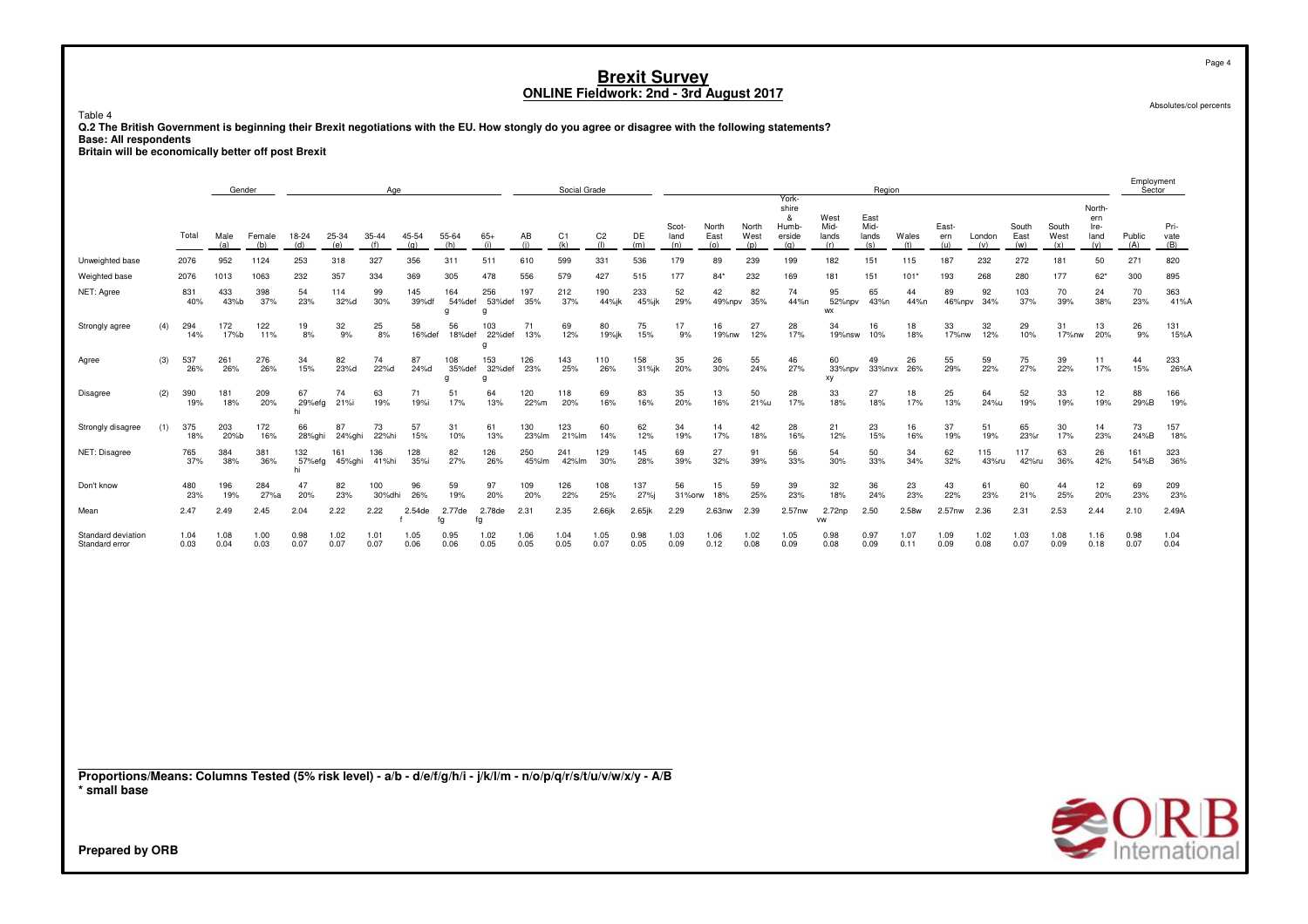Table 4

**Q.2 The British Government is beginning their Brexit negotiations with the EU. How stongly do you agree or disagree with the following statements? Base: All respondents**

**Britain will be economically better off post Brexit**

|                                                                                                                 |     |              | Gender       |               |                     |               | Age              |              |                           |                           |              | Social Grade          |                       |              |                      |                      |                      |                                               |                                 | Region                       |              |                     |               |                      |                      |                                      | Sector                |                     |
|-----------------------------------------------------------------------------------------------------------------|-----|--------------|--------------|---------------|---------------------|---------------|------------------|--------------|---------------------------|---------------------------|--------------|-----------------------|-----------------------|--------------|----------------------|----------------------|----------------------|-----------------------------------------------|---------------------------------|------------------------------|--------------|---------------------|---------------|----------------------|----------------------|--------------------------------------|-----------------------|---------------------|
|                                                                                                                 |     | Total        | Male<br>(a)  | Female<br>(b) | 18-24<br>(d)        | 25-34<br>(e)  | $35 - 44$<br>(f) | 45-54<br>(q) | 55-64<br>(h)              | $65+$<br>(i)              | AB<br>(i)    | C <sub>1</sub><br>(k) | C <sub>2</sub><br>(1) | DE<br>(m)    | Scot-<br>land<br>(n) | North<br>East<br>(o) | North<br>West<br>(p) | York-<br>shire<br>&<br>Humb-<br>erside<br>(q) | West<br>Mid-<br>lands<br>(r)    | East<br>Mid-<br>lands<br>(s) | Wales<br>(t) | East-<br>ern<br>(u) | London<br>(v) | South<br>East<br>(w) | South<br>West<br>(x) | North-<br>ern<br>Ire-<br>land<br>(y) | Public<br>(A)         | Pri-<br>vate<br>(B) |
| Unweighted base                                                                                                 |     | 2076         | 952          | 1124          | 253                 | 318           | 327              | 356          | 311                       | 511                       | 610          | 599                   | 331                   | 536          | 179                  | 89                   | 239                  | 199                                           | 182                             | 151                          | 115          | 187                 | 232           | 272                  | 181                  | 50                                   | 271                   | 820                 |
| Weighted base                                                                                                   |     | 2076         | 1013         | 1063          | 232                 | 357           | 334              | 369          | 305                       | 478                       | 556          | 579                   | 427                   | 515          | 177                  | $84*$                | 232                  | 169                                           | 181                             | 151                          | 101'         | 193                 | 268           | 280                  | 177                  | $62*$                                | 300                   | 895                 |
| NET: Agree                                                                                                      |     | 831<br>40%   | 433<br>43%b  | 398<br>37%    | 54<br>23%           | 114<br>32%d   | 99<br>30%        | 145<br>39%df | 164<br>54%def<br>$\alpha$ | 256<br>53%def<br>$\alpha$ | 197<br>35%   | 212<br>37%            | 190<br>44%jk          | 233<br>45%jk | 52<br>29%            | 42<br>49%npv         | 82<br>35%            | 74<br>44%n                                    | 95<br>52%npv<br><b>WX</b>       | 65<br>43%n                   | 44<br>44%n   | 89<br>46%npv        | 92<br>34%     | 103<br>37%           | 70<br>39%            | 24<br>38%                            | 70<br>23%             | 363<br>41%A         |
| (4)<br>Strongly agree                                                                                           |     | 294<br>14%   | 172<br>17%b  | 122<br>11%    | 19<br>8%            | 32<br>9%      | 25<br>8%         | 58<br>16%def | 56<br>18%def              | 103<br>22%def<br>$\alpha$ | 71<br>13%    | 69<br>12%             | 80<br>19%jk           | 75<br>15%    | 17<br>9%             | 16<br>19%nw          | 27<br>12%            | 28<br>17%                                     | 34<br>19%nsw                    | 16<br>10%                    | 18<br>18%    | 33<br>17%nw         | 32<br>12%     | 29<br>10%            | 31<br>17%nw          | 13<br>20%                            | 26<br>9%              | 131<br>15%A         |
| Agree                                                                                                           | (3) | 537<br>26%   | 261<br>26%   | 276<br>26%    | 34<br>15%           | 82<br>23%d    | 74<br>22%d       | 87<br>24%d   | 108<br>35%def<br>$\alpha$ | 153<br>32%def<br>$\alpha$ | 126<br>23%   | 143<br>25%            | 110<br>26%            | 158<br>31%jk | 35<br>20%            | 26<br>30%            | 55<br>24%            | 46<br>27%                                     | 60<br>33%npv<br>xy              | 49<br>33%nvx                 | 26<br>26%    | 55<br>29%           | 59<br>22%     | 75<br>27%            | 39<br>22%            | 11<br>17%                            | 44<br>15%             | 233<br>26%A         |
| <b>Disagree</b>                                                                                                 | (2) | 390<br>19%   | 181<br>18%   | 209<br>20%    | 67<br>29%efg<br>hi  | 74<br>21%i    | 63<br>19%        | 71<br>19%i   | 51<br>17%                 | 64<br>13%                 | 120<br>22%m  | 118<br>20%            | 69<br>16%             | 83<br>16%    | 35<br>20%            | 13<br>16%            | 50<br>21%u           | 28<br>17%                                     | 33<br>18%                       | 27<br>18%                    | 18<br>17%    | 25<br>13%           | 64<br>24%u    | 52<br>19%            | 33<br>19%            | 12<br>19%                            | 88<br>29%B            | 166<br>19%          |
| Strongly disagree<br>(1)                                                                                        |     | 375<br>18%   | 203<br>20%b  | 172<br>16%    | 66<br>28%ghi        | 87<br>24%ghi  | 73<br>22%hi      | 57<br>15%    | 31<br>10%                 | 61<br>13%                 | 130<br>23%lm | 123<br>21%lm          | 60<br>14%             | 62<br>12%    | 34<br>19%            | 14<br>17%            | 42<br>18%            | 28<br>16%                                     | 21<br>12%                       | 23<br>15%                    | 16<br>16%    | 37<br>19%           | 51<br>19%     | 65<br>23%r           | 30<br>17%            | 14<br>23%                            | 73<br>24%B            | 157<br>18%          |
| NET: Disagree                                                                                                   |     | 765<br>37%   | 384<br>38%   | 381<br>36%    | 132<br>57%efg<br>hi | 161<br>45%ghi | 136<br>41%hi     | 128<br>35%i  | 82<br>27%                 | 126<br>26%                | 250<br>45%lm | 241<br>42%lm          | 129<br>30%            | 145<br>28%   | 69<br>39%            | 27<br>32%            | 91<br>39%            | 56<br>33%                                     | 54<br>30%                       | 50<br>33%                    | 34<br>34%    | 62<br>32%           | 115<br>43%ru  | 117<br>42%ru         | 63<br>36%            | 26<br>42%                            | 161<br>54%B           | 323<br>36%          |
| Don't know                                                                                                      |     | 480<br>23%   | 196<br>19%   | 284<br>27%a   | 47<br>20%           | 82<br>23%     | 100<br>30%dhi    | 96<br>26%    | 59<br>19%                 | 97<br>20%                 | 109<br>20%   | 126<br>22%            | 108<br>25%            | 137<br>27%j  | 56<br>31%orw         | 15<br>18%            | 59<br>25%            | 39<br>23%                                     | 32<br>18%                       | 36<br>24%                    | 23<br>23%    | 43<br>22%           | 61<br>23%     | 60<br>21%            | 44<br>25%            | 12<br>20%                            | 69<br>23%             | 209<br>23%          |
| Mean                                                                                                            |     | 2.47         | 2.49         | 2.45          | 2.04                | 2.22          | 2.22             | 2.54de       | 2.77de<br>fg              | 2.78de<br>fg              | 2.31         | 2.35                  | 2.66jk                | $2.65$ jk    | 2.29                 | 2.63nw               | 2.39                 | 2.57nw                                        | 2.72 <sub>np</sub><br><b>VW</b> | 2.50                         | 2.58w        | 2.57nw              | 2.36          | 2.31                 | 2.53                 | 2.44                                 | 2.10                  | 2.49A               |
| Standard deviation<br>Standard error                                                                            |     | 1.04<br>0.03 | 1.08<br>0.04 | 1.00<br>0.03  | 0.98<br>0.07        | 1.02<br>0.07  | 1.01<br>0.07     | 1.05<br>0.06 | 0.95<br>0.06              | 1.02<br>0.05              | 1.06<br>0.05 | 1.04<br>0.05          | 1.05<br>0.07          | 0.98<br>0.05 | 1.03<br>0.09         | 1.06<br>0.12         | 1.02<br>0.08         | 1.05<br>0.09                                  | 0.98<br>0.08                    | 0.97<br>0.09                 | 1.07<br>0.11 | 1.09<br>0.09        | 1.02<br>0.08  | 1.03<br>0.07         | 1.08<br>0.09         | 1.16<br>0.18                         | 0.98<br>0.07          | 1.04<br>0.04        |
| Proportions/Means: Columns Tested (5% risk level) - a/b - d/e/f/g/h/i - j/k/l/m - n/o/p/q/r/s/t/u/v/w/x/y - A/B |     |              |              |               |                     |               |                  |              |                           |                           |              |                       |                       |              |                      |                      |                      |                                               |                                 |                              |              |                     |               |                      |                      |                                      |                       |                     |
| * small base                                                                                                    |     |              |              |               |                     |               |                  |              |                           |                           |              |                       |                       |              |                      |                      |                      |                                               |                                 |                              |              |                     |               |                      |                      |                                      | $\blacktriangle \cap$ | D                   |



Absolutes/col percents

Page 4

Employment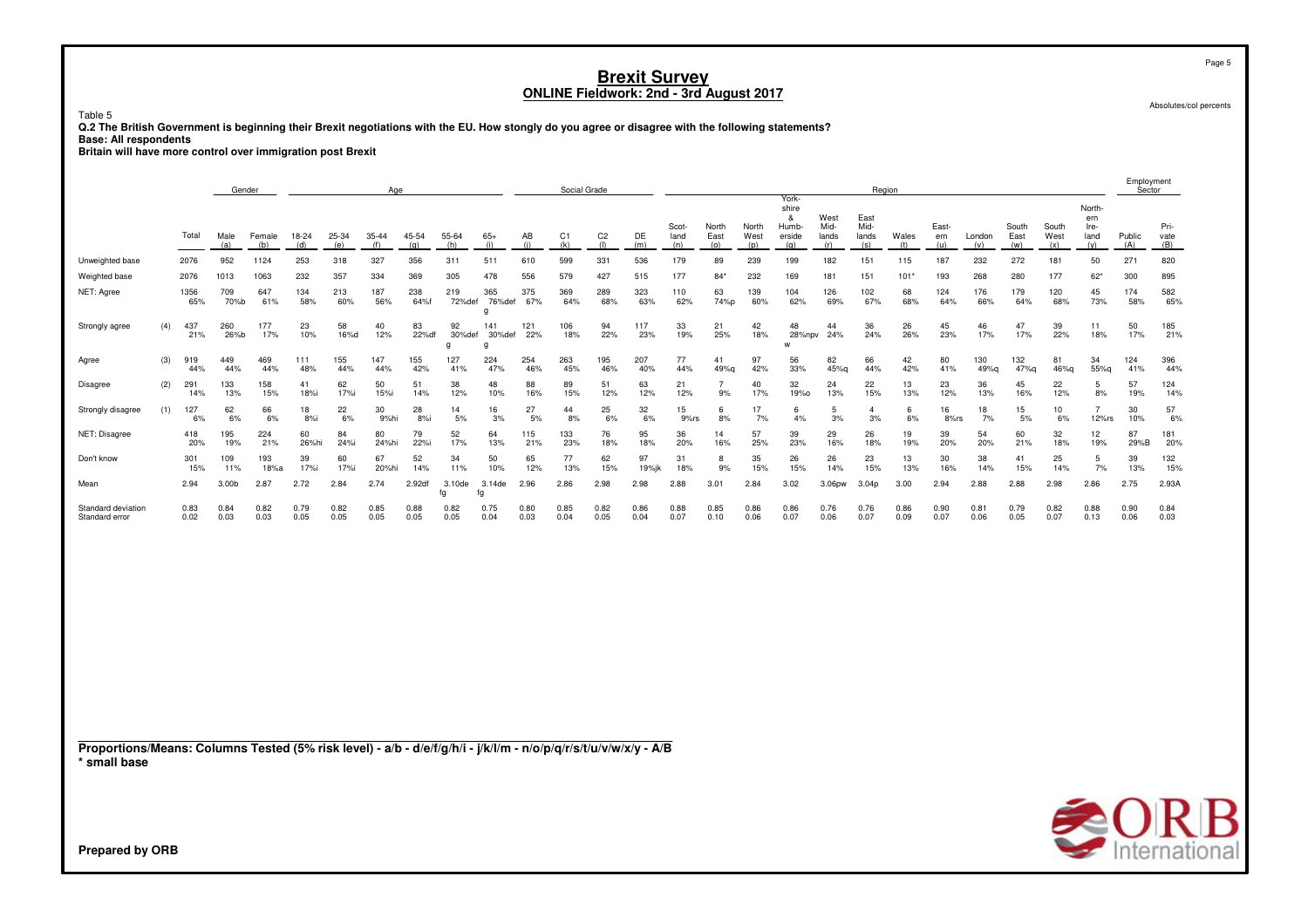Table 5

**Q.2 The British Government is beginning their Brexit negotiations with the EU. How stongly do you agree or disagree with the following statements? Base: All respondents**

**Britain will have more control over immigration post Brexit**

|                                                                                                                                 |     |              | Gender            |               |              |              | Age          |              |                   |                    |              | Social Grade          |                       |              |                      |                      |                      |                                               |                              | Region                       |              |                     |               |                      |                      |                                      | L<br>Sector   |                     |
|---------------------------------------------------------------------------------------------------------------------------------|-----|--------------|-------------------|---------------|--------------|--------------|--------------|--------------|-------------------|--------------------|--------------|-----------------------|-----------------------|--------------|----------------------|----------------------|----------------------|-----------------------------------------------|------------------------------|------------------------------|--------------|---------------------|---------------|----------------------|----------------------|--------------------------------------|---------------|---------------------|
|                                                                                                                                 |     | Total        | Male<br>(a)       | Female<br>(b) | 18-24<br>(d) | 25-34<br>(e) | 35-44<br>(f) | 45-54<br>(q) | 55-64<br>(h)      | $65+$<br>(i)       | AB<br>(i)    | C <sub>1</sub><br>(k) | C <sub>2</sub><br>(1) | DE<br>(m)    | Scot-<br>land<br>(n) | North<br>East<br>(o) | North<br>West<br>(p) | York-<br>shire<br>&<br>Humb-<br>erside<br>(q) | West<br>Mid-<br>lands<br>(r) | East<br>Mid-<br>lands<br>(s) | Wales<br>(t) | East-<br>ern<br>(u) | London<br>(v) | South<br>East<br>(w) | South<br>West<br>(x) | North-<br>ern<br>Ire-<br>land<br>(y) | Public<br>(A) | Pri-<br>vate<br>(B) |
| Unweighted base                                                                                                                 |     | 2076         | 952               | 1124          | 253          | 318          | 327          | 356          | 311               | 511                | 610          | 599                   | 331                   | 536          | 179                  | 89                   | 239                  | 199                                           | 182                          | 151                          | 115          | 187                 | 232           | 272                  | 181                  | 50                                   | 271           | 820                 |
| Weighted base                                                                                                                   |     | 2076         | 1013              | 1063          | 232          | 357          | 334          | 369          | 305               | 478                | 556          | 579                   | 427                   | 515          | 177                  | $84*$                | 232                  | 169                                           | 181                          | 151                          | $101*$       | 193                 | 268           | 280                  | 177                  | 62"                                  | 300           | 895                 |
| NET: Agree                                                                                                                      |     | 1356<br>65%  | 709<br>70%b       | 647<br>61%    | 134<br>58%   | 213<br>60%   | 187<br>56%   | 238<br>64%f  | 219<br>72%def     | 365<br>76%def<br>a | 375<br>67%   | 369<br>64%            | 289<br>68%            | 323<br>63%   | 110<br>62%           | 63<br>74%p           | 139<br>60%           | 104<br>62%                                    | 126<br>69%                   | 102<br>67%                   | 68<br>68%    | 124<br>64%          | 176<br>66%    | 179<br>64%           | 120<br>68%           | 45<br>73%                            | 174<br>58%    | 582<br>65%          |
| Strongly agree                                                                                                                  | (4) | 437<br>21%   | 260<br>26%b       | 177<br>17%    | 23<br>10%    | 58<br>16%d   | 40<br>12%    | 83<br>22%df  | 92<br>30%def<br>q | 141<br>30%def<br>a | 121<br>22%   | 106<br>18%            | 94<br>22%             | 117<br>23%   | 33<br>19%            | 21<br>25%            | 42<br>18%            | 48<br>28%npv<br>W                             | 44<br>24%                    | 36<br>24%                    | 26<br>26%    | 45<br>23%           | 46<br>17%     | 47<br>17%            | 39<br>22%            | 11<br>18%                            | 50<br>17%     | 185<br>21%          |
| (3)<br>Agree                                                                                                                    |     | 919<br>44%   | 449<br>44%        | 469<br>44%    | 111<br>48%   | 155<br>44%   | 147<br>44%   | 155<br>42%   | 127<br>41%        | 224<br>47%         | 254<br>46%   | 263<br>45%            | 195<br>46%            | 207<br>40%   | 77<br>44%            | 41<br>49%g           | 97<br>42%            | 56<br>33%                                     | 82<br>45%g                   | 66<br>44%                    | 42<br>42%    | 80<br>41%           | 130<br>49%g   | 132<br>47%g          | 81<br>46%g           | 34<br>55%g                           | 124<br>41%    | 396<br>44%          |
| (2)<br><b>Disagree</b>                                                                                                          |     | 291<br>14%   | 133<br>13%        | 158<br>15%    | 41<br>18%i   | 62<br>17%i   | 50<br>15%i   | 51<br>14%    | 38<br>12%         | 48<br>10%          | 88<br>16%    | 89<br>15%             | 51<br>12%             | 63<br>12%    | 21<br>12%            | $\overline{7}$<br>9% | 40<br>17%            | 32<br>19%0                                    | 24<br>13%                    | 22<br>15%                    | 13<br>13%    | 23<br>12%           | 36<br>13%     | 45<br>16%            | 22<br>12%            | 5<br>8%                              | 57<br>19%     | 124<br>14%          |
| (1)<br>Strongly disagree                                                                                                        |     | 127<br>6%    | 62<br>6%          | 66<br>6%      | 18<br>8%     | 22<br>6%     | 30<br>9%hi   | 28<br>8%     | 14<br>5%          | 16<br>3%           | 27<br>5%     | 44<br>8%              | 25<br>6%              | 32<br>6%     | 15<br>9%rs           | 6<br>8%              | 17<br>7%             | 6<br>4%                                       | 5<br>3%                      | $\overline{4}$<br>3%         | 6<br>6%      | 16<br>8%rs          | 18<br>7%      | 15<br>5%             | 10<br>6%             | $\overline{7}$<br>$12\%$ rs          | 30<br>10%     | 57<br>6%            |
| NET: Disagree                                                                                                                   |     | 418<br>20%   | 195<br>19%        | 224<br>21%    | 60<br>26%hi  | 84<br>24%i   | 80<br>24%hi  | 79<br>22%i   | 52<br>17%         | 64<br>13%          | 115<br>21%   | 133<br>23%            | 76<br>18%             | 95<br>18%    | 36<br>20%            | 14<br>16%            | 57<br>25%            | 39<br>23%                                     | 29<br>16%                    | 26<br>18%                    | 19<br>19%    | 39<br>20%           | 54<br>20%     | 60<br>21%            | 32<br>18%            | 12<br>19%                            | 87<br>29%B    | 181<br>20%          |
| Don't know                                                                                                                      |     | 301<br>15%   | 109<br>11%        | 193<br>18%a   | 39<br>17%i   | 60<br>17%i   | 67<br>20%hi  | 52<br>14%    | 34<br>11%         | 50<br>10%          | 65<br>12%    | 77<br>13%             | 62<br>15%             | 97<br>19%jk  | 31<br>18%            | 8<br>9%              | 35<br>15%            | 26<br>15%                                     | 26<br>14%                    | 23<br>15%                    | 13<br>13%    | 30<br>16%           | 38<br>14%     | 41<br>15%            | 25<br>14%            | 5<br>7%                              | 39<br>13%     | 132<br>15%          |
| Mean                                                                                                                            |     | 2.94         | 3.00 <sub>b</sub> | 2.87          | 2.72         | 2.84         | 2.74         | 2.92df       | 3.10de<br>fg      | 3.14de<br>fg       | 2.96         | 2.86                  | 2.98                  | 2.98         | 2.88                 | 3.01                 | 2.84                 | 3.02                                          | 3.06pw                       | 3.04 <sub>p</sub>            | 3.00         | 2.94                | 2.88          | 2.88                 | 2.98                 | 2.86                                 | 2.75          | 2.93A               |
| Standard deviation<br>Standard error                                                                                            |     | 0.83<br>0.02 | 0.84<br>0.03      | 0.82<br>0.03  | 0.79<br>0.05 | 0.82<br>0.05 | 0.85<br>0.05 | 0.88<br>0.05 | 0.82<br>0.05      | 0.75<br>0.04       | 0.80<br>0.03 | 0.85<br>0.04          | 0.82<br>0.05          | 0.86<br>0.04 | 0.88<br>0.07         | 0.85<br>0.10         | 0.86<br>0.06         | 0.86<br>0.07                                  | 0.76<br>0.06                 | 0.76<br>0.07                 | 0.86<br>0.09 | 0.90<br>0.07        | 0.81<br>0.06  | 0.79<br>0.05         | 0.82<br>0.07         | 0.88<br>0.13                         | 0.90<br>0.06  | 0.84<br>0.03        |
|                                                                                                                                 |     |              |                   |               |              |              |              |              |                   |                    |              |                       |                       |              |                      |                      |                      |                                               |                              |                              |              |                     |               |                      |                      |                                      |               |                     |
| Proportions/Means: Columns Tested (5% risk level) - a/b - d/e/f/g/h/i - j/k/l/m - n/o/p/q/r/s/t/u/v/w/x/y - A/B<br>* small base |     |              |                   |               |              |              |              |              |                   |                    |              |                       |                       |              |                      |                      |                      |                                               |                              |                              |              |                     |               |                      |                      | $\triangle$ OR                       |               |                     |

Absolutes/col percents

Page 5

Employment

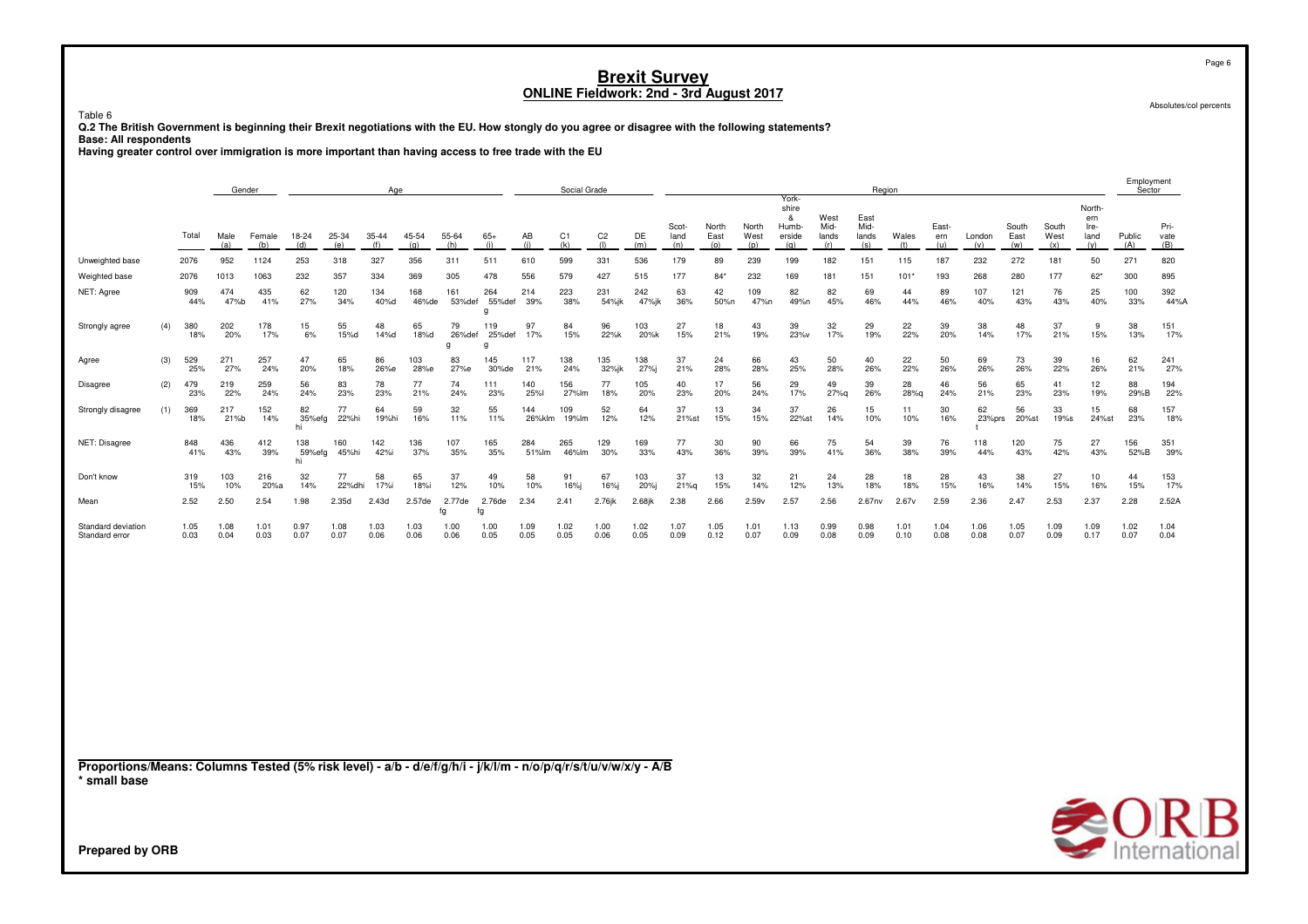Table 6

**Q.2 The British Government is beginning their Brexit negotiations with the EU. How stongly do you agree or disagree with the following statements? Base: All respondents**

**Having greater control over immigration is more important than having access to free trade with the EU**

|                                                                                                                                 |     |              | Gender       |               |                     |              | Age          |              |                   |                           |               | Social Grade |                       |              |                      |                      |                      |                                               |                              |                              | Region       |                     |               |                      |                      |                                      | Employment<br>Sector |                                     |
|---------------------------------------------------------------------------------------------------------------------------------|-----|--------------|--------------|---------------|---------------------|--------------|--------------|--------------|-------------------|---------------------------|---------------|--------------|-----------------------|--------------|----------------------|----------------------|----------------------|-----------------------------------------------|------------------------------|------------------------------|--------------|---------------------|---------------|----------------------|----------------------|--------------------------------------|----------------------|-------------------------------------|
|                                                                                                                                 |     | Total        | Male<br>(a)  | Female<br>(b) | 18-24<br>(d)        | 25-34<br>(e) | 35-44<br>(f) | 45-54<br>(q) | 55-64<br>(h)      | $65+$<br>(i)              | AB<br>(i)     | C1<br>(k)    | C <sub>2</sub><br>(1) | DE<br>(m)    | Scot-<br>land<br>(n) | North<br>East<br>(o) | North<br>West<br>(p) | York-<br>shire<br>&<br>Humb-<br>erside<br>(q) | West<br>Mid-<br>lands<br>(r) | East<br>Mid-<br>lands<br>(s) | Wales<br>(t) | East-<br>ern<br>(u) | London<br>(v) | South<br>East<br>(w) | South<br>West<br>(x) | North-<br>ern<br>Ire-<br>land<br>(y) | Public<br>(A)        | Pri-<br>vate<br>(B)                 |
| Unweighted base                                                                                                                 |     | 2076         | 952          | 1124          | 253                 | 318          | 327          | 356          | 311               | 511                       | 610           | 599          | 331                   | 536          | 179                  | 89                   | 239                  | 199                                           | 182                          | 151                          | 115          | 187                 | 232           | 272                  | 181                  | 50                                   | 271                  | 820                                 |
| Weighted base                                                                                                                   |     | 2076         | 1013         | 1063          | 232                 | 357          | 334          | 369          | 305               | 478                       | 556           | 579          | 427                   | 515          | 177                  | $84*$                | 232                  | 169                                           | 181                          | 151                          | $101*$       | 193                 | 268           | 280                  | 177                  | $62*$                                | 300                  | 895                                 |
| NET: Agree                                                                                                                      |     | 909<br>44%   | 474<br>47%b  | 435<br>41%    | 62<br>27%           | 120<br>34%   | 134<br>40%d  | 168<br>46%de | 161<br>53%def     | 264<br>55%def<br>a        | 214<br>39%    | 223<br>38%   | 231<br>54%jk          | 242<br>47%jk | 63<br>36%            | 42<br>50%n           | 109<br>47%n          | 82<br>49%n                                    | 82<br>45%                    | 69<br>46%                    | 44<br>44%    | 89<br>46%           | 107<br>40%    | 121<br>43%           | 76<br>43%            | 25<br>40%                            | 100<br>33%           | 392<br>44%A                         |
| Strongly agree                                                                                                                  | (4) | 380<br>18%   | 202<br>20%   | 178<br>17%    | 15<br>6%            | 55<br>15%d   | 48<br>14%d   | 65<br>18%d   | 79<br>26%def<br>g | 119<br>25%def<br>$\alpha$ | 97<br>17%     | 84<br>15%    | 96<br>22%k            | 103<br>20%k  | 27<br>15%            | 18<br>21%            | 43<br>19%            | 39<br>23%v                                    | 32<br>17%                    | 29<br>19%                    | 22<br>22%    | 39<br>20%           | 38<br>14%     | 48<br>17%            | 37<br>21%            | 9<br>15%                             | 38<br>13%            | 151<br>17%                          |
| Agree                                                                                                                           | (3) | 529<br>25%   | 271<br>27%   | 257<br>24%    | 47<br>20%           | 65<br>18%    | 86<br>26%e   | 103<br>28%e  | 83<br>27%e        | 145<br>30%de              | 117<br>21%    | 138<br>24%   | 135<br>32%jk          | 138<br>27%   | 37<br>21%            | 24<br>28%            | 66<br>28%            | 43<br>25%                                     | 50<br>28%                    | 40<br>26%                    | 22<br>22%    | 50<br>26%           | 69<br>26%     | 73<br>26%            | 39<br>22%            | 16<br>26%                            | 62<br>21%            | 241<br>27%                          |
| Disagree                                                                                                                        | (2) | 479<br>23%   | 219<br>22%   | 259<br>24%    | 56<br>24%           | 83<br>23%    | 78<br>23%    | 77<br>21%    | 74<br>24%         | 111<br>23%                | 140<br>25%l   | 156<br>27%lm | 77<br>18%             | 105<br>20%   | 40<br>23%            | 17<br>20%            | 56<br>24%            | 29<br>17%                                     | 49<br>27%q                   | 39<br>26%                    | 28<br>28%q   | 46<br>24%           | 56<br>21%     | 65<br>23%            | 41<br>23%            | 12<br>19%                            | 88<br>29%B           | 194<br>22%                          |
| Strongly disagree                                                                                                               | (1) | 369<br>18%   | 217<br>21%b  | 152<br>14%    | 82<br>35%efg<br>hi  | 77<br>22%hi  | 64<br>19%hi  | 59<br>16%    | 32<br>11%         | 55<br>11%                 | 144<br>26%klm | 109<br>19%lm | 52<br>12%             | 64<br>12%    | 37<br>21%st          | 13<br>15%            | 34<br>15%            | 37<br>22%st                                   | 26<br>14%                    | 15<br>10%                    | 11<br>10%    | 30<br>16%           | 62<br>23%prs  | 56<br>20%st          | 33<br>19%s           | 15<br>24%st                          | 68<br>23%            | 157<br>18%                          |
| NET: Disagree                                                                                                                   |     | 848<br>41%   | 436<br>43%   | 412<br>39%    | 138<br>59%efg<br>hi | 160<br>45%hi | 142<br>42%i  | 136<br>37%   | 107<br>35%        | 165<br>35%                | 284<br>51%lm  | 265<br>46%lm | 129<br>30%            | 169<br>33%   | 77<br>43%            | 30<br>36%            | 90<br>39%            | 66<br>39%                                     | 75<br>41%                    | 54<br>36%                    | 39<br>38%    | 76<br>39%           | 118<br>44%    | 120<br>43%           | 75<br>42%            | 27<br>43%                            | 156<br>52%B          | 351<br>39%                          |
| Don't know                                                                                                                      |     | 319<br>15%   | 103<br>10%   | 216<br>20%a   | 32<br>14%           | 77<br>22%dhi | 58<br>17%i   | 65<br>18%i   | 37<br>12%         | 49<br>10%                 | 58<br>10%     | 91<br>16%j   | 67<br>16%j            | 103<br>20%j  | 37<br>21%q           | 13<br>15%            | 32<br>14%            | 21<br>12%                                     | 24<br>13%                    | 28<br>18%                    | 18<br>18%    | 28<br>15%           | 43<br>16%     | 38<br>14%            | 27<br>15%            | 10<br>16%                            | 44<br>15%            | 153<br>17%                          |
| Mean                                                                                                                            |     | 2.52         | 2.50         | 2.54          | 1.98                | 2.35d        | 2.43d        | 2.57de       | 2.77de<br>fq      | 2.76de<br>fg              | 2.34          | 2.41         | $2.76$ jk             | 2.68jk       | 2.38                 | 2.66                 | 2.59v                | 2.57                                          | 2.56                         | 2.67nv                       | 2.67v        | 2.59                | 2.36          | 2.47                 | 2.53                 | 2.37                                 | 2.28                 | 2.52A                               |
| Standard deviation<br>Standard error                                                                                            |     | 1.05<br>0.03 | 1.08<br>0.04 | 1.01<br>0.03  | 0.97<br>0.07        | 1.08<br>0.07 | 1.03<br>0.06 | 1.03<br>0.06 | 1.00<br>0.06      | 1.00<br>0.05              | 1.09<br>0.05  | 1.02<br>0.05 | 1.00<br>0.06          | 1.02<br>0.05 | 1.07<br>0.09         | 1.05<br>0.12         | 1.01<br>0.07         | 1.13<br>0.09                                  | 0.99<br>0.08                 | 0.98<br>0.09                 | 1.01<br>0.10 | 1.04<br>0.08        | 1.06<br>0.08  | 1.05<br>0.07         | 1.09<br>0.09         | 1.09<br>0.17                         | 1.02<br>0.07         | 1.04<br>0.04                        |
|                                                                                                                                 |     |              |              |               |                     |              |              |              |                   |                           |               |              |                       |              |                      |                      |                      |                                               |                              |                              |              |                     |               |                      |                      |                                      |                      |                                     |
| Proportions/Means: Columns Tested (5% risk level) - a/b - d/e/f/g/h/i - j/k/l/m - n/o/p/q/r/s/t/u/v/w/x/y - A/B<br>* small base |     |              |              |               |                     |              |              |              |                   |                           |               |              |                       |              |                      |                      |                      |                                               |                              |                              |              |                     |               |                      |                      |                                      |                      | $\bigotimes_{\text{International}}$ |
| <b>Prepared by ORB</b>                                                                                                          |     |              |              |               |                     |              |              |              |                   |                           |               |              |                       |              |                      |                      |                      |                                               |                              |                              |              |                     |               |                      |                      |                                      |                      |                                     |

Page 6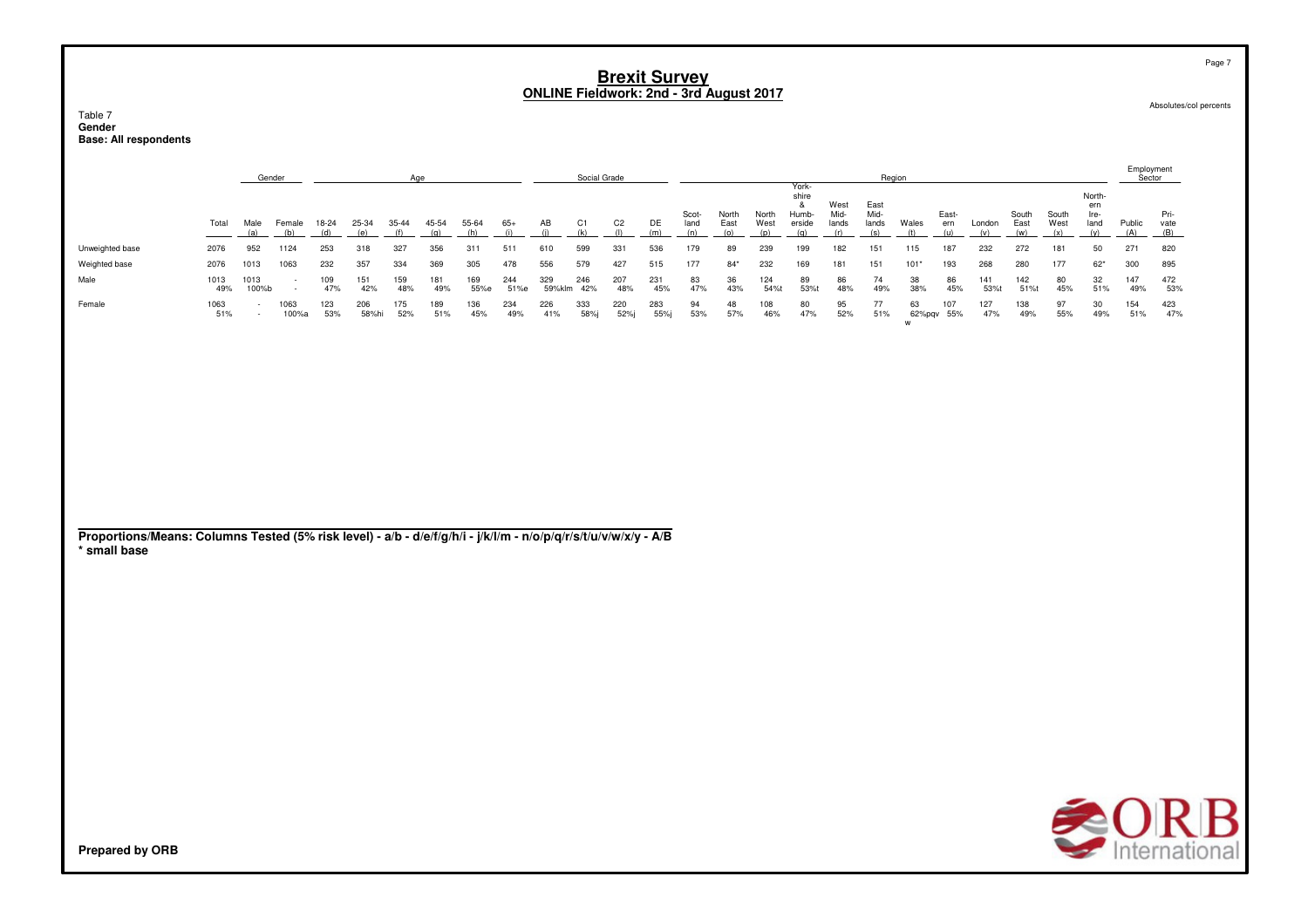#### Table 7 **GenderBase: All respondents**

|                 |             | Gender        |              |            |              | Age        |            |             |             |               | Social Grade |                |            |               |               |               |                                   |                       | Region                |              |              |            |               |               |                               | Employment<br>Sector |                     |
|-----------------|-------------|---------------|--------------|------------|--------------|------------|------------|-------------|-------------|---------------|--------------|----------------|------------|---------------|---------------|---------------|-----------------------------------|-----------------------|-----------------------|--------------|--------------|------------|---------------|---------------|-------------------------------|----------------------|---------------------|
|                 | Total       | Male          | Female       | 18-24      | 25-34        | $35 - 44$  | 45-54      | 55-64       | 65+         | AB            | C1           | C <sub>2</sub> | DE         | Scot-<br>land | North<br>East | North<br>West | York-<br>shire<br>Humb-<br>erside | West<br>Mid-<br>lands | East<br>Mid-<br>lands | Wales        | East-<br>ern | London     | South<br>East | South<br>West | North-<br>ern<br>Ire-<br>land | Public<br>(A)        | Pri-<br>vate<br>(B) |
| Unweighted base | 2076        | 952           | 1124         | 253        | 318          | 327        | 356        | 311         | 511         | 610           | 599          | 331            | 536        | 179           | 89            | 239           | 199                               | 182                   | 151                   | 115          | 187          | 232        | 272           | 181           | 50                            | 271                  | 820                 |
| Weighted base   | 2076        | 1013          | 063          | 232        | 357          | 334        | 369        | 305         | 478         | 556           | 579          | 427            | 515        | 177           | $84*$         | 232           | 169                               | 181                   | 151                   | $101*$       | 193          | 268        | 280           | 177           | $62*$                         | 300                  | 895                 |
| Male            | 1013<br>49% | 1013<br>100%b |              | 109<br>47% | 151<br>42%   | 159<br>48% | 181<br>49% | 169<br>55%e | 244<br>51%e | 329<br>59%klm | 246<br>42%   | 207<br>48%     | 231<br>45% | 83<br>47%     | 36<br>43%     | 124<br>54%t   | 89<br>53%t                        | 86<br>48%             | 74<br>49%             | 38<br>38%    | 86<br>45%    | 141<br>53% | 142<br>51%t   | 80<br>45%     | 32<br>51%                     | 147<br>49%           | 472<br>53%          |
| Female          | 1063<br>51% |               | 063<br>100%a | 123<br>53% | 206<br>58%hi | 175<br>52% | 189<br>51% | 136<br>45%  | 234<br>49%  | 226<br>41%    | 333<br>58%   | 220<br>52%i    | 283<br>55% | 94<br>53%     | 48<br>57%     | 108<br>46%    | 80<br>47%                         | 95<br>52%             | 77<br>51%             | 63<br>62%pgv | 107<br>55%   | 127<br>47% | 138<br>49%    | 97<br>55%     | 30<br>49%                     | 154<br>51%           | 423<br>47%          |

### **Proportions/Means: Columns Tested (5% risk level) - a/b - d/e/f/g/h/i - j/k/l/m - n/o/p/q/r/s/t/u/v/w/x/y - A/B \* small base**

**Prepared by ORB**

Page 7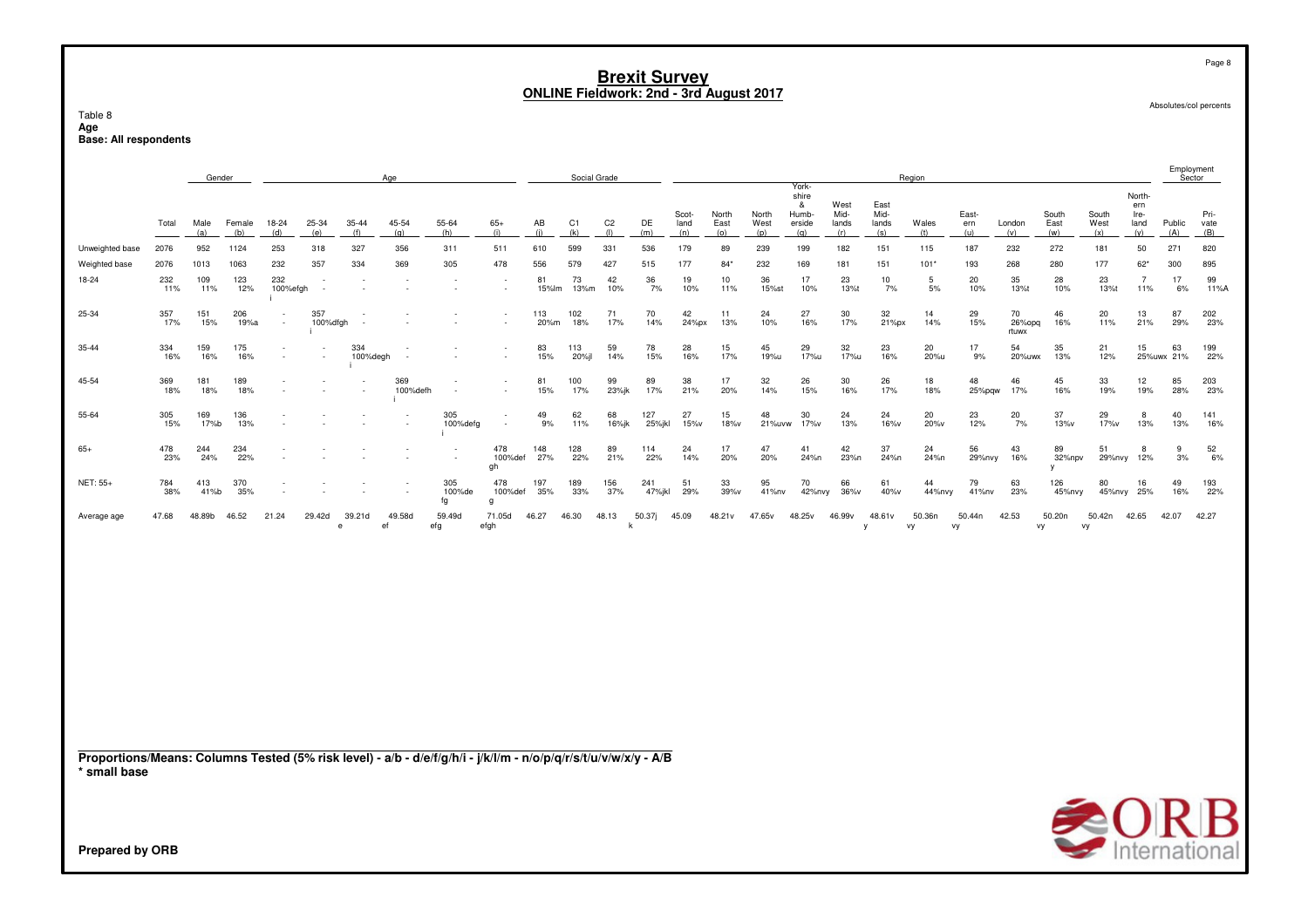Table 8 rable o<br>Age<br>Base: All respondents

|                 |            | Gender      |               |                          |                          |                          | Age             |                     |                            |             | Social Grade          |                       |               |                      |                      |                      |                                               |                              |                              | Region       |                     |                           |                              |                      |                                      | Employment<br>Sector |                     |
|-----------------|------------|-------------|---------------|--------------------------|--------------------------|--------------------------|-----------------|---------------------|----------------------------|-------------|-----------------------|-----------------------|---------------|----------------------|----------------------|----------------------|-----------------------------------------------|------------------------------|------------------------------|--------------|---------------------|---------------------------|------------------------------|----------------------|--------------------------------------|----------------------|---------------------|
|                 | Total      | Male<br>(a) | Female<br>(b) | 18-24<br>(d)             | 25-34<br>(e)             | 35-44<br>(f)             | 45-54<br>(q)    | 55-64<br>(h)        | $65+$<br>(i)               | AB<br>(i)   | C <sub>1</sub><br>(k) | C <sub>2</sub><br>(1) | DE<br>(m)     | Scot-<br>land<br>(n) | North<br>East<br>(o) | North<br>West<br>(p) | York-<br>shire<br>&<br>Humb-<br>erside<br>(q) | West<br>Mid-<br>lands<br>(r) | East<br>Mid-<br>lands<br>(s) | Wales<br>(t) | East-<br>ern<br>(u) | London<br>(v)             | South<br>East<br>(w)         | South<br>West<br>(x) | North-<br>ern<br>Ire-<br>land<br>(v) | Public<br>(A)        | Pri-<br>vate<br>(B) |
| Unweighted base | 2076       | 952         | 1124          | 253                      | 318                      | 327                      | 356             | 311                 | 511                        | 610         | 599                   | 331                   | 536           | 179                  | 89                   | 239                  | 199                                           | 182                          | 151                          | 115          | 187                 | 232                       | 272                          | 181                  | 50                                   | 271                  | 820                 |
| Weighted base   | 2076       | 1013        | 1063          | 232                      | 357                      | 334                      | 369             | 305                 | 478                        | 556         | 579                   | 427                   | 515           | 177                  | $84*$                | 232                  | 169                                           | 181                          | 151                          | $101*$       | 193                 | 268                       | 280                          | 177                  | $62*$                                | 300                  | 895                 |
| 18-24           | 232<br>11% | 109<br>11%  | 123<br>12%    | 232<br>100%efgh          | $\overline{\phantom{a}}$ |                          |                 |                     |                            | 81<br>15%lm | 73<br>13%m            | 42<br>10%             | 36<br>7%      | 19<br>10%            | 10<br>11%            | 36<br>15%st          | 17<br>10%                                     | 23<br>13%t                   | 10<br>7%                     | 5<br>5%      | 20<br>10%           | 35<br>13%t                | 28<br>10%                    | 23<br>13%t           | $\overline{7}$<br>11%                | 17<br>6%             | 99<br>11%A          |
| 25-34           | 357<br>17% | 151<br>15%  | 206<br>19%a   | $\sim$                   | 357<br>100%dfgh          | $\sim$                   |                 | $\sim$              |                            | 113<br>20%m | 102<br>18%            | 71<br>17%             | 70<br>14%     | 42<br>24%px          | 11<br>13%            | 24<br>10%            | 27<br>16%                                     | 30<br>17%                    | 32<br>21%px                  | 14<br>14%    | 29<br>15%           | 70<br>$26\%$ opg<br>rtuwx | 46<br>16%                    | 20<br>11%            | 13<br>21%                            | 87<br>29%            | 202<br>23%          |
| 35-44           | 334<br>16% | 159<br>16%  | 175<br>16%    | $\overline{\phantom{a}}$ | ٠                        | 334<br>100%degh          |                 | $\sim$              |                            | 83<br>15%   | 113<br>20%il          | 59<br>14%             | 78<br>15%     | 28<br>16%            | 15<br>17%            | 45<br>19%u           | 29<br>17%u                                    | 32<br>17%u                   | 23<br>16%                    | 20<br>20%u   | 17<br>9%            | 54<br>20%uwx              | 35<br>13%                    | 21<br>12%            | 15                                   | 63<br>25%uwx 21%     | 199<br>22%          |
| 45-54           | 369<br>18% | 181<br>18%  | 189<br>18%    |                          | $\overline{\phantom{a}}$ | $\sim$                   | 369<br>100%defh | $\sim$              | $\sim$                     | 81<br>15%   | 100<br>17%            | 99<br>23%jk           | 89<br>17%     | 38<br>21%            | 17<br>20%            | 32<br>14%            | 26<br>15%                                     | 30<br>16%                    | 26<br>17%                    | 18<br>18%    | 48                  | 46<br>25%pqw 17%          | 45<br>16%                    | 33<br>19%            | 12<br>19%                            | 85<br>28%            | 203<br>23%          |
| 55-64           | 305<br>15% | 169<br>17%b | 136<br>13%    |                          |                          | $\overline{\phantom{a}}$ |                 | 305<br>100%defg     | $\overline{\phantom{a}}$   | 49<br>9%    | 62<br>11%             | 68<br>16%jk           | 127<br>25%jkl | 27<br>15%v           | 15<br>18%v           | 48<br>21%uvw         | 30<br>17%v                                    | 24<br>13%                    | 24<br>16%v                   | 20<br>20%v   | 23<br>12%           | 20<br>7%                  | 37<br>13%v                   | 29<br>17%v           | 8<br>13%                             | 40<br>13%            | 141<br>16%          |
| $65+$           | 478<br>23% | 244<br>24%  | 234<br>22%    |                          |                          |                          |                 | $\sim$              | 478<br>100% def<br>gh      | 148<br>27%  | 128<br>22%            | 89<br>21%             | 114<br>22%    | 24<br>14%            | 17<br>20%            | 47<br>20%            | 41<br>24%n                                    | 42<br>23%n                   | 37<br>24%n                   | 24<br>24%n   | 56<br>29%nvy        | 43<br>16%                 | 89<br>32%npv<br>$\mathsf{v}$ | 51<br>29%nvy         | 8<br>12%                             | 9<br>3%              | 52<br>6%            |
| NET: 55+        | 784<br>38% | 413<br>41%b | 370<br>35%    |                          |                          |                          | $\sim$          | 305<br>100%de<br>fg | 478<br>100%def<br>$\alpha$ | 197<br>35%  | 189<br>33%            | 156<br>37%            | 241<br>47%jkl | 51<br>29%            | 33<br>39%v           | 95<br>41%nv          | 70<br>42%nvy                                  | 66<br>36%v                   | 61<br>40%v                   | 44<br>44%nvy | 79<br>41%nv         | 63<br>23%                 | 126<br>45%nvy                | 80<br>45%nvy 25%     | 16                                   | 49<br>16%            | 193<br>22%          |
| Average age     | 47.68      | 48.89b      | 46.52         | 21.24                    | 29.42d                   | 39.21d<br>e              | 49.58d<br>ef    | 59.49d<br>efg       | 71.05d<br>efgh             | 46.27       | 46.30                 | 48.13                 | 50.37j        | 45.09                | 48.21v               | 47.65v               | 48.25v                                        | 46.99v                       | 48.61v                       | 50.36n<br>vy | 50.44n<br>vy        | 42.53                     | 50.20n<br>vy                 | 50.42n<br>vy         | 42.65                                | 42.07                | 42.27               |
|                 |            |             |               |                          |                          |                          |                 |                     |                            |             |                       |                       |               |                      |                      |                      |                                               |                              |                              |              |                     |                           |                              |                      |                                      |                      |                     |
|                 |            |             |               |                          |                          |                          |                 |                     |                            |             |                       |                       |               |                      |                      |                      |                                               |                              |                              |              |                     |                           |                              |                      |                                      |                      |                     |
|                 |            |             |               |                          |                          |                          |                 |                     |                            |             |                       |                       |               |                      |                      |                      |                                               |                              |                              |              |                     |                           |                              |                      |                                      |                      |                     |
|                 |            |             |               |                          |                          |                          |                 |                     |                            |             |                       |                       |               |                      |                      |                      |                                               |                              |                              |              |                     |                           |                              |                      |                                      |                      |                     |
|                 |            |             |               |                          |                          |                          |                 |                     |                            |             |                       |                       |               |                      |                      |                      |                                               |                              |                              |              |                     |                           |                              |                      |                                      |                      |                     |

Proportions/Means: Columns Tested (5% risk level) - a/b - d/e/f/g/h/i - j/k/l/m - n/o/p/q/r/s/t/u/v/w/x/y - A/B<br>\* small base

Absolutes/col percents

Page 8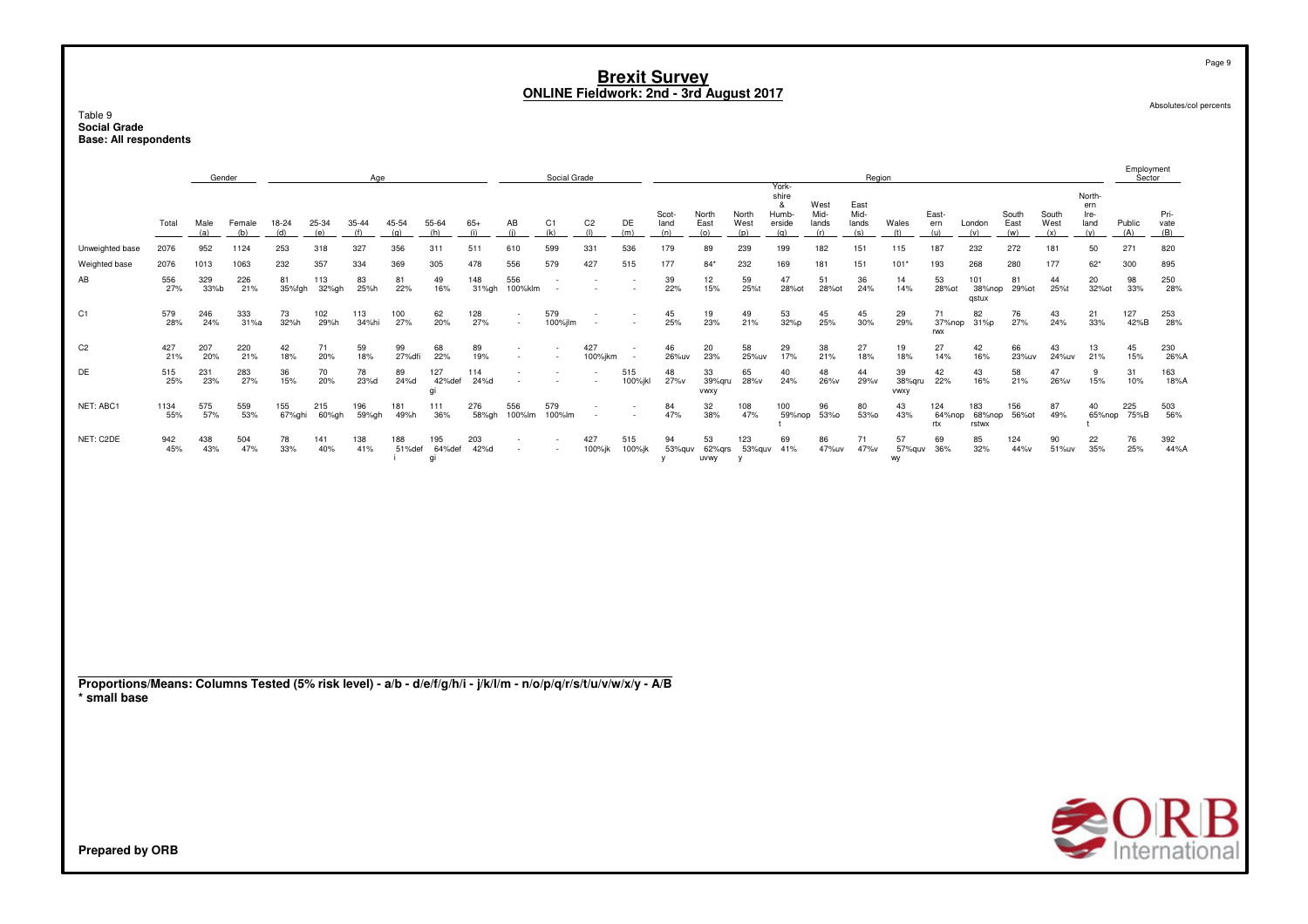Table 9 **Social GradeBase: All respondents**

|                 |             | Gender      |               |                |              | Age          |               |                     |              |                | Social Grade          |                       |                |               |                      |                      |                                               |                              | Region                       |                             |                      |                        |                      |                      |                               | Employment<br>Sector |                     |
|-----------------|-------------|-------------|---------------|----------------|--------------|--------------|---------------|---------------------|--------------|----------------|-----------------------|-----------------------|----------------|---------------|----------------------|----------------------|-----------------------------------------------|------------------------------|------------------------------|-----------------------------|----------------------|------------------------|----------------------|----------------------|-------------------------------|----------------------|---------------------|
|                 | Total       | Male<br>(a) | Female<br>(b) | $18-24$<br>(d) | 25-34<br>(e) | 35-44        | 45-54<br>(n)  | 55-64<br>(h)        | $65+$        | AB             | C <sub>1</sub><br>(k) | C <sub>2</sub><br>(1) | DE<br>(m)      | Scot-<br>land | North<br>East<br>(0) | North<br>West<br>(D) | York-<br>shire<br>&<br>Humb-<br>erside<br>(a) | West<br>Mid-<br>lands<br>(r) | East<br>Mid-<br>lands<br>(s) | Wales                       | East-<br>ern         | London<br>(v)          | South<br>East<br>(w) | South<br>West<br>(x) | North-<br>ern<br>Ire-<br>land | Public<br>(A)        | Pri-<br>vate<br>(B) |
| Unweighted base | 2076        | 952         | 1124          | 253            | 318          | 327          | 356           | 311                 | 511          | 610            | 599                   | 331                   | 536            | 179           | 89                   | 239                  | 199                                           | 182                          | 151                          | 115                         | 187                  | 232                    | 272                  | 181                  | 50                            | 271                  | 820                 |
| Weighted base   | 2076        | 1013        | 1063          | 232            | 357          | 334          | 369           | 305                 | 478          | 556            | 579                   | 427                   | 515            | 177           | $84*$                | 232                  | 169                                           | 181                          | 151                          | $101*$                      | 193                  | 268                    | 280                  | 177                  | $62*$                         | 300                  | 895                 |
| AB              | 556<br>27%  | 329<br>33%b | 226<br>21%    | 81<br>35%fgh   | 113<br>32%gh | 83<br>25%h   | 81<br>22%     | 49<br>16%           | 148<br>31%gh | 556<br>100%klm |                       |                       |                | 39<br>22%     | 12<br>15%            | 59<br>25%t           | 47<br>28% ot                                  | 51<br>28% ot                 | 36<br>24%                    | 14<br>14%                   | 53<br>28% ot         | 101<br>38%nop<br>gstux | 81<br>29% ot         | 44<br>25%t           | 20<br>32% ot                  | 98<br>33%            | 250<br>28%          |
| C <sub>1</sub>  | 579<br>28%  | 246<br>24%  | 333<br>31%a   | 73<br>32%h     | 102<br>29%h  | 113<br>34%hi | 100<br>27%    | 62<br>20%           | 128<br>27%   |                | 579<br>100%jlm        |                       |                | 45<br>25%     | 19<br>23%            | 49<br>21%            | 53<br>32%p                                    | 45<br>25%                    | 45<br>30%                    | 29<br>29%                   | 71<br>37%nop<br>rwx  | 82<br>31%p             | 76<br>27%            | 43<br>24%            | 21<br>33%                     | 127<br>42%B          | 253<br>28%          |
| C <sub>2</sub>  | 427<br>21%  | 207<br>20%  | 220<br>21%    | 42<br>18%      | 71<br>20%    | 59<br>18%    | 99<br>27%dfi  | 68<br>22%           | 89<br>19%    |                |                       | 427<br>100%jkm        |                | 46<br>26%uv   | 20<br>23%            | 58<br>25%uv          | 29<br>17%                                     | 38<br>21%                    | 27<br>18%                    | 19<br>18%                   | 27<br>14%            | 42<br>16%              | 66<br>23%uv          | 43<br>24%uv          | 13<br>21%                     | 45<br>15%            | 230<br>26%A         |
| DE              | 515<br>25%  | 231<br>23%  | 283<br>27%    | 36<br>15%      | 70<br>20%    | 78<br>23%d   | 89<br>24%d    | 127<br>42%def<br>qi | 114<br>24%d  |                |                       |                       | 515<br>100%jkl | 48<br>27%v    | 33<br>39%qru<br>vwxy | 65<br>28%v           | 40<br>24%                                     | 48<br>26%v                   | 44<br>29%v                   | 39<br>38%qru<br><b>VWXV</b> | 42<br>22%            | 43<br>16%              | 58<br>21%            | 47<br>26%v           | 9<br>15%                      | 31<br>10%            | 163<br>18%A         |
| NET: ABC1       | 1134<br>55% | 575<br>57%  | 559<br>53%    | 155<br>67%ghi  | 215<br>60%gh | 196<br>59%gh | 181<br>49%h   | 111<br>36%          | 276<br>58%gh | 556<br>100%lm  | 579<br>100%lm         |                       |                | 84<br>47%     | 32<br>38%            | 108<br>47%           | 100<br>59%nop                                 | 96<br>53%0                   | 80<br>53%0                   | 43<br>43%                   | 124<br>64%nop<br>rtx | 183<br>68%nop<br>rstwx | 156<br>56% ot        | 87<br>49%            | 40<br>65%nop                  | 225<br>75%B          | 503<br>56%          |
| NET: C2DE       | 942<br>45%  | 438<br>43%  | 504<br>47%    | 78<br>33%      | 141<br>40%   | 138<br>41%   | 188<br>51%def | 195<br>64%def<br>qı | 203<br>42%d  | $\sim$         |                       | 427<br>100%jk         | 515<br>100%jk  | 94<br>53%quv  | 53<br>62%grs<br>uvwy | 123<br>53%guv        | 69<br>41%                                     | 86<br>47%uv                  | 71<br>47%v                   | 57<br>57%guv<br>wy          | 69<br>36%            | 85<br>32%              | 124<br>44%v          | 90<br>51%uv          | 22<br>35%                     | 76<br>25%            | 392<br>44%A         |
|                 |             |             |               |                |              |              |               |                     |              |                |                       |                       |                |               |                      |                      |                                               |                              |                              |                             |                      |                        |                      |                      |                               |                      |                     |

**Proportions/Means: Columns Tested (5% risk level) - a/b - d/e/f/g/h/i - j/k/l/m - n/o/p/q/r/s/t/u/v/w/x/y - A/B \* small base**



Absolutes/col percents

Page 9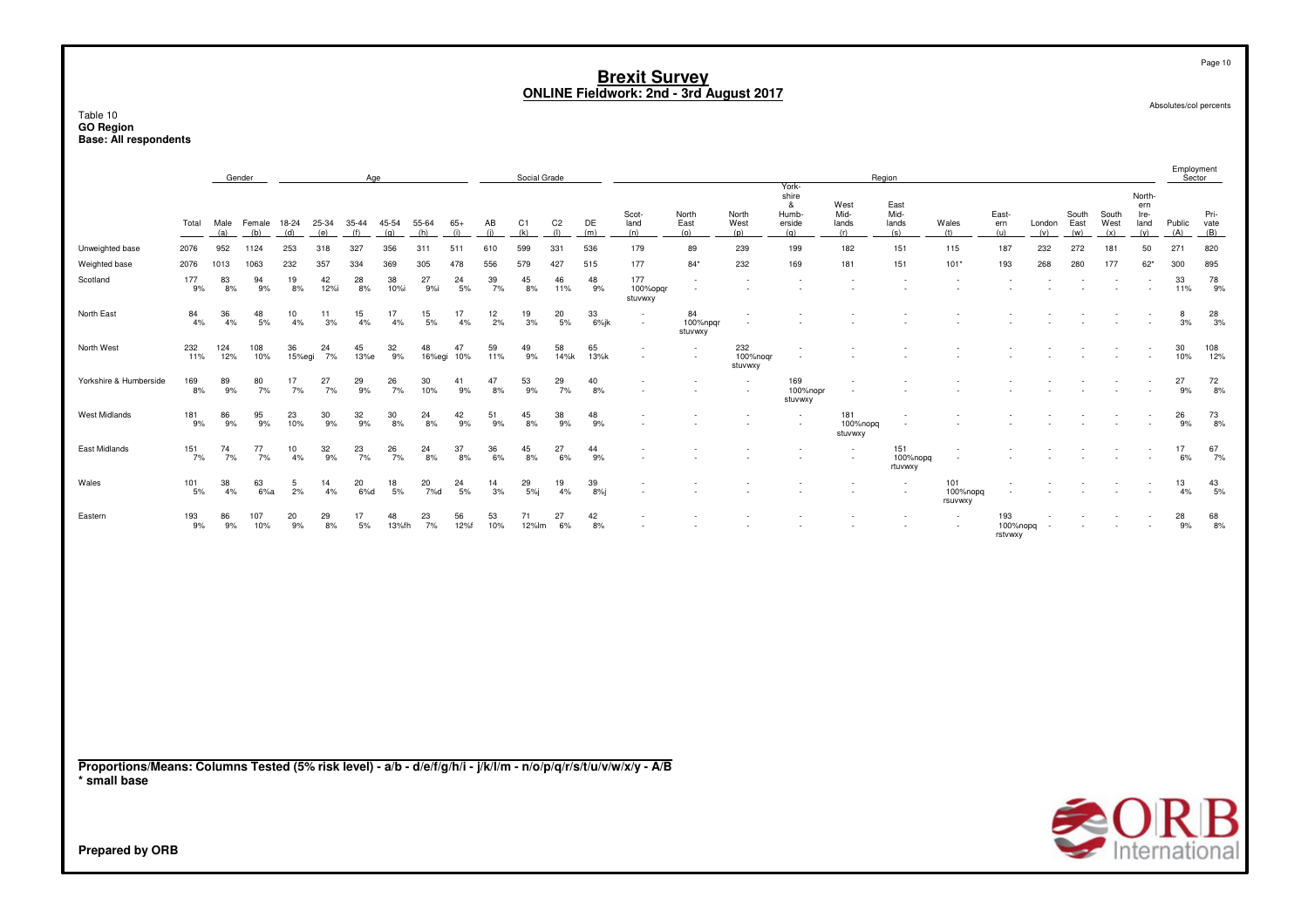Table 10**GO Region Base: All respondents**

|                        |            |             | Gender        |              |              | Age          |                  |              |                  |           | Social Grade          |                       |            |                            |                                                      |                            | York-                                |                              | Region                       |                            |                            |                          |                      |                      |                                      | Employment<br>Sector |                     |
|------------------------|------------|-------------|---------------|--------------|--------------|--------------|------------------|--------------|------------------|-----------|-----------------------|-----------------------|------------|----------------------------|------------------------------------------------------|----------------------------|--------------------------------------|------------------------------|------------------------------|----------------------------|----------------------------|--------------------------|----------------------|----------------------|--------------------------------------|----------------------|---------------------|
|                        | Total      | Male<br>(a) | Female<br>(b) | 18-24<br>(d) | 25-34<br>(e) | 35-44<br>(f) | 45-54<br>(q)     | 55-64<br>(h) | $65+$<br>(i)     | AB<br>(i) | C <sub>1</sub><br>(k) | C <sub>2</sub><br>(1) | DE<br>(m)  | Scot-<br>land<br>(n)       | North<br>East<br>(o)                                 | North<br>West<br>(p)       | shire<br>&<br>Humb-<br>erside<br>(q) | West<br>Mid-<br>lands<br>(r) | East<br>Mid-<br>lands<br>(s) | Wales<br>(t)               | East-<br>ern<br>(u)        | London<br>(v)            | South<br>East<br>(w) | South<br>West<br>(x) | North-<br>ern<br>Ire-<br>land<br>(y) | Public<br>(A)        | Pri-<br>vate<br>(B) |
| Unweighted base        | 2076       | 952         | 1124          | 253          | 318          | 327          | 356              | 311          | 511              | 610       | 599                   | 331                   | 536        | 179                        | 89                                                   | 239                        | 199                                  | 182                          | 151                          | 115                        | 187                        | 232                      | 272                  | 181                  | 50                                   | 271                  | 820                 |
| Weighted base          | 2076       | 1013        | 1063          | 232          | 357          | 334          | 369              | 305          | 478              | 556       | 579                   | 427                   | 515        | 177                        | $84*$                                                | 232                        | 169                                  | 181                          | 151                          | $101*$                     | 193                        | 268                      | 280                  | 177                  | $62*$                                | 300                  | 895                 |
| Scotland               | 177<br>9%  | 83<br>8%    | 94<br>9%      | 19<br>8%     | 42<br>12%i   | 28<br>8%     | 38<br>10%i       | 27<br>9%     | 24<br>5%         | 39<br>7%  | 45<br>8%              | 46<br>11%             | 48<br>9%   | 177<br>100%opgr<br>stuvwxy | $\sim$<br>$\sim$                                     |                            | $\overline{a}$                       |                              | ٠.                           | $\sim$                     | $\overline{\phantom{a}}$   | $\overline{\phantom{a}}$ |                      | ٠.                   |                                      | 33<br>11%            | 78<br>9%            |
| North East             | 84<br>4%   | 36<br>4%    | 48<br>5%      | 10<br>4%     | 11<br>3%     | 15<br>4%     | 17<br>4%         | 15<br>5%     | 17<br>4%         | 12<br>2%  | 19<br>3%              | 20<br>5%              | 33<br>6%jk | $\sim$                     | 84<br>100%npgr<br>stuvwxy                            | $\sim$                     |                                      |                              |                              |                            |                            | $\overline{\phantom{a}}$ |                      |                      |                                      | 8<br>3%              | 28<br>3%            |
| North West             | 232<br>11% | 124<br>12%  | 108<br>10%    | 36<br>15%egi | 24<br>7%     | 45<br>13%e   | 32<br>9%         | 48           | 47<br>16%egi 10% | 59<br>11% | 49<br>9%              | 58<br>14%k            | 65<br>13%k | $\overline{\phantom{a}}$   | $\overline{\phantom{a}}$<br>$\sim$                   | 232<br>100%nogr<br>stuvwxy | ٠                                    |                              |                              |                            |                            |                          |                      |                      |                                      | 30<br>10%            | 108<br>12%          |
| Yorkshire & Humberside | 169<br>8%  | 89<br>9%    | 80<br>7%      | 17<br>7%     | 27<br>7%     | 29<br>9%     | 26<br>7%         | 30<br>10%    | 41<br>9%         | 47<br>8%  | 53<br>9%              | 29<br>7%              | 40<br>8%   |                            | $\overline{\phantom{a}}$<br>$\overline{\phantom{a}}$ | $\sim$                     | 169<br>100%nopr<br>stuvwxy           | $\sim$<br>$\sim$             |                              |                            |                            |                          |                      |                      |                                      | 27<br>9%             | $\frac{72}{8\%}$    |
| <b>West Midlands</b>   | 181<br>9%  | 86<br>9%    | 95<br>9%      | 23<br>10%    | 30<br>9%     | 32<br>9%     | 30<br>8%         | 24<br>8%     | 42<br>9%         | 51<br>9%  | 45<br>8%              | 38<br>9%              | 48<br>9%   |                            |                                                      |                            | $\blacksquare$                       | 181<br>100%nopg<br>stuvwxy   |                              |                            |                            |                          |                      |                      |                                      | 26<br>9%             | 73<br>8%            |
| East Midlands          | 151<br>7%  | 74<br>7%    | 77<br>7%      | 10<br>4%     | 32<br>9%     | 23<br>7%     | 26<br>7%         | 24<br>8%     | 37<br>8%         | 36<br>6%  | 45<br>8%              | 27<br>6%              | 44<br>9%   |                            |                                                      |                            | $\overline{\phantom{a}}$             | $\sim$                       | 151<br>100%nopg<br>rtuvwxy   |                            |                            |                          |                      |                      |                                      | 17<br>6%             | 67<br>7%            |
| Wales                  | 101<br>5%  | 38<br>4%    | 63<br>6%a     | 5<br>2%      | 14<br>4%     | 20<br>6%d    | $\frac{18}{5\%}$ | 20<br>7%d    | 24<br>5%         | 14<br>3%  | 29<br>5%i             | 19<br>4%              | 39<br>8%   |                            |                                                      |                            |                                      |                              | $\overline{\phantom{a}}$     | 101<br>100%nopg<br>rsuvwxy |                            |                          |                      |                      |                                      | 13<br>4%             | $\frac{43}{5\%}$    |
| Eastern                | 193<br>9%  | 86<br>9%    | 107<br>10%    | 20<br>9%     | 29<br>8%     | 17<br>5%     | 48<br>13%fh      | 23<br>7%     | 56<br>12%f       | 53<br>10% | 71<br>12%lm           | 27<br>6%              | 42<br>8%   |                            |                                                      |                            |                                      |                              | $\overline{\phantom{a}}$     | $\sim$                     | 193<br>100%nopg<br>rstvwxy | $\overline{\phantom{a}}$ |                      |                      |                                      | 28<br>9%             | 68<br>8%            |
|                        |            |             |               |              |              |              |                  |              |                  |           |                       |                       |            |                            |                                                      |                            |                                      |                              |                              |                            |                            |                          |                      |                      |                                      |                      |                     |
|                        |            |             |               |              |              |              |                  |              |                  |           |                       |                       |            |                            |                                                      |                            |                                      |                              |                              |                            |                            |                          |                      |                      |                                      |                      |                     |
|                        |            |             |               |              |              |              |                  |              |                  |           |                       |                       |            |                            |                                                      |                            |                                      |                              |                              |                            |                            |                          |                      |                      |                                      |                      |                     |

**Proportions/Means: Columns Tested (5% risk level) - a/b - d/e/f/g/h/i - j/k/l/m - n/o/p/q/r/s/t/u/v/w/x/y - A/B\* small base**

Absolutes/col percents

Page 10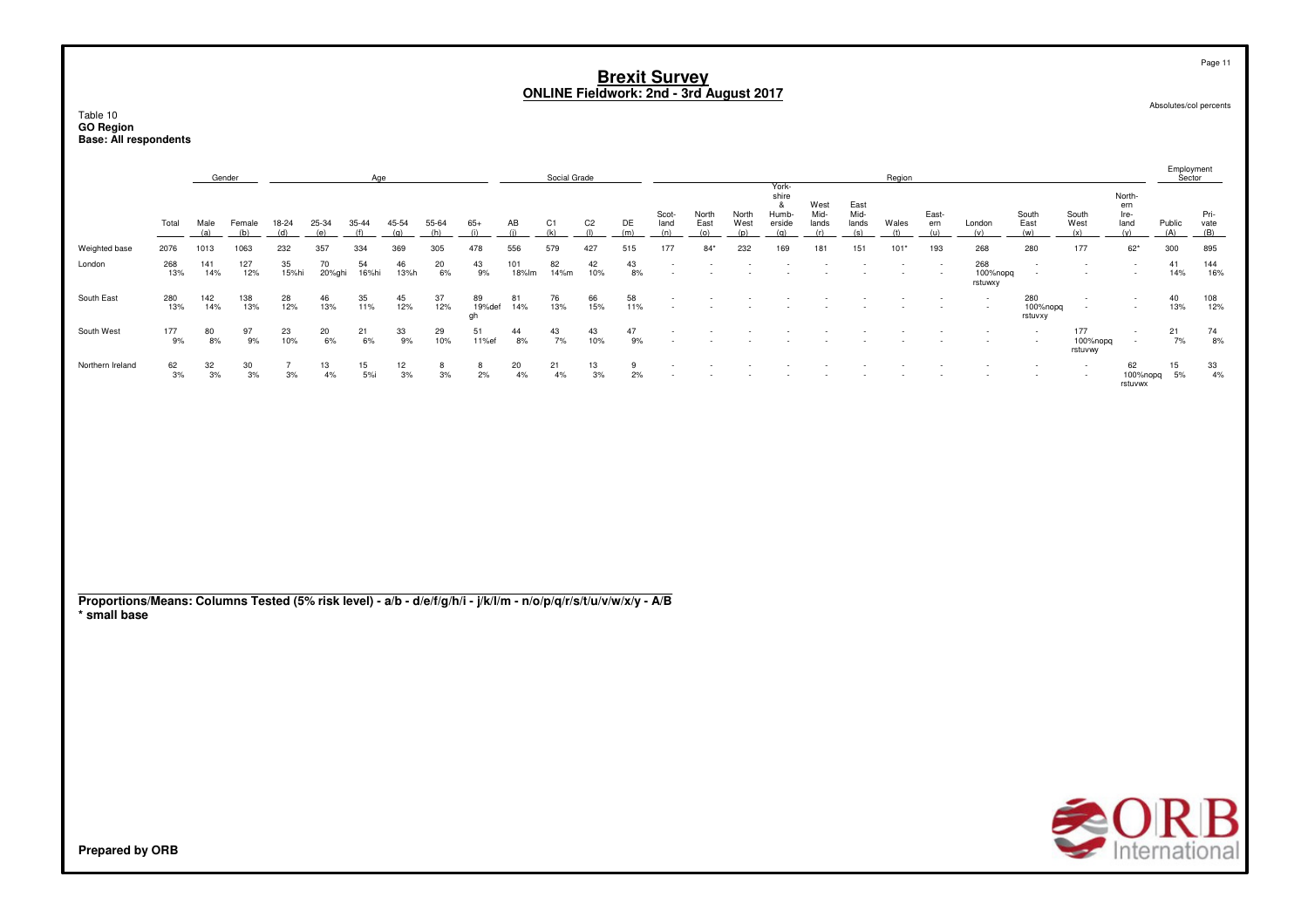Table 10**GO Region Base: All respondents**

|                                                                                                                                 |            |             | Gender        |              |                 | Age          |               |              |                    |              | Social Grade |                       |           |                      |                      |                      | York-                                |                              |                              | Region       |                     |                            |                                    |                            |                                      | Employment<br>Sector |                    |
|---------------------------------------------------------------------------------------------------------------------------------|------------|-------------|---------------|--------------|-----------------|--------------|---------------|--------------|--------------------|--------------|--------------|-----------------------|-----------|----------------------|----------------------|----------------------|--------------------------------------|------------------------------|------------------------------|--------------|---------------------|----------------------------|------------------------------------|----------------------------|--------------------------------------|----------------------|--------------------|
|                                                                                                                                 | Total      | Male<br>(a) | Female<br>(b) | 18-24<br>(d) | 25-34<br>(e)    | 35-44<br>(f) | 45-54<br>(q)  | 55-64<br>(h) | $65+$<br>(i)       | AB<br>(i)    | C1<br>(k)    | C <sub>2</sub><br>(1) | DE<br>(m) | Scot-<br>land<br>(n) | North<br>East<br>(o) | North<br>West<br>(p) | shire<br>&<br>Humb-<br>erside<br>(q) | West<br>Mid-<br>lands<br>(r) | East<br>Mid-<br>lands<br>(s) | Wales<br>(t) | East-<br>ern<br>(u) | London<br>(v)              | South<br>East<br>(w)               | South<br>West<br>(x)       | North-<br>ern<br>Ire-<br>land<br>(y) | Public<br>(A)        | Pri-<br>vate $(B)$ |
| Weighted base                                                                                                                   | 2076       | 1013        | 1063          | 232          | 357             | 334          | 369           | 305          | 478                | 556          | 579          | 427                   | 515       | 177                  | $84*$                | 232                  | 169                                  | 181                          | 151                          | $101*$       | 193                 | 268                        | 280                                | 177                        | $62*$                                | 300                  | 895                |
| London                                                                                                                          | 268<br>13% | 141<br>14%  | 127<br>12%    | 35<br>15%hi  | 70<br>20%ghi    | 54<br>16%hi  | 46<br>13%h    | 20<br>6%     | 43<br>9%           | 101<br>18%lm | 82<br>14%m   | 42<br>10%             | 43<br>8%  | $\blacksquare$       |                      |                      |                                      |                              |                              |              |                     | 268<br>100%nopq<br>rstuwxy | $\overline{\phantom{a}}$<br>$\sim$ |                            |                                      | 41<br>14%            | 144<br>16%         |
| South East                                                                                                                      | 280<br>13% | 142<br>14%  | 138<br>13%    | 28<br>12%    | 46<br>13%       | 35<br>11%    | 45<br>12%     | 37<br>12%    | 89<br>19%def<br>gh | 81<br>14%    | 76<br>13%    | 66<br>15%             | 58<br>11% |                      |                      |                      |                                      |                              |                              |              |                     |                            | 280<br>100%nopq<br>rstuvxy         | ۰.                         |                                      | 40<br>13%            | 108<br>12%         |
| South West                                                                                                                      | 177<br>9%  | 80<br>8%    | 97<br>9%      | 23<br>10%    | $^{20}_{\ 6\%}$ | 21<br>6%     | $^{33}_{9\%}$ | 29<br>10%    | 51<br>11%ef        | 44<br>8%     | 43<br>7%     | 43<br>10%             | 47<br>9%  |                      |                      |                      |                                      |                              |                              |              |                     |                            | $\overline{\phantom{a}}$<br>$\sim$ | 177<br>100%nopq<br>rstuvwy | $\overline{\phantom{a}}$<br>$\sim$   | 21<br>7%             | $^{74}_{8\%}$      |
| Northern Ireland                                                                                                                | 62<br>3%   | 32<br>3%    | 30<br>3%      | 7<br>3%      | 13<br>4%        | 15<br>5%i    | 12<br>3%      | 8<br>3%      | 8<br>2%            | 20<br>4%     | 21<br>4%     | 13<br>3%              | 9<br>2%   |                      |                      |                      |                                      |                              |                              |              |                     |                            |                                    |                            | 62<br>100%nopq<br>rstuvwx            | 15<br>5%             | $\frac{33}{4\%}$   |
|                                                                                                                                 |            |             |               |              |                 |              |               |              |                    |              |              |                       |           |                      |                      |                      |                                      |                              |                              |              |                     |                            |                                    |                            |                                      |                      |                    |
|                                                                                                                                 |            |             |               |              |                 |              |               |              |                    |              |              |                       |           |                      |                      |                      |                                      |                              |                              |              |                     |                            |                                    |                            |                                      |                      |                    |
| Proportions/Means: Columns Tested (5% risk level) - a/b - d/e/f/g/h/i - j/k/l/m - n/o/p/q/r/s/t/u/v/w/x/y - A/B<br>* small base |            |             |               |              |                 |              |               |              |                    |              |              |                       |           |                      |                      |                      |                                      |                              |                              |              |                     |                            |                                    |                            |                                      |                      |                    |
|                                                                                                                                 |            |             |               |              |                 |              |               |              |                    |              |              |                       |           |                      |                      |                      |                                      |                              |                              |              |                     |                            |                                    |                            |                                      |                      |                    |
|                                                                                                                                 |            |             |               |              |                 |              |               |              |                    |              |              |                       |           |                      |                      |                      |                                      |                              |                              |              |                     |                            |                                    |                            |                                      |                      |                    |
|                                                                                                                                 |            |             |               |              |                 |              |               |              |                    |              |              |                       |           |                      |                      |                      |                                      |                              |                              |              |                     |                            |                                    |                            |                                      |                      |                    |
|                                                                                                                                 |            |             |               |              |                 |              |               |              |                    |              |              |                       |           |                      |                      |                      |                                      |                              |                              |              |                     |                            |                                    |                            |                                      |                      |                    |



Page 11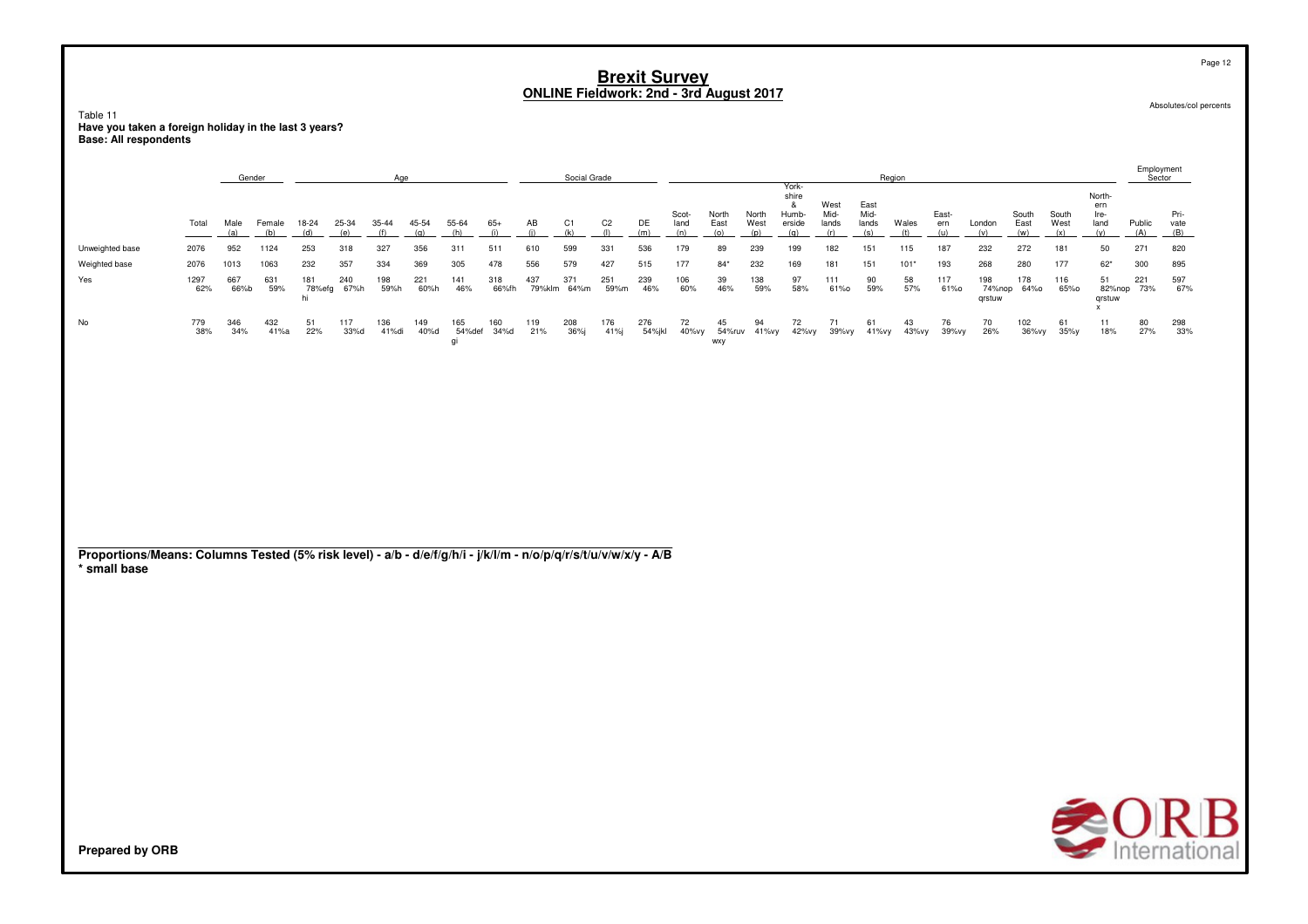Table 11 rable in<br>Have you taken a foreign holiday in the last 3 years?<br>Base: All respondents

|                                                                                                                                 |             | Gender      |               |                     |              | Age          |              |                     |                |               | Social Grade          |                       |               |                      |                      |                      |                                               |                              | Region                       |              |                     |                         |                      |                      |                                      | Employment<br>Sector |                     |
|---------------------------------------------------------------------------------------------------------------------------------|-------------|-------------|---------------|---------------------|--------------|--------------|--------------|---------------------|----------------|---------------|-----------------------|-----------------------|---------------|----------------------|----------------------|----------------------|-----------------------------------------------|------------------------------|------------------------------|--------------|---------------------|-------------------------|----------------------|----------------------|--------------------------------------|----------------------|---------------------|
|                                                                                                                                 | Total       | Male<br>(a) | Female<br>(b) | 18-24<br>(d)        | 25-34<br>(e) | 35-44<br>(f) | 45-54<br>(q) | 55-64<br>(h)        | $65+$<br>(i)   | AB<br>(i)     | C <sub>1</sub><br>(k) | C <sub>2</sub><br>(1) | DE<br>(m)     | Scot-<br>land<br>(n) | North<br>East<br>(o) | North<br>West<br>(p) | York-<br>shire<br>&<br>Humb-<br>erside<br>(q) | West<br>Mid-<br>lands<br>(r) | East<br>Mid-<br>lands<br>(s) | Wales<br>(t) | East-<br>ern<br>(u) | London<br>(v)           | South<br>East<br>(w) | South<br>West<br>(x) | North-<br>ern<br>Ire-<br>land<br>(y) | Public<br>(A)        | Pri-<br>vate<br>(B) |
| Unweighted base                                                                                                                 | 2076        | 952         | 1124          | 253                 | 318          | 327          | 356          | 311                 | 511            | 610           | 599                   | 331                   | 536           | 179                  | 89                   | 239                  | 199                                           | 182                          | 151                          | 115          | 187                 | 232                     | 272                  | 181                  | 50                                   | 271                  | 820                 |
| Weighted base                                                                                                                   | 2076        | 1013        | 1063          | 232                 | 357          | 334          | 369          | 305                 | 478            | 556           | 579                   | 427                   | 515           | 177                  | $84*$                | 232                  | 169                                           | 181                          | 151                          | $101*$       | 193                 | 268                     | 280                  | 177                  | $62*$                                | 300                  | 895                 |
| Yes                                                                                                                             | 1297<br>62% | 667<br>66%b | 631<br>59%    | 181<br>78%efg<br>hi | 240<br>67%h  | 198<br>59%h  | 221<br>60%h  | 141<br>46%          | 318<br>66%fh   | 437<br>79%klm | 371<br>64%m           | 251<br>59%m           | 239<br>46%    | 106<br>60%           | 39<br>46%            | 138<br>59%           | 97<br>58%                                     | 111<br>61%0                  | 90<br>59%                    | 58<br>57%    | 117<br>61%0         | 198<br>74%nop<br>qrstuw | 178<br>64%0          | 116<br>65%0          | 51<br>82%nop<br>qrstuw<br>x          | 221<br>73%           | 597<br>67%          |
| No                                                                                                                              | 779<br>38%  | 346<br>34%  | 432<br>41%a   | 51<br>22%           | 117<br>33%d  | 136<br>41%di | 149<br>40%d  | 165<br>54%def<br>qi | 160<br>$34%$ d | 119<br>21%    | 208<br>36%            | 176<br>41%j           | 276<br>54%jkl | 72<br>40%vy          | 45<br>wxy            | 94<br>54%ruv 41%vy   | 72<br>42%vy                                   | 71<br>39%vy                  | 61<br>41%vy                  | 43<br>43%vy  | 76<br>39%vy         | 70<br>26%               | 102<br>36%vy         | 61<br>35%y           | 11<br>18%                            | 80<br>27%            | 298<br>33%          |
|                                                                                                                                 |             |             |               |                     |              |              |              |                     |                |               |                       |                       |               |                      |                      |                      |                                               |                              |                              |              |                     |                         |                      |                      |                                      |                      |                     |
| Proportions/Means: Columns Tested (5% risk level) - a/b - d/e/f/g/h/i - j/k/l/m - n/o/p/q/r/s/t/u/v/w/x/y - A/B<br>* small base |             |             |               |                     |              |              |              |                     |                |               |                       |                       |               |                      |                      |                      |                                               |                              |                              |              |                     |                         |                      |                      |                                      |                      |                     |



Absolutes/col percents

Page 12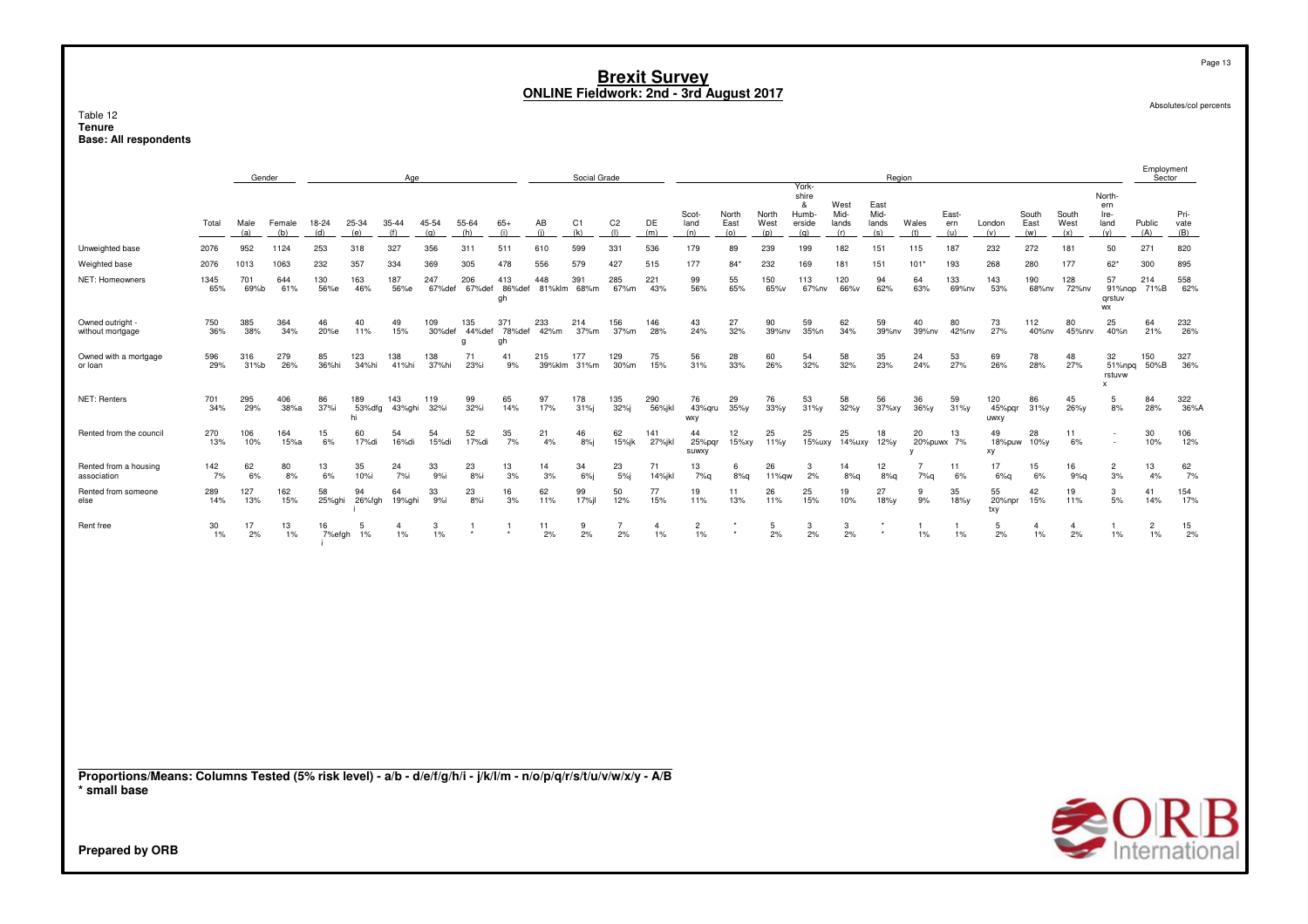#### Table 12**Tenure Base: All respondents**

|                                                                                                                                 |             | Gender      |               |              |                     | <u>Age</u>           |               |                    |                     |               | Social Grade       |                       |                      |                       |                      |                      |                                                |                              | Region                       |                       |                     |                       |                      |                                     |                                                      | Employment<br>Sector |                     |
|---------------------------------------------------------------------------------------------------------------------------------|-------------|-------------|---------------|--------------|---------------------|----------------------|---------------|--------------------|---------------------|---------------|--------------------|-----------------------|----------------------|-----------------------|----------------------|----------------------|------------------------------------------------|------------------------------|------------------------------|-----------------------|---------------------|-----------------------|----------------------|-------------------------------------|------------------------------------------------------|----------------------|---------------------|
|                                                                                                                                 | Total       | Male<br>(a) | Female<br>(b) | 18-24<br>(d) | 25-34<br>(e)        | 35-44<br>(f)         | 45-54<br>(q)  | 55-64<br>(h)       | $65+$<br>(i)        | AB<br>(i)     | C1<br>(k)          | C <sub>2</sub><br>(1) | DE<br>(m)            | Scot-<br>land<br>(n)  | North<br>East<br>(0) | North<br>West<br>(p) | York-<br>shire<br>-8<br>Humb-<br>erside<br>(q) | West<br>Mid-<br>lands<br>(r) | East<br>Mid-<br>lands<br>(s) | Wales<br>(t)          | East-<br>ern<br>(u) | London<br>(v)         | South<br>East<br>(w) | South<br>West<br>(x)                | North-<br>ern<br>Ire-<br>land<br>(y)                 | Public<br>(A)        | Pri-<br>vate<br>(B) |
| Unweighted base                                                                                                                 | 2076        | 952         | 1124          | 253          | 318                 | 327                  | 356           | 311                | 511                 | 610           | 599                | 331                   | 536                  | 179                   | 89                   | 239                  | 199                                            | 182                          | 151                          | 115                   | 187                 | 232                   | 272                  | 181                                 | 50                                                   | 271                  | 820                 |
| Weighted base                                                                                                                   | 2076        | 1013        | 1063          | 232          | 357                 | 334                  | 369           | 305                | 478                 | 556           | 579                | 427                   | 515                  | 177                   | $84*$                | 232                  | 169                                            | 181                          | 151                          | $101*$                | 193                 | 268                   | 280                  | 177                                 | $62*$                                                | 300                  | 895                 |
| NET: Homeowners                                                                                                                 | 1345<br>65% | 701<br>69%b | 644<br>61%    | 130<br>56%e  | 163<br>46%          | 187<br>56%e          | 247<br>67%def | 206<br>67%def      | 413<br>86%def<br>gh | 448           | 391<br>81%klm 68%m | 285<br>67%m           | 221<br>43%           | 99<br>56%             | 55<br>65%            | 150<br>65%v          | 113<br>67%nv                                   | 120<br>66%v                  | 94<br>62%                    | 64<br>63%             | 133<br>69%nv        | 143<br>53%            | 190<br>68%nv         | 128<br>72%nv                        | 57<br>91%nop<br>qrstuv<br>WX                         | 214<br>71%B          | 558<br>62%          |
| Owned outright -<br>without mortgage                                                                                            | 750<br>36%  | 385<br>38%  | 364<br>34%    | 46<br>20%e   | 40<br>11%           | 49<br>15%            | 109<br>30%def | 135<br>44%def<br>g | 371<br>78%def<br>gh | 233<br>42%m   | 214<br>37%m        | 156<br>37%m           | 146<br>28%           | 43<br>24%             | 27<br>32%            | 90<br>39%nv          | 59<br>35%n                                     | 62<br>34%                    | 59<br>39%nv                  | 40<br>39%nv           | 80<br>42%nv         | 73<br>27%             | 112<br>40%nv         | 80<br>45%nrv                        | 25<br>40%n                                           | 64<br>21%            | 232<br>26%          |
| Owned with a mortgage<br>or loan                                                                                                | 596<br>29%  | 316<br>31%  | 279<br>26%    | 85<br>36%hi  | 123<br>34%hi        | 138<br>41%hi         | 138<br>37%hi  | 71<br>23%i         | 41<br>9%            | 215<br>39%klm | 177<br>31%m        | 129<br>30%m           | 75<br>15%            | 56<br>31%             | 28<br>33%            | 60<br>26%            | 54<br>32%                                      | 58<br>32%                    | 35<br>23%                    | 24<br>24%             | 53<br>27%           | 69<br>26%             | 78<br>28%            | 48<br>27%                           | 32<br>51%npq<br>rstuvw<br>x                          | 150<br>50%B          | 327<br>36%          |
| NET: Renters                                                                                                                    | 701<br>34%  | 295<br>29%  | 406<br>38%a   | 86<br>37%i   | 189<br>53%dfg<br>hi | 143<br>43%ghi        | 119<br>32%i   | 99<br>32%i         | 65<br>14%           | 97<br>17%     | 178<br>31%j        | 135<br>32%            | 290<br>56%jkl        | 76<br>43%qru<br>wxy   | 29<br>35%у           | 76<br>33%y           | 53<br>31%y                                     | 58<br>32%y                   | 56<br>37%xy                  | 36<br>36%y            | 59<br>31%y          | 120<br>45%pqr<br>uwxy | 86<br>31%y           | 45<br>26%y                          | 5<br>8%                                              | 84<br>28%            | 322<br>36%A         |
| Rented from the council                                                                                                         | 270<br>13%  | 106<br>10%  | 164<br>15%a   | 15<br>6%     | 60<br>17%di         | 54<br>16%di          | 54<br>15%di   | 52<br>17%di        | 35<br>7%            | 21<br>4%      | 46<br>8%           | 62<br>15%jk           | 141<br>27%jkl        | 44<br>25%pqr<br>suwxy | 12<br>15%xy          | 25<br>11%y           | 25<br>15%uxy                                   | 25<br>14%uxy                 | 18<br>12%y                   | 20<br>v               | 13<br>20%puwx 7%    | 49<br>18%puw<br>хy    | 28<br>10%у           | 11<br>6%                            | $\overline{\phantom{a}}$<br>$\overline{\phantom{a}}$ | 30<br>10%            | 106<br>12%          |
| Rented from a housing<br>association                                                                                            | 142<br>7%   | 62<br>6%    | 80<br>8%      | 13<br>6%     | 35<br>10%i          | 24<br>7%i            | 33<br>9%      | 23<br>8%           | 13<br>3%            | 14<br>3%      | 34<br>$6\%$ j      | 23<br>5%              | 71<br>14%jkl         | 13<br>7%q             | 6<br>8%q             | 26<br>11%gw          | 3<br>2%                                        | 14<br>8%q                    | 12<br>8%q                    | $\overline{7}$<br>7%q | 11<br>6%            | 17<br>6%q             | 15<br>6%             | 16<br>9%q                           | $\overline{c}$<br>3%                                 | 13<br>4%             | 62<br>7%            |
| Rented from someone<br>else                                                                                                     | 289<br>14%  | 127<br>13%  | 162<br>15%    | 58<br>25%ghi | 94<br>26%fgh        | 64<br>19%ghi         | 33<br>$9%$ i  | 23<br>8%           | 16<br>3%            | 62<br>11%     | 99<br>17%jl        | 50<br>12%             | 77<br>15%            | 19<br>11%             | 11<br>13%            | 26<br>11%            | 25<br>15%                                      | 19<br>10%                    | 27<br>18%y                   | 9<br>9%               | 35<br>18%y          | 55<br>20%npr<br>txy   | 42<br>15%            | 19<br>11%                           | 3<br>5%                                              | 41<br>14%            | 154<br>17%          |
| Rent free                                                                                                                       | 30<br>$1\%$ | 17<br>2%    | 13<br>$1\%$   | 16<br>7%efgh | 5<br>$1\%$          | $\overline{4}$<br>1% | 3<br>1%       | 1                  | -1                  | 11<br>2%      | 9<br>2%            | 7<br>2%               | $\overline{4}$<br>1% | $\overline{2}$<br>1%  |                      | 5<br>2%              | 3<br>2%                                        | 3<br>2%                      |                              | 1<br>1%               | 1%                  | 5<br>2%               | $\overline{4}$<br>1% | $\overline{4}$<br>2%                | $\mathbf{1}$<br>1%                                   | $\overline{2}$<br>1% | 15<br>2%            |
|                                                                                                                                 |             |             |               |              |                     |                      |               |                    |                     |               |                    |                       |                      |                       |                      |                      |                                                |                              |                              |                       |                     |                       |                      |                                     |                                                      |                      |                     |
|                                                                                                                                 |             |             |               |              |                     |                      |               |                    |                     |               |                    |                       |                      |                       |                      |                      |                                                |                              |                              |                       |                     |                       |                      |                                     |                                                      |                      |                     |
|                                                                                                                                 |             |             |               |              |                     |                      |               |                    |                     |               |                    |                       |                      |                       |                      |                      |                                                |                              |                              |                       |                     |                       |                      |                                     |                                                      |                      |                     |
|                                                                                                                                 |             |             |               |              |                     |                      |               |                    |                     |               |                    |                       |                      |                       |                      |                      |                                                |                              |                              |                       |                     |                       |                      |                                     |                                                      |                      |                     |
| Proportions/Means: Columns Tested (5% risk level) - a/b - d/e/f/g/h/i - j/k/l/m - n/o/p/q/r/s/t/u/v/w/x/y - A/B<br>* small base |             |             |               |              |                     |                      |               |                    |                     |               |                    |                       |                      |                       |                      |                      |                                                |                              |                              |                       |                     |                       |                      |                                     |                                                      |                      |                     |
| <b>Prepared by ORB</b>                                                                                                          |             |             |               |              |                     |                      |               |                    |                     |               |                    |                       |                      |                       |                      |                      |                                                |                              |                              |                       |                     |                       |                      | $\bigotimes_{\text{International}}$ |                                                      |                      |                     |

Page 13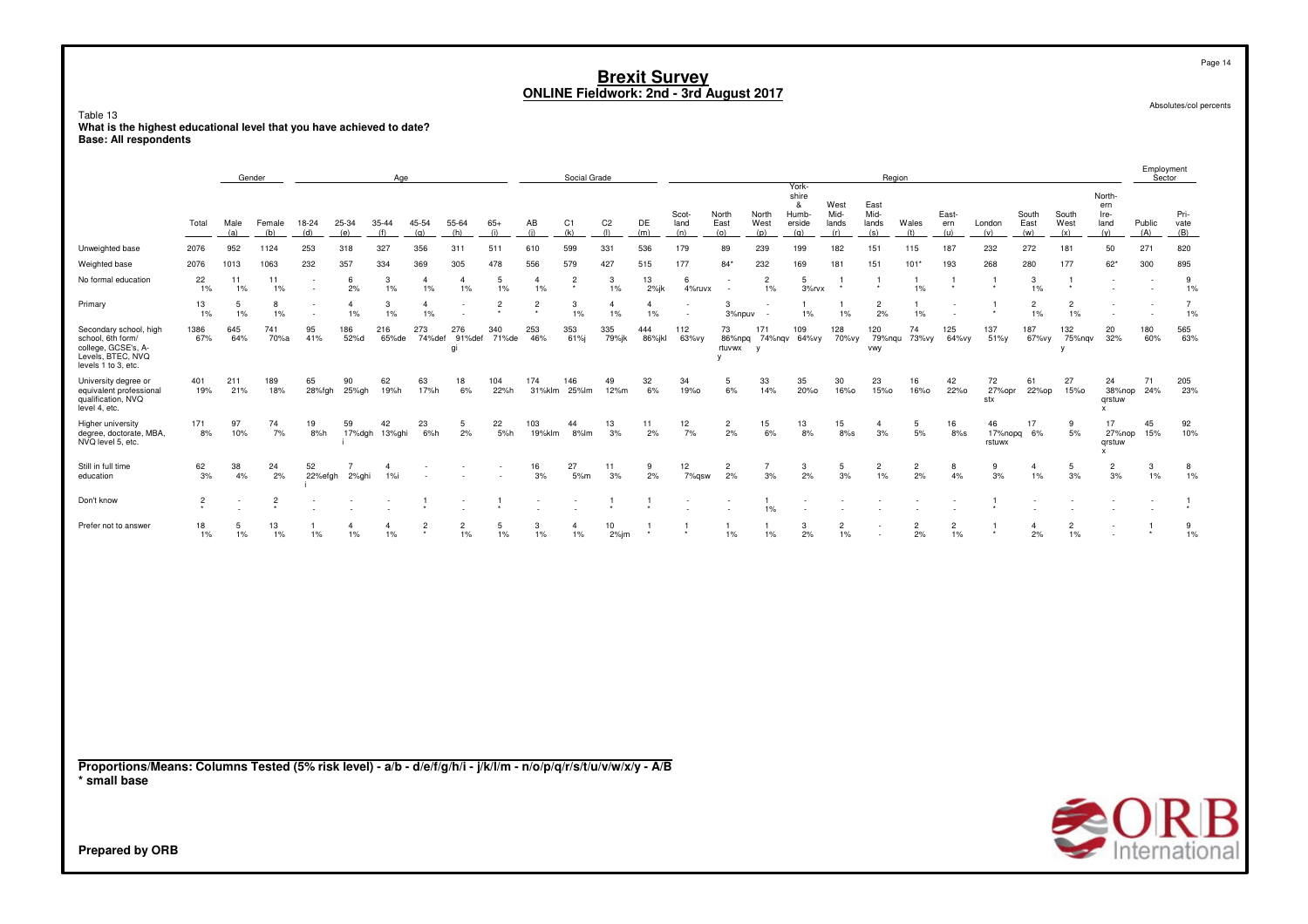#### Table 13**What is the highest educational level that you have achieved to date? Base: All respondents**

|                                                                                                                 |                |             | Gender         |               |              | Age                 |                      |                         |                |                      | Social Grade                    |                       |                      |                      |                      |                          |                                               |                              |                              | Region               |                      |                         |                      |                               |                                                     | Employment<br>Sector |                      |
|-----------------------------------------------------------------------------------------------------------------|----------------|-------------|----------------|---------------|--------------|---------------------|----------------------|-------------------------|----------------|----------------------|---------------------------------|-----------------------|----------------------|----------------------|----------------------|--------------------------|-----------------------------------------------|------------------------------|------------------------------|----------------------|----------------------|-------------------------|----------------------|-------------------------------|-----------------------------------------------------|----------------------|----------------------|
|                                                                                                                 | Total          | Male<br>(a) | Female<br>(b)  | 18-24<br>(d)  | 25-34<br>(e) | 35-44<br>(f)        | 45-54<br>(q)         | 55-64<br>(h)            | $65+$<br>(i)   | AB<br>(i)            | C1<br>(k)                       | C <sub>2</sub><br>(1) | DE<br>(m)            | Scot-<br>land<br>(n) | North<br>East<br>(o) | North<br>West<br>(p)     | York-<br>shire<br>&<br>Humb-<br>erside<br>(q) | West<br>Mid-<br>lands<br>(r) | East<br>Mid-<br>lands<br>(s) | Wales<br>(t)         | East-<br>ern<br>(u)  | London<br>(v)           | South<br>East<br>(w) | South<br>West<br>(x)          | North-<br>ern<br>Ire-<br>land<br>(y)                | Public<br>(A)        | Pri-<br>vate<br>(B)  |
| Unweighted base                                                                                                 | 2076           | 952         | 1124           | 253           | 318          | 327                 | 356                  | 311                     | 511            | 610                  | 599                             | 331                   | 536                  | 179                  | 89                   | 239                      | 199                                           | 182                          | 151                          | 115                  | 187                  | 232                     | 272                  | 181                           | 50                                                  | 271                  | 820                  |
| Weighted base                                                                                                   | 2076           | 1013        | 1063           | 232           | 357          | 334                 | 369                  | 305                     | 478            | 556                  | 579                             | 427                   | 515                  | 177                  | $84*$                | 232                      | 169                                           | 181                          | 151                          | $101*$               | 193                  | 268                     | 280                  | 177                           | $62*$                                               | 300                  | 895                  |
| No formal education                                                                                             | 22<br>1%       | 11<br>1%    | 11<br>$1\%$    | $\sim$        | 6<br>2%      | 3<br>1%             | $\overline{4}$<br>1% | $\overline{4}$<br>1%    | 5<br>1%        | $\overline{a}$<br>1% | $\overline{2}$<br>$\pmb{\star}$ | 3<br>1%               | 13<br>$2%$ jk        | 6<br>4%ruvx          |                      | $\overline{2}$<br>1%     | 5<br>3%rvx                                    | $\mathbf{1}$                 | -1                           | -1<br>1%             | 1                    | -1                      | 3<br>1%              | -1                            | $\overline{\phantom{a}}$                            |                      | 9<br>1%              |
| Primary                                                                                                         | 13<br>1%       | 5<br>1%     | 8<br>$1\%$     |               | 4<br>1%      | 3<br>1%             | $\overline{a}$<br>1% |                         | $\overline{2}$ | $\overline{2}$       | 3<br>$1\%$                      | $\overline{4}$<br>1%  | $\overline{4}$<br>1% | ٠                    | 3<br>3%npuv          | $\overline{\phantom{a}}$ | 1%                                            | -1<br>1%                     | $\overline{2}$<br>2%         | -1<br>1%             |                      | -1                      | $\overline{2}$<br>1% | $\overline{2}$<br>1%          |                                                     |                      | $\overline{7}$<br>1% |
| Secondary school, high<br>school, 6th form/<br>college, GCSE's, A-<br>Levels, BTEC, NVQ<br>levels 1 to 3, etc.  | 1386<br>67%    | 645<br>64%  | 741<br>70%a    | 95<br>41%     | 186<br>52%d  | 216<br>65%de        | 273<br>74%def        | 276<br>91%def<br>gi     | 340<br>71%de   | 253<br>46%           | 353<br>61%j                     | 335<br>79%jk          | 444<br>86%jkl        | 112<br>63%vy         | 73<br>rtuvwx<br>y    | 171<br>y                 | 109<br>86%npq 74%nqv 64%vy                    | 128<br>70%vу                 | 120<br>vwy                   | 74<br>79%nqu 73%vy   | 125<br>64%vy         | 137<br>51%y             | 187<br>67%vy         | 132<br>75%nqv<br>$\mathsf{v}$ | 20<br>32%                                           | 180<br>60%           | 565<br>63%           |
| University degree or<br>equivalent professional<br>qualification, NVQ<br>level 4, etc.                          | 401<br>19%     | 211<br>21%  | 189<br>18%     | 65<br>28%fgh  | 90<br>25%gh  | 62<br>19%h          | 63<br>17%h           | 18<br>6%                | 104<br>22%h    | 174                  | 146<br>31%klm 25%lm             | 49<br>12%m            | 32<br>6%             | 34<br>19%0           | -5<br>6%             | 33<br>14%                | 35<br>20%0                                    | 30<br>16%0                   | 23<br>15%0                   | 16<br>16%0           | 42<br>22%0           | 72<br>27%opr<br>stx     | 61<br>22%op          | 27<br>15%0                    | 24<br>38%nop<br>grstuw<br>$\boldsymbol{\mathsf{x}}$ | 71<br>24%            | 205<br>23%           |
| Higher university<br>degree, doctorate, MBA,<br>NVQ level 5, etc.                                               | 171<br>8%      | 97<br>10%   | 74<br>7%       | 19<br>8%h     | 59<br>17%dgh | 42<br>13%ghi        | 23<br>6%h            | 5<br>2%                 | 22<br>5%h      | 103<br>19%klm        | 44<br>8%lm                      | 13<br>3%              | 11<br>2%             | 12<br>7%             | $\overline{2}$<br>2% | 15<br>6%                 | 13<br>8%                                      | 15<br>$8\%s$                 | $\overline{4}$<br>3%         | 5<br>5%              | 16<br>8%s            | 46<br>17%nopq<br>rstuwx | 17<br>6%             | 9<br>$5%$                     | 17<br>27%nop<br>qrstuw<br>X                         | 45<br>15%            | 92<br>10%            |
| Still in full time<br>education                                                                                 | 62<br>3%       | 38<br>4%    | 24<br>2%       | 52<br>22%efgh | 2%ghi        | $\mathbf{4}$<br>1%i |                      |                         |                | 16<br>3%             | 27<br>5%m                       | 11<br>3%              | 9<br>2%              | 12<br>7%gsw          | $\overline{2}$<br>2% | $\overline{7}$<br>3%     | $\mathbf{3}$<br>2%                            | 5<br>3%                      | $\overline{2}$<br>1%         | $\overline{2}$<br>2% | 8<br>4%              | 9<br>3%                 | $\mathbf{4}$<br>1%   | 5<br>3%                       | $\overline{2}$<br>3%                                | 3<br>1%              | 8<br>1%              |
| Don't know                                                                                                      | $\overline{c}$ |             | $\overline{c}$ |               |              |                     |                      |                         |                |                      |                                 |                       |                      |                      |                      | $\overline{1}$<br>1%     | $\overline{a}$                                |                              |                              |                      |                      | $\mathbf{1}$            |                      | $\overline{\phantom{a}}$      |                                                     |                      | $\mathbf{1}$         |
| Prefer not to answer                                                                                            | 18<br>1%       | 5<br>1%     | 13<br>$1\%$    | -1<br>1%      | 4<br>$1\%$   | 4<br>1%             | $\overline{c}$       | $\overline{c}$<br>$1\%$ | 5<br>$1\%$     | 3<br>$1\%$           | $\overline{4}$<br>1%            | 10<br>$2\%$ jm        | $\overline{1}$       |                      | -1<br>1%             | 1<br>1%                  | 3<br>2%                                       | $\overline{2}$<br>$1\%$      |                              | $\overline{c}$<br>2% | $\overline{2}$<br>1% | $\overline{1}$          | $\overline{4}$<br>2% | $\overline{c}$<br>$1\%$       |                                                     | -1                   | 9<br>1%              |
| Proportions/Means: Columns Tested (5% risk level) - a/b - d/e/f/g/h/i - j/k/l/m - n/o/p/q/r/s/t/u/v/w/x/y - A/B |                |             |                |               |              |                     |                      |                         |                |                      |                                 |                       |                      |                      |                      |                          |                                               |                              |                              |                      |                      |                         |                      |                               |                                                     |                      |                      |
| * small base<br><b>Prepared by ORB</b>                                                                          |                |             |                |               |              |                     |                      |                         |                |                      |                                 |                       |                      |                      |                      |                          |                                               |                              |                              |                      |                      |                         |                      | <b>SORB</b>                   |                                                     |                      | B                    |

Absolutes/col percents

Page 14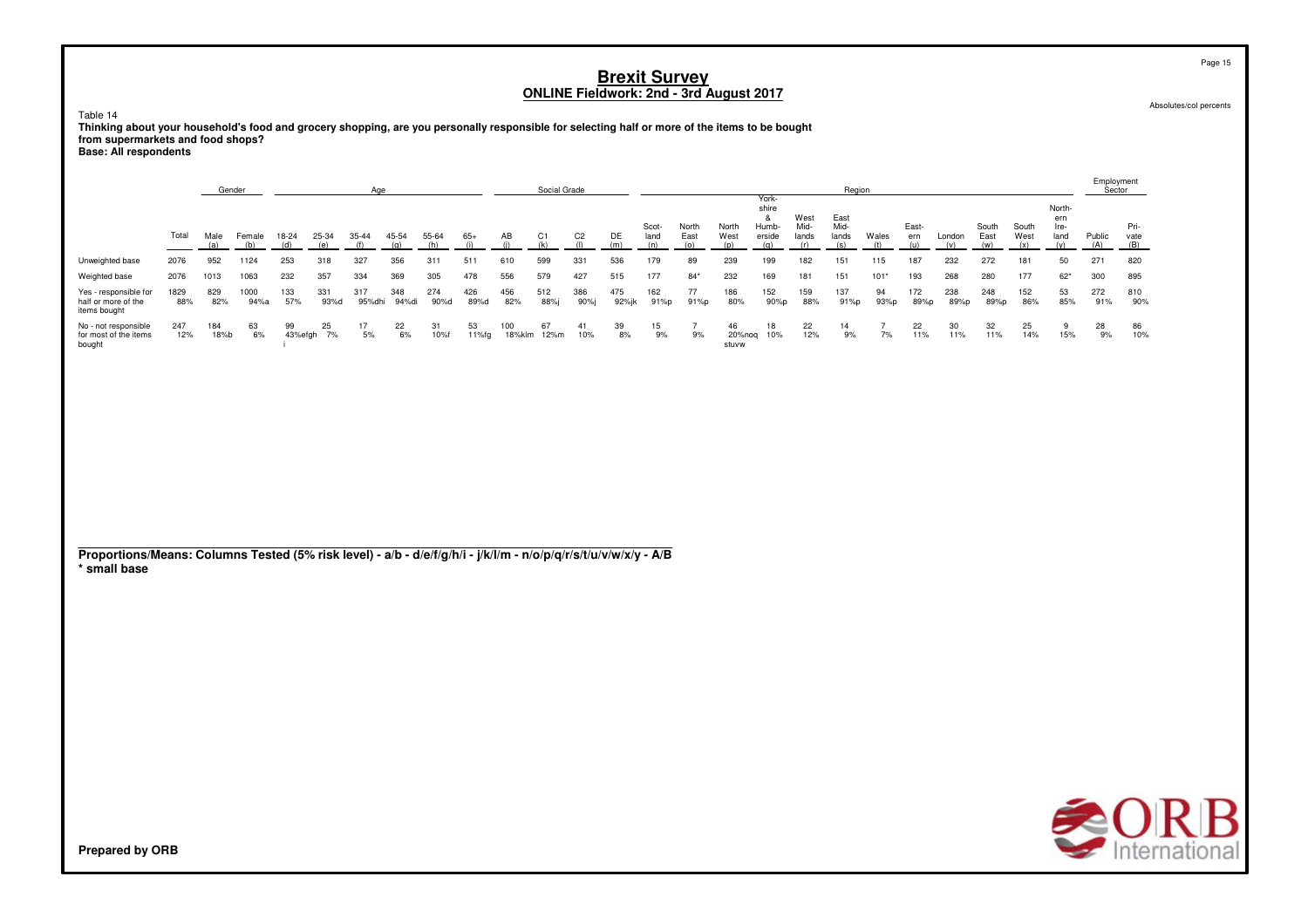Table 14

**Thinking about your household's food and grocery shopping, are you personally responsible for selecting half or more of the items to be bought from supermarkets and food shops?**

**Base: All respondents**

|                                                                                                                                 |             |             | Gender       |            |                  | Age           |              |             |             |               | Social Grade |                |              |               |                        |                       |                                        |                       | Region                |                      |              |             |               |               |                               | . <i>.</i><br>Sector |              |
|---------------------------------------------------------------------------------------------------------------------------------|-------------|-------------|--------------|------------|------------------|---------------|--------------|-------------|-------------|---------------|--------------|----------------|--------------|---------------|------------------------|-----------------------|----------------------------------------|-----------------------|-----------------------|----------------------|--------------|-------------|---------------|---------------|-------------------------------|----------------------|--------------|
|                                                                                                                                 | Total       | Male        | Female       | 18-24      | 25-34            | 35-44         | 45-54        | 55-64       | $65+$       | AB            | C1           | C <sub>2</sub> | DE           | Scot-<br>land | North<br>East          | North<br>West         | York-<br>shire<br>&<br>Humb-<br>erside | West<br>Mid-<br>lands | East<br>Mid-<br>lands | Wales                | East-<br>ern | London      | South<br>East | South<br>West | North-<br>ern<br>Ire-<br>land | Public               | Pri-<br>vate |
| Unweighted base                                                                                                                 | 2076        | (a)<br>952  | (b)<br>1124  | (d)<br>253 | (e)<br>318       | (f)<br>327    | (q)<br>356   | (h)<br>311  | (i)<br>511  | (i)<br>610    | (k)<br>599   | (1)<br>331     | (m)<br>536   | (n)<br>179    | (o)<br>89              | (p)<br>239            | (q)<br>199                             | (r)<br>182            | (s)<br>151            | (t)<br>115           | (u)<br>187   | (v)<br>232  | (w)<br>272    | (x)<br>181    | (y)<br>50                     | (A)<br>271           | (B)<br>820   |
| Weighted base                                                                                                                   | 2076        | 1013        | 1063         | 232        | 357              | 334           | 369          | 305         | 478         | 556           | 579          | 427            | 515          | 177           | $84*$                  | 232                   | 169                                    | 181                   | 151                   | $101*$               | 193          | 268         | 280           | 177           | $62*$                         | 300                  | 895          |
| Yes - responsible for<br>half or more of the<br>items bought                                                                    | 1829<br>88% | 829<br>82%  | 1000<br>94%a | 133<br>57% | 331<br>93%d      | 317<br>95%dhi | 348<br>94%di | 274<br>90%d | 426<br>89%d | 456<br>82%    | 512<br>88%j  | 386<br>$90%$ j | 475<br>92%jk | 162<br>91%p   | 77<br>91%p             | 186<br>80%            | 152<br>90%p                            | 159<br>88%            | 137<br>91%p           | 94<br>93%p           | 172<br>89%p  | 238<br>89%p | 248<br>89%p   | 152<br>86%    | 53<br>85%                     | 272<br>91%           | 810<br>90%   |
| No - not responsible<br>for most of the items<br>bought                                                                         | 247<br>12%  | 184<br>18%b | 63<br>6%     | 99         | 25<br>43%efgh 7% | 17<br>5%      | 22<br>6%     | 31<br>10%f  | 53<br>11%fg | 100<br>18%klm | 67<br>12%m   | 41<br>10%      | 39<br>8%     | 15<br>9%      | $\overline{7}$<br>$9%$ | 46<br>20%noq<br>stuvw | 18<br>10%                              | 22<br>12%             | 14<br>9%              | $\overline{7}$<br>7% | 22<br>11%    | 30<br>11%   | 32<br>11%     | 25<br>14%     | 9<br>15%                      | 28<br>9%             | 86<br>10%    |
|                                                                                                                                 |             |             |              |            |                  |               |              |             |             |               |              |                |              |               |                        |                       |                                        |                       |                       |                      |              |             |               |               |                               |                      |              |
|                                                                                                                                 |             |             |              |            |                  |               |              |             |             |               |              |                |              |               |                        |                       |                                        |                       |                       |                      |              |             |               |               |                               |                      |              |
|                                                                                                                                 |             |             |              |            |                  |               |              |             |             |               |              |                |              |               |                        |                       |                                        |                       |                       |                      |              |             |               |               |                               |                      |              |
| Proportions/Means: Columns Tested (5% risk level) - a/b - d/e/f/g/h/i - j/k/l/m - n/o/p/q/r/s/t/u/v/w/x/y - A/B<br>* small base |             |             |              |            |                  |               |              |             |             |               |              |                |              |               |                        |                       |                                        |                       |                       |                      |              |             |               |               |                               |                      |              |
|                                                                                                                                 |             |             |              |            |                  |               |              |             |             |               |              |                |              |               |                        |                       |                                        |                       |                       |                      |              |             |               |               |                               |                      |              |
|                                                                                                                                 |             |             |              |            |                  |               |              |             |             |               |              |                |              |               |                        |                       |                                        |                       |                       |                      |              |             |               |               |                               |                      |              |
|                                                                                                                                 |             |             |              |            |                  |               |              |             |             |               |              |                |              |               |                        |                       |                                        |                       |                       |                      |              |             |               |               |                               |                      |              |
|                                                                                                                                 |             |             |              |            |                  |               |              |             |             |               |              |                |              |               |                        |                       |                                        |                       |                       |                      |              |             |               |               |                               |                      |              |
|                                                                                                                                 |             |             |              |            |                  |               |              |             |             |               |              |                |              |               |                        |                       |                                        |                       |                       |                      |              |             |               |               | <b>CALL</b>                   |                      |              |
|                                                                                                                                 |             |             |              |            |                  |               |              |             |             |               |              |                |              |               |                        |                       |                                        |                       |                       |                      |              |             |               |               |                               |                      |              |

Absolutes/col percents

Page 15

Employment

**SORB**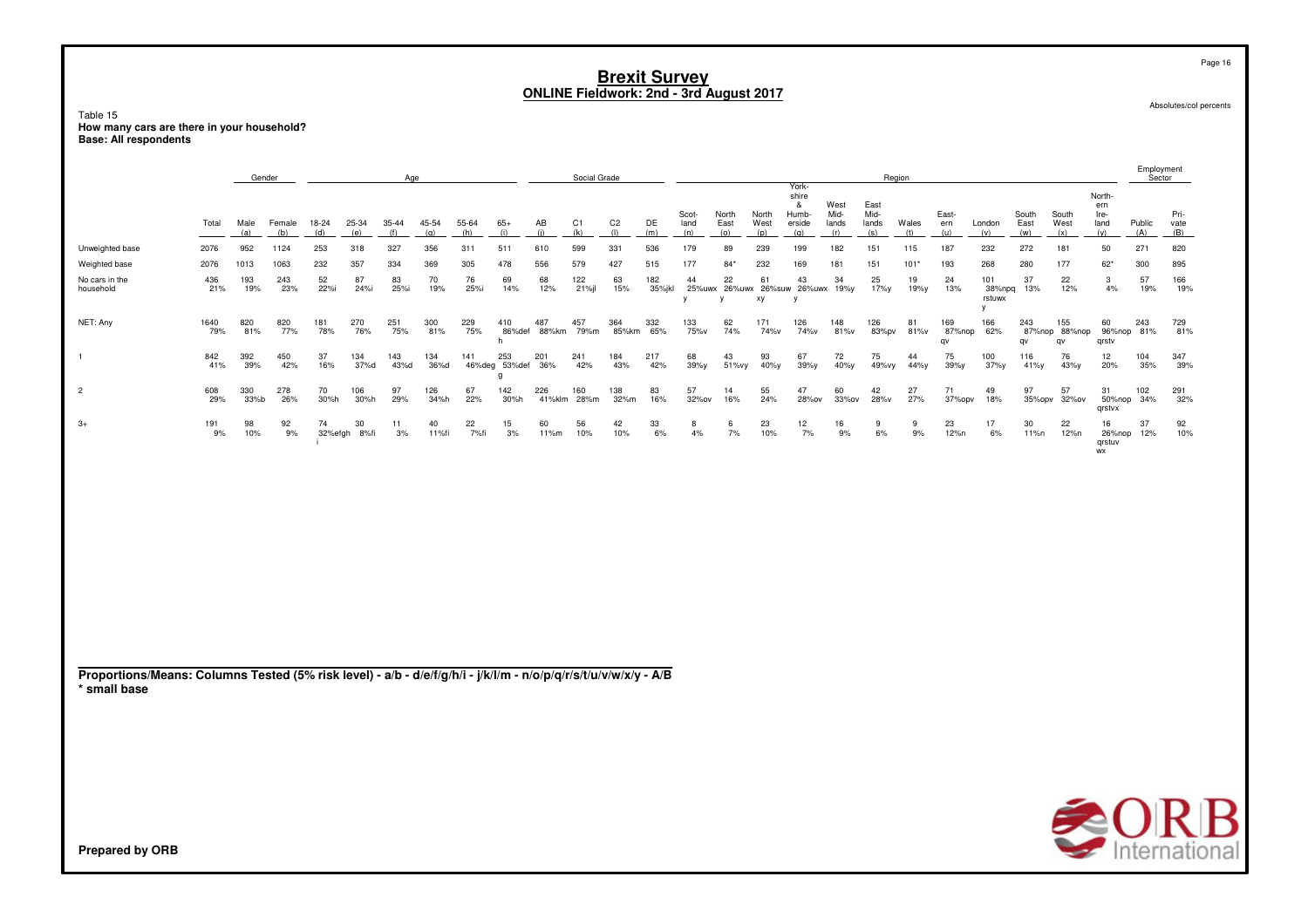Table 15 How many cars are there in your household?<br>Base: All respondents

|                                                                                                                                 |             |             | Gender        |               |              | Age          |              |              |                           |                     | Social Grade |                       |               |                      |                      |                      |                                                |                              |                              | Region       |                     |                              |                      |                            |                                      | Employment<br>Sector |                     |
|---------------------------------------------------------------------------------------------------------------------------------|-------------|-------------|---------------|---------------|--------------|--------------|--------------|--------------|---------------------------|---------------------|--------------|-----------------------|---------------|----------------------|----------------------|----------------------|------------------------------------------------|------------------------------|------------------------------|--------------|---------------------|------------------------------|----------------------|----------------------------|--------------------------------------|----------------------|---------------------|
|                                                                                                                                 | Total       | Male<br>(a) | Female<br>(b) | 18-24<br>(d)  | 25-34<br>(e) | 35-44<br>(f) | 45-54<br>(q) | 55-64<br>(h) | $65+$<br>(i)              | AB<br>(i)           | C1<br>(k)    | C <sub>2</sub><br>(1) | DE<br>(m)     | Scot-<br>land<br>(n) | North<br>East<br>(0) | North<br>West<br>(p) | York-<br>shire<br>-8<br>Humb-<br>erside<br>(q) | West<br>Mid-<br>lands<br>(r) | East<br>Mid-<br>lands<br>(s) | Wales<br>(t) | East-<br>ern<br>(u) | London<br>(v)                | South<br>East<br>(w) | South<br>West<br>(x)       | North-<br>ern<br>Ire-<br>land<br>(y) | Public<br>(A)        | Pri-<br>vate<br>(B) |
| Unweighted base                                                                                                                 | 2076        | 952         | 1124          | 253           | 318          | 327          | 356          | 311          | 511                       | 610                 | 599          | 331                   | 536           | 179                  | 89                   | 239                  | 199                                            | 182                          | 151                          | 115          | 187                 | 232                          | 272                  | 181                        | 50                                   | 271                  | 820                 |
| Weighted base                                                                                                                   | 2076        | 1013        | 1063          | 232           | 357          | 334          | 369          | 305          | 478                       | 556                 | 579          | 427                   | 515           | 177                  | $84*$                | 232                  | 169                                            | 181                          | 151                          | $101*$       | 193                 | 268                          | 280                  | 177                        | $62*$                                | 300                  | 895                 |
| No cars in the<br>household                                                                                                     | 436<br>21%  | 193<br>19%  | 243<br>23%    | 52<br>22%i    | 87<br>24%i   | 83<br>25%i   | 70<br>19%    | 76<br>25%i   | 69<br>14%                 | 68<br>12%           | 122<br>21%   | 63<br>15%             | 182<br>35%jkl | 44<br>V              | 22<br>v              | 61<br>хy             | 43<br>25%uwx 26%uwx 26%suw 26%uwx 19%y<br>y    | 34                           | 25<br>17%y                   | 19<br>19%у   | 24<br>13%           | 101<br>38%npq<br>rstuwx<br>y | 37<br>13%            | 22<br>12%                  | 3<br>4%                              | 57<br>19%            | 166<br>19%          |
| NET: Any                                                                                                                        | 1640<br>79% | 820<br>81%  | 820<br>77%    | 181<br>78%    | 270<br>76%   | 251<br>75%   | 300<br>81%   | 229<br>75%   | 410<br>h                  | 487<br>86%def 88%km | 457<br>79%m  | 364<br>85%km          | 332<br>65%    | 133<br>75%v          | 62<br>74%            | 171<br>74%v          | 126<br>74%v                                    | 148<br>81%v                  | 126<br>83%pv                 | 81<br>81%v   | 169<br>87%nop<br>qv | 166<br>62%                   | 243<br>qv            | 155<br>87%nop 88%nop<br>qv | 60<br>qrstv                          | 243<br>96%nop 81%    | 729<br>81%          |
| $\mathbf{1}$                                                                                                                    | 842<br>41%  | 392<br>39%  | 450<br>42%    | 37<br>16%     | 134<br>37%d  | 143<br>43%d  | 134<br>36%d  | 141          | 253<br>46%deg 53%def<br>g | 201<br>36%          | 241<br>42%   | 184<br>43%            | 217<br>42%    | 68<br>39%y           | 43<br>51%vy          | 93<br>40%y           | 67<br>39%y                                     | 72<br>40%y                   | 75<br>49%vy                  | 44<br>44%y   | 75<br>39%y          | 100<br>37%y                  | 116<br>41%y          | 76<br>43%y                 | 12 <sup>2</sup><br>20%               | 104<br>35%           | 347<br>39%          |
| $\overline{2}$                                                                                                                  | 608<br>29%  | 330<br>33%b | 278<br>26%    | 70<br>30%h    | 106<br>30%h  | 97<br>29%    | 126<br>34%h  | 67<br>22%    | 142<br>30%h               | 226<br>41%klm       | 160<br>28%m  | 138<br>32%m           | 83<br>16%     | 57<br>32%ov          | 14<br>16%            | 55<br>24%            | 47<br>28%ov                                    | 60<br>33%ov                  | 42<br>28%v                   | 27<br>27%    | 71<br>37%opv        | 49<br>18%                    | 97<br>35%opv         | 57<br>32%ov                | 31<br>qrstvx                         | 102<br>50%nop 34%    | 291<br>32%          |
| $3+$                                                                                                                            | 191<br>9%   | 98<br>10%   | 92<br>9%      | 74<br>32%efgh | 30<br>8%fi   | 11<br>3%     | 40<br>11%fi  | 22<br>7%fi   | 15<br>3%                  | 60<br>11%m          | 56<br>10%    | 42<br>10%             | 33<br>6%      | 8<br>4%              | 6<br>7%              | 23<br>10%            | 12<br>7%                                       | 16<br>9%                     | 9<br>6%                      | 9<br>9%      | 23<br>12%n          | 17<br>6%                     | 30<br>11%n           | 22<br>12%n                 | 16<br>26%nop<br>qrstuv<br>WX         | 37<br>12%            | 92<br>10%           |
| Proportions/Means: Columns Tested (5% risk level) - a/b - d/e/f/g/h/i - j/k/l/m - n/o/p/q/r/s/t/u/v/w/x/y - A/B<br>* small base |             |             |               |               |              |              |              |              |                           |                     |              |                       |               |                      |                      |                      |                                                |                              |                              |              |                     |                              |                      |                            |                                      |                      |                     |
|                                                                                                                                 |             |             |               |               |              |              |              |              |                           |                     |              |                       |               |                      |                      |                      |                                                |                              |                              |              |                     |                              |                      |                            |                                      |                      |                     |
|                                                                                                                                 |             |             |               |               |              |              |              |              |                           |                     |              |                       |               |                      |                      |                      |                                                |                              |                              |              |                     |                              |                      |                            | $\sim$ $\sim$ $\sim$                 |                      |                     |

**Prepared by ORB** 

Page 16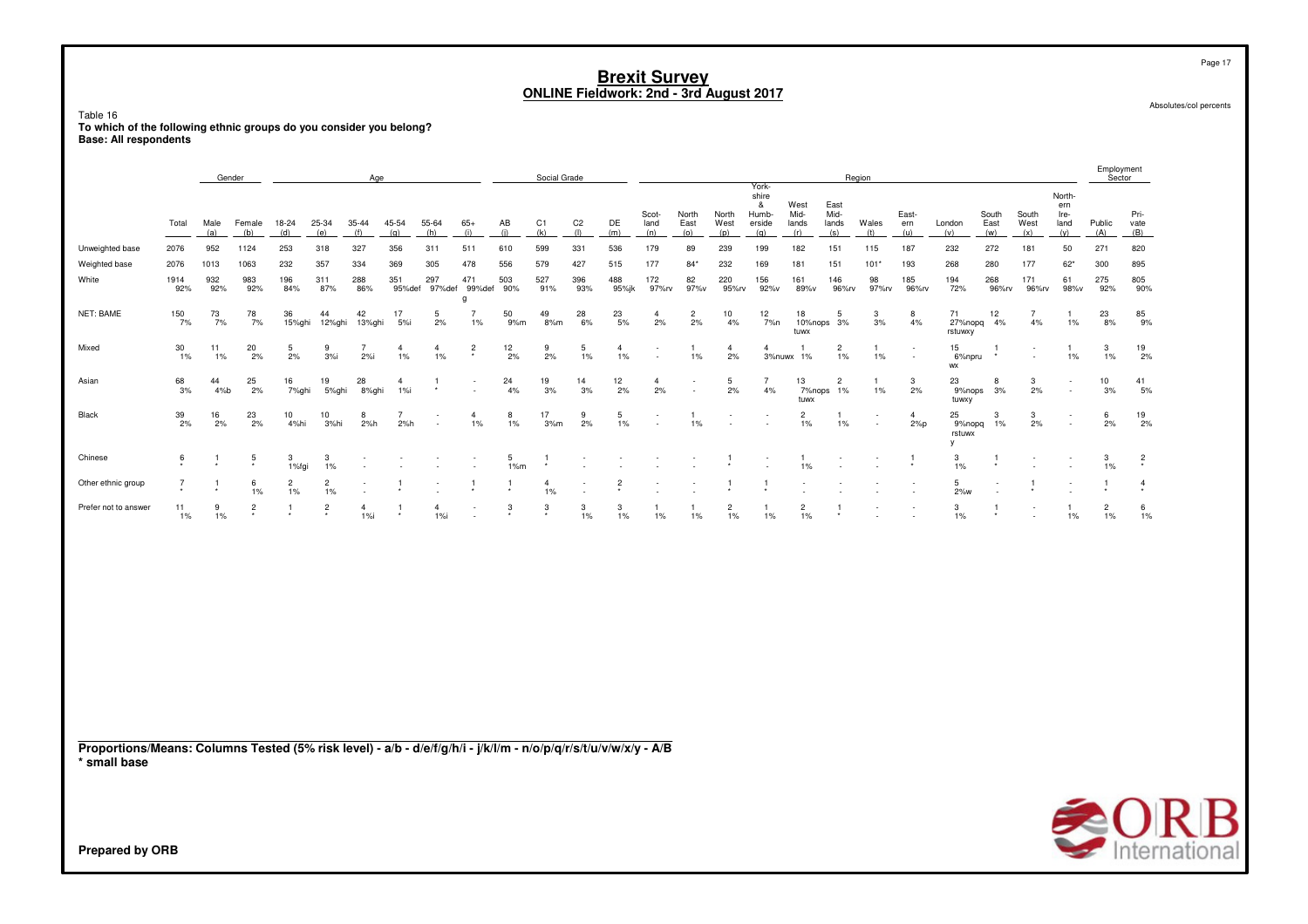Table 16**To which of the following ethnic groups do you consider you belong? Base: All respondents**

| shire<br>North-<br>East<br>&<br>West<br>ern<br>Mid-<br>Scot-<br>North<br>North<br>Humb-<br>Mid-<br>East-<br>South<br>South<br>Ire-<br>Pri-<br>C <sub>2</sub><br>DE<br>Public<br>$65+$<br>AB<br>C1<br>Wales<br>Male<br>Female<br>18-24<br>25-34<br>35-44<br>45-54<br>55-64<br>land<br>East<br>West<br>East<br>West<br>land<br>Total<br>erside<br>lands<br>lands<br>ern<br>London<br>vate<br>(m)<br>(A)<br>(h)<br>(i)<br>(i)<br>(k)<br>(1)<br>(o)<br>(w)<br>(B)<br>(a)<br>(b)<br>(d)<br>(e)<br>(f)<br>(q)<br>(n)<br>(p)<br>(q)<br>(r)<br>(s)<br>(t)<br>(u)<br>(v)<br>(x)<br>(y)<br>1124<br>239<br>271<br>820<br>2076<br>952<br>253<br>318<br>327<br>356<br>311<br>511<br>610<br>599<br>331<br>536<br>179<br>89<br>199<br>182<br>151<br>115<br>187<br>232<br>272<br>181<br>50<br>Unweighted base<br>2076<br>1013<br>1063<br>232<br>357<br>334<br>369<br>305<br>478<br>556<br>579<br>427<br>515<br>177<br>$84*$<br>232<br>169<br>181<br>151<br>$101*$<br>193<br>268<br>280<br>177<br>$62*$<br>300<br>895<br>Weighted base<br>172<br>82<br>98<br>185<br>268<br>171<br>275<br>White<br>1914<br>932<br>983<br>196<br>311<br>288<br>351<br>297<br>471<br>503<br>527<br>396<br>488<br>220<br>156<br>161<br>146<br>194<br>61<br>805<br>92%<br>86%<br>93%<br>97%v<br>95%rv<br>96%rv<br>72%<br>96%rv<br>96%rv<br>92%<br>92%<br>84%<br>87%<br>95%def<br>97%def<br>99%def<br>90%<br>91%<br>95%jk<br>97%rv<br>92%v<br>89%v<br>97%rv<br>96%rv<br>98%v<br>92%<br>90%<br>g<br>NET: BAME<br>150<br>73<br>78<br>36<br>42<br>17<br>$\overline{7}$<br>50<br>49<br>28<br>23<br>$\frac{2}{2\%}$<br>10<br>12<br>18<br>71<br>23<br>85<br>44<br>5<br>5<br>3<br>12<br>7<br>$\overline{a}$<br>8<br>$\mathbf{1}$<br>2%<br>2%<br>8%<br>7%<br>7%<br>7%<br>12%ghi<br>5%i<br>1%<br>8%m<br>5%<br>4%<br>10%nops 3%<br>3%<br>4%<br>27%nopq<br>4%<br>4%<br>1%<br>9%<br>15%ghi<br>13%ghi<br>9%m<br>6%<br>7%n<br>tuwx<br>rstuwxy<br>30<br>12<br>15<br>19<br>11<br>20<br>5<br>5<br>$\overline{c}$<br>Mixed<br>9<br>$\overline{7}$<br>$\overline{\mathbf{c}}$<br>9<br>$\overline{4}$<br>4<br>3<br>$\overline{4}$<br>$\overline{4}$<br>$\mathbf{A}$<br>$\mathbf{1}$<br>-1<br>$1\%$<br>2%<br>2%<br>3%<br>2%i<br>1%<br>1%<br>2%<br>2%<br>$1\%$<br>$1\%$<br>$1\%$<br>$2\%$<br>3%nuwx 1%<br>$1\%$<br>$1\%$<br>6%npru<br>1%<br>$1\%$<br>2%<br>$1\%$<br>٠<br>$\overline{\phantom{a}}$<br>WX<br>68<br>12<br>41<br>Asian<br>44<br>25<br>16<br>19<br>28<br>24<br>19<br>14<br>5<br>$\overline{7}$<br>13<br>$\overline{c}$<br>23<br>3<br>10<br>1<br>3<br>8<br>4%<br>2%<br>2%<br>4%<br>$1\%$<br>2%<br>5%<br>2%<br>5%ghi<br>1%<br>3%<br>2%<br>7%nops<br>9%nops<br>3%<br>3%<br>4%b<br>7%ghi<br>8%ghi<br>3%<br>1%<br>2%<br>3%<br>tuwx<br>tuwxy<br>39<br>17<br>9<br>5<br>19<br>Black<br>16<br>23<br>10<br>10<br>8<br>$\overline{c}$<br>25<br>3<br>$\overline{7}$<br>$\overline{4}$<br>8<br>$\overline{4}$<br>3<br>6<br>-1<br>1<br>$\sim$<br>2%<br>1%<br>1%<br>$1\%$<br>$1\%$<br>2%<br>2%<br>2%<br>4%hi<br>3%hi<br>2%h<br>2%h<br>1%<br>1%<br>3%m<br>$2\%p$<br>9%nopq<br>1%<br>2%<br>2%<br>2%<br>$\overline{\phantom{a}}$<br>$\sim$<br>rstuwx<br>у<br>6<br>3<br>$\frac{2}{x}$<br>Chinese<br>3<br>5<br>3<br>3<br>$\mathbf{1}$<br>5<br>1%fqi<br>1%<br>1%m<br>1%<br>$1\%$<br>1%<br>÷<br>$\frac{2}{1\%}$<br>Other ethnic group<br>$\overline{7}$<br>$2$<br>1%<br>$\overline{c}$<br>5<br>$\overline{4}$<br>$\overline{4}$<br>6<br>1%<br>1%<br>2%w<br>$6\phantom{.0}$<br>11<br>9<br>$\boldsymbol{2}$<br>$\mathbf{3}$<br>$\mathbf{3}$<br>3<br>$\overline{c}$<br>$\overline{c}$<br>3<br>$\overline{2}$<br>Prefer not to answer<br>$\overline{c}$<br>$\overline{4}$<br>3<br>$\overline{1}$<br>$\overline{4}$<br>-1<br>$\mathbf{1}$<br>$\mathbf{1}$<br>1<br>1%<br>$1\%$ i<br>$\star$<br>1%<br>$1\%$<br>$1\%$<br>1%<br>1%<br>$1\%$<br>1%<br>1%<br>1%<br>$1\%$<br>$1\%$<br>$1\%$<br>$1\%$<br>Proportions/Means: Columns Tested (5% risk level) - a/b - d/e/f/g/h/i - j/k/l/m - n/o/p/q/r/s/t/u/v/w/x/y - A/B<br>* small base |                 |  | Gender |  | Age |  |  | Social Grade |  |  |       |  | Region |  |  | Employment<br>Sector |             |
|-----------------------------------------------------------------------------------------------------------------------------------------------------------------------------------------------------------------------------------------------------------------------------------------------------------------------------------------------------------------------------------------------------------------------------------------------------------------------------------------------------------------------------------------------------------------------------------------------------------------------------------------------------------------------------------------------------------------------------------------------------------------------------------------------------------------------------------------------------------------------------------------------------------------------------------------------------------------------------------------------------------------------------------------------------------------------------------------------------------------------------------------------------------------------------------------------------------------------------------------------------------------------------------------------------------------------------------------------------------------------------------------------------------------------------------------------------------------------------------------------------------------------------------------------------------------------------------------------------------------------------------------------------------------------------------------------------------------------------------------------------------------------------------------------------------------------------------------------------------------------------------------------------------------------------------------------------------------------------------------------------------------------------------------------------------------------------------------------------------------------------------------------------------------------------------------------------------------------------------------------------------------------------------------------------------------------------------------------------------------------------------------------------------------------------------------------------------------------------------------------------------------------------------------------------------------------------------------------------------------------------------------------------------------------------------------------------------------------------------------------------------------------------------------------------------------------------------------------------------------------------------------------------------------------------------------------------------------------------------------------------------------------------------------------------------------------------------------------------------------------------------------------------------------------------------------------------------------------------------------------------------------------------------------------------------------------------------------------------------------------------------------------------------------------------------------------------------------------------------------------------------------------------------------------------------------------------------------------------------------------------------------------------------------------------------------------------------------------------------------------------------------------------------------------------------------------------------------------------------------------------------------------------------------------------------------------------|-----------------|--|--------|--|-----|--|--|--------------|--|--|-------|--|--------|--|--|----------------------|-------------|
|                                                                                                                                                                                                                                                                                                                                                                                                                                                                                                                                                                                                                                                                                                                                                                                                                                                                                                                                                                                                                                                                                                                                                                                                                                                                                                                                                                                                                                                                                                                                                                                                                                                                                                                                                                                                                                                                                                                                                                                                                                                                                                                                                                                                                                                                                                                                                                                                                                                                                                                                                                                                                                                                                                                                                                                                                                                                                                                                                                                                                                                                                                                                                                                                                                                                                                                                                                                                                                                                                                                                                                                                                                                                                                                                                                                                                                                                                                                                                     |                 |  |        |  |     |  |  |              |  |  | York- |  |        |  |  |                      |             |
|                                                                                                                                                                                                                                                                                                                                                                                                                                                                                                                                                                                                                                                                                                                                                                                                                                                                                                                                                                                                                                                                                                                                                                                                                                                                                                                                                                                                                                                                                                                                                                                                                                                                                                                                                                                                                                                                                                                                                                                                                                                                                                                                                                                                                                                                                                                                                                                                                                                                                                                                                                                                                                                                                                                                                                                                                                                                                                                                                                                                                                                                                                                                                                                                                                                                                                                                                                                                                                                                                                                                                                                                                                                                                                                                                                                                                                                                                                                                                     |                 |  |        |  |     |  |  |              |  |  |       |  |        |  |  |                      |             |
|                                                                                                                                                                                                                                                                                                                                                                                                                                                                                                                                                                                                                                                                                                                                                                                                                                                                                                                                                                                                                                                                                                                                                                                                                                                                                                                                                                                                                                                                                                                                                                                                                                                                                                                                                                                                                                                                                                                                                                                                                                                                                                                                                                                                                                                                                                                                                                                                                                                                                                                                                                                                                                                                                                                                                                                                                                                                                                                                                                                                                                                                                                                                                                                                                                                                                                                                                                                                                                                                                                                                                                                                                                                                                                                                                                                                                                                                                                                                                     |                 |  |        |  |     |  |  |              |  |  |       |  |        |  |  |                      |             |
|                                                                                                                                                                                                                                                                                                                                                                                                                                                                                                                                                                                                                                                                                                                                                                                                                                                                                                                                                                                                                                                                                                                                                                                                                                                                                                                                                                                                                                                                                                                                                                                                                                                                                                                                                                                                                                                                                                                                                                                                                                                                                                                                                                                                                                                                                                                                                                                                                                                                                                                                                                                                                                                                                                                                                                                                                                                                                                                                                                                                                                                                                                                                                                                                                                                                                                                                                                                                                                                                                                                                                                                                                                                                                                                                                                                                                                                                                                                                                     |                 |  |        |  |     |  |  |              |  |  |       |  |        |  |  |                      |             |
|                                                                                                                                                                                                                                                                                                                                                                                                                                                                                                                                                                                                                                                                                                                                                                                                                                                                                                                                                                                                                                                                                                                                                                                                                                                                                                                                                                                                                                                                                                                                                                                                                                                                                                                                                                                                                                                                                                                                                                                                                                                                                                                                                                                                                                                                                                                                                                                                                                                                                                                                                                                                                                                                                                                                                                                                                                                                                                                                                                                                                                                                                                                                                                                                                                                                                                                                                                                                                                                                                                                                                                                                                                                                                                                                                                                                                                                                                                                                                     |                 |  |        |  |     |  |  |              |  |  |       |  |        |  |  |                      |             |
|                                                                                                                                                                                                                                                                                                                                                                                                                                                                                                                                                                                                                                                                                                                                                                                                                                                                                                                                                                                                                                                                                                                                                                                                                                                                                                                                                                                                                                                                                                                                                                                                                                                                                                                                                                                                                                                                                                                                                                                                                                                                                                                                                                                                                                                                                                                                                                                                                                                                                                                                                                                                                                                                                                                                                                                                                                                                                                                                                                                                                                                                                                                                                                                                                                                                                                                                                                                                                                                                                                                                                                                                                                                                                                                                                                                                                                                                                                                                                     |                 |  |        |  |     |  |  |              |  |  |       |  |        |  |  |                      |             |
|                                                                                                                                                                                                                                                                                                                                                                                                                                                                                                                                                                                                                                                                                                                                                                                                                                                                                                                                                                                                                                                                                                                                                                                                                                                                                                                                                                                                                                                                                                                                                                                                                                                                                                                                                                                                                                                                                                                                                                                                                                                                                                                                                                                                                                                                                                                                                                                                                                                                                                                                                                                                                                                                                                                                                                                                                                                                                                                                                                                                                                                                                                                                                                                                                                                                                                                                                                                                                                                                                                                                                                                                                                                                                                                                                                                                                                                                                                                                                     |                 |  |        |  |     |  |  |              |  |  |       |  |        |  |  |                      |             |
|                                                                                                                                                                                                                                                                                                                                                                                                                                                                                                                                                                                                                                                                                                                                                                                                                                                                                                                                                                                                                                                                                                                                                                                                                                                                                                                                                                                                                                                                                                                                                                                                                                                                                                                                                                                                                                                                                                                                                                                                                                                                                                                                                                                                                                                                                                                                                                                                                                                                                                                                                                                                                                                                                                                                                                                                                                                                                                                                                                                                                                                                                                                                                                                                                                                                                                                                                                                                                                                                                                                                                                                                                                                                                                                                                                                                                                                                                                                                                     |                 |  |        |  |     |  |  |              |  |  |       |  |        |  |  |                      |             |
|                                                                                                                                                                                                                                                                                                                                                                                                                                                                                                                                                                                                                                                                                                                                                                                                                                                                                                                                                                                                                                                                                                                                                                                                                                                                                                                                                                                                                                                                                                                                                                                                                                                                                                                                                                                                                                                                                                                                                                                                                                                                                                                                                                                                                                                                                                                                                                                                                                                                                                                                                                                                                                                                                                                                                                                                                                                                                                                                                                                                                                                                                                                                                                                                                                                                                                                                                                                                                                                                                                                                                                                                                                                                                                                                                                                                                                                                                                                                                     |                 |  |        |  |     |  |  |              |  |  |       |  |        |  |  |                      |             |
|                                                                                                                                                                                                                                                                                                                                                                                                                                                                                                                                                                                                                                                                                                                                                                                                                                                                                                                                                                                                                                                                                                                                                                                                                                                                                                                                                                                                                                                                                                                                                                                                                                                                                                                                                                                                                                                                                                                                                                                                                                                                                                                                                                                                                                                                                                                                                                                                                                                                                                                                                                                                                                                                                                                                                                                                                                                                                                                                                                                                                                                                                                                                                                                                                                                                                                                                                                                                                                                                                                                                                                                                                                                                                                                                                                                                                                                                                                                                                     |                 |  |        |  |     |  |  |              |  |  |       |  |        |  |  |                      |             |
|                                                                                                                                                                                                                                                                                                                                                                                                                                                                                                                                                                                                                                                                                                                                                                                                                                                                                                                                                                                                                                                                                                                                                                                                                                                                                                                                                                                                                                                                                                                                                                                                                                                                                                                                                                                                                                                                                                                                                                                                                                                                                                                                                                                                                                                                                                                                                                                                                                                                                                                                                                                                                                                                                                                                                                                                                                                                                                                                                                                                                                                                                                                                                                                                                                                                                                                                                                                                                                                                                                                                                                                                                                                                                                                                                                                                                                                                                                                                                     |                 |  |        |  |     |  |  |              |  |  |       |  |        |  |  |                      |             |
|                                                                                                                                                                                                                                                                                                                                                                                                                                                                                                                                                                                                                                                                                                                                                                                                                                                                                                                                                                                                                                                                                                                                                                                                                                                                                                                                                                                                                                                                                                                                                                                                                                                                                                                                                                                                                                                                                                                                                                                                                                                                                                                                                                                                                                                                                                                                                                                                                                                                                                                                                                                                                                                                                                                                                                                                                                                                                                                                                                                                                                                                                                                                                                                                                                                                                                                                                                                                                                                                                                                                                                                                                                                                                                                                                                                                                                                                                                                                                     |                 |  |        |  |     |  |  |              |  |  |       |  |        |  |  |                      |             |
|                                                                                                                                                                                                                                                                                                                                                                                                                                                                                                                                                                                                                                                                                                                                                                                                                                                                                                                                                                                                                                                                                                                                                                                                                                                                                                                                                                                                                                                                                                                                                                                                                                                                                                                                                                                                                                                                                                                                                                                                                                                                                                                                                                                                                                                                                                                                                                                                                                                                                                                                                                                                                                                                                                                                                                                                                                                                                                                                                                                                                                                                                                                                                                                                                                                                                                                                                                                                                                                                                                                                                                                                                                                                                                                                                                                                                                                                                                                                                     | Prepared by ORB |  |        |  |     |  |  |              |  |  |       |  |        |  |  |                      | <b>SORB</b> |

Absolutes/col percents

Page 17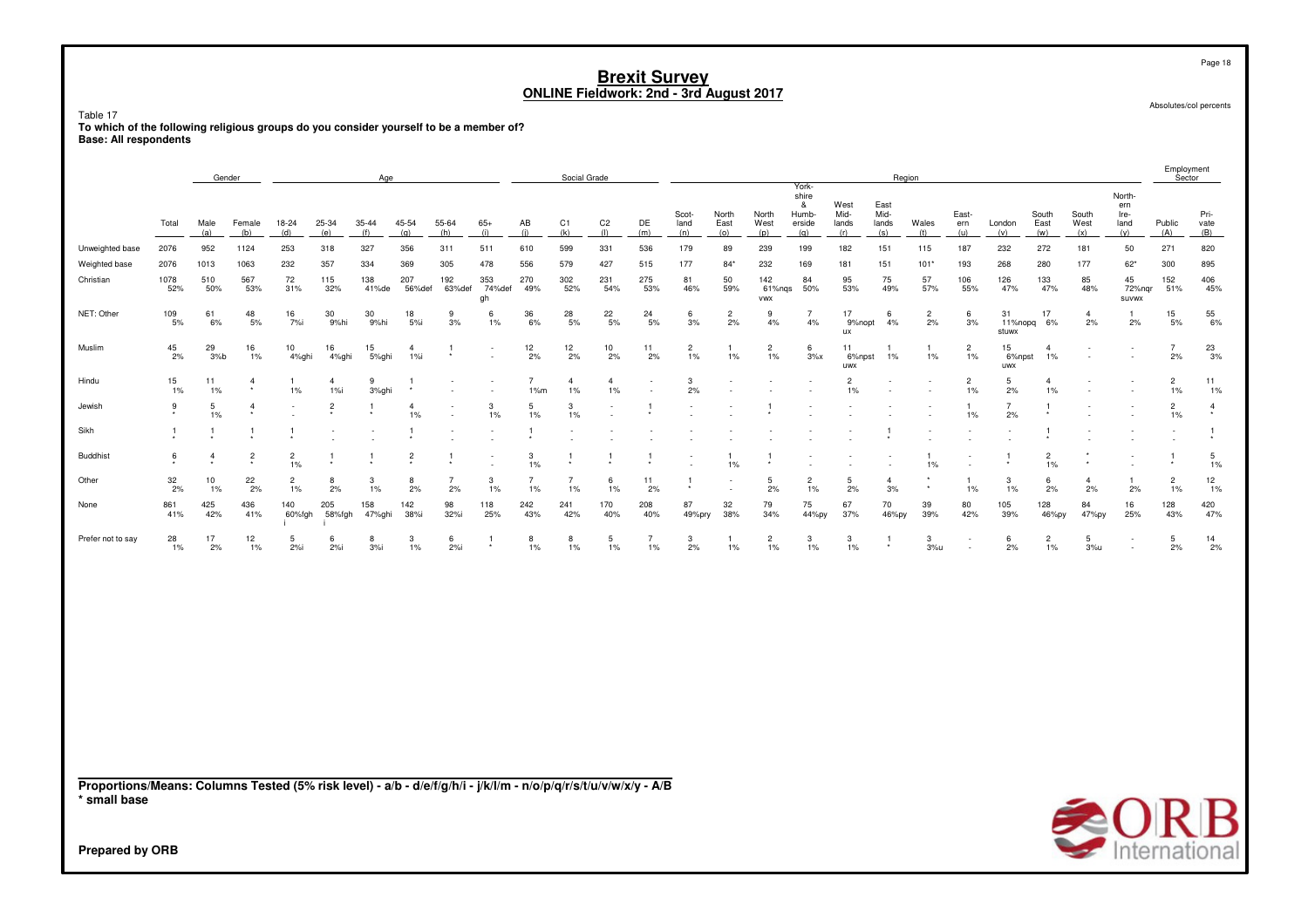Table 17

ruou.<br>To which of the following religious groups do you consider yourself to be a member of?<br>Base: All respondents

|                                                                                                                                 |                  | Gender         |                         |                           |                           | Age           |                           |                          |                          |                       | Social Grade          |                         |                      |                         |                      |                         |                                               |                              |                              | Region               |                         |                      |                         |                      |                                      | Employment<br>Sector    |                           |
|---------------------------------------------------------------------------------------------------------------------------------|------------------|----------------|-------------------------|---------------------------|---------------------------|---------------|---------------------------|--------------------------|--------------------------|-----------------------|-----------------------|-------------------------|----------------------|-------------------------|----------------------|-------------------------|-----------------------------------------------|------------------------------|------------------------------|----------------------|-------------------------|----------------------|-------------------------|----------------------|--------------------------------------|-------------------------|---------------------------|
|                                                                                                                                 | Total            | Male<br>(a)    | Female<br>(b)           | 18-24<br>(d)              | 25-34<br>(e)              | 35-44<br>(f)  | 45-54<br>(q)              | 55-64<br>(h)             | $65+$<br>(i)             | AB<br>(i)             | C <sub>1</sub><br>(k) | C <sub>2</sub><br>(1)   | DE<br>(m)            | Scot-<br>land<br>(n)    | North<br>East<br>(0) | North<br>West<br>(p)    | York-<br>shire<br>&<br>Humb-<br>erside<br>(q) | West<br>Mid-<br>lands<br>(r) | East<br>Mid-<br>lands<br>(s) | Wales<br>(t)         | East-<br>ern<br>(u)     | London<br>(v)        | South<br>East<br>(w)    | South<br>West<br>(x) | North-<br>ern<br>Ire-<br>land<br>(y) | Public<br>(A)           | Pri-<br>vate<br>(B)       |
| Unweighted base                                                                                                                 | 2076             | 952            | 1124                    | 253                       | 318                       | 327           | 356                       | 311                      | 511                      | 610                   | 599                   | 331                     | 536                  | 179                     | 89                   | 239                     | 199                                           | 182                          | 151                          | 115                  | 187                     | 232                  | 272                     | 181                  | 50                                   | 271                     | 820                       |
| Weighted base                                                                                                                   | 2076             | 1013           | 1063                    | 232                       | 357                       | 334           | 369                       | 305                      | 478                      | 556                   | 579                   | 427                     | 515                  | 177                     | $84*$                | 232                     | 169                                           | 181                          | 151                          | $101*$               | 193                     | 268                  | 280                     | 177                  | $62*$                                | 300                     | 895                       |
| Christian                                                                                                                       | 1078<br>52%      | 510<br>50%     | 567<br>53%              | 72<br>31%                 | 115<br>32%                | 138<br>41%de  | 207<br>56%def             | 192<br>63%def            | 353<br>74%def<br>gh      | 270<br>49%            | 302<br>52%            | 231<br>54%              | 275<br>53%           | 81<br>46%               | 50<br>59%            | 142<br>61%nqs<br>VWX    | 84<br>50%                                     | 95<br>53%                    | 75<br>49%                    | 57<br>57%            | 106<br>55%              | 126<br>47%           | 133<br>47%              | 85<br>48%            | 45<br>72%nqr<br><b>SUVWX</b>         | 152<br>51%              | 406<br>45%                |
| NET: Other                                                                                                                      | 109<br>5%        | 61<br>6%       | 48<br>5%                | 16<br>7%i                 | 30<br>9%hi                | 30<br>9%hi    | 18<br>5%                  | 9<br>3%                  | 6<br>$1\%$               | 36<br>6%              | 28<br>5%              | 22<br>5%                | 24<br>5%             | 6<br>3%                 | $\overline{c}$<br>2% | 9<br>4%                 | -7<br>4%                                      | 17<br>9%nopt<br>ux           | 6<br>4%                      | $\overline{c}$<br>2% | 6<br>3%                 | 31<br>stuwx          | 17<br>11%nopq 6%        | $\overline{4}$<br>2% | 2%                                   | 15<br>5%                | 55<br>6%                  |
| Muslim                                                                                                                          | $\frac{45}{2\%}$ | 29<br>3%b      | 16<br>$1\%$             | 10 <sup>10</sup><br>4%ghi | 16<br>4%ghi               | 15<br>5%ghi   | $\overline{4}$<br>$1\%$ i |                          |                          | $\frac{12}{2\%}$      | $\frac{12}{2\%}$      | 10<br>2%                | 11<br>2%             | $\overline{c}$<br>$1\%$ | $1\%$                | $\overline{c}$<br>$1\%$ | 6<br>$3\%x$                                   | 11<br>6%npst<br>uwx          | 1%                           | -1<br>$1\%$          | $\overline{c}$<br>$1\%$ | 15<br>6%npst<br>uwx  | 4<br>1%                 |                      |                                      | $\overline{7}$<br>2%    | $^{23}_{\phantom{1}3\%}$  |
| Hindu                                                                                                                           | 15<br>1%         | 11<br>$1\%$    | 4                       | 1%                        | $\overline{4}$<br>$1\%$ i | 9<br>3%ghi    |                           |                          | $\overline{\phantom{a}}$ | $\overline{7}$<br>1%m | 4<br>$1\%$            | $\overline{4}$<br>$1\%$ |                      | 3<br>2%                 |                      |                         |                                               | 2<br>1%                      |                              |                      | $\overline{c}$<br>1%    | 5<br>2%              | 4<br>1%                 |                      |                                      | $\overline{c}$<br>$1\%$ | 11<br>$1\%$               |
| Jewish                                                                                                                          | 9<br>$^\star$    | 5<br>1%        | $\overline{4}$          |                           | $\frac{2}{x}$             | $\mathbf{1}$  | $\overline{4}$<br>1%      | $\overline{\phantom{a}}$ | 3<br>$1\%$               | 5<br>1%               | 3<br>1%               |                         | -1                   |                         |                      |                         |                                               |                              |                              |                      | -1<br>1%                | $\overline{7}$<br>2% | -1                      |                      |                                      | $\overline{2}$<br>1%    | $\overline{4}$<br>$\star$ |
| Sikh                                                                                                                            | 1                | 1              |                         | -1                        |                           |               |                           |                          |                          | 1                     |                       |                         |                      |                         |                      |                         |                                               |                              |                              |                      |                         |                      |                         |                      |                                      |                         |                           |
| <b>Buddhist</b>                                                                                                                 | 6                | $\overline{4}$ | $\overline{\mathbf{c}}$ | $\overline{c}$<br>1%      | -1                        |               | $\overline{c}$            |                          |                          | 3<br>1%               | 1                     |                         |                      |                         | $1\%$                |                         |                                               |                              |                              | -1<br>1%             |                         |                      | $\overline{c}$<br>1%    |                      |                                      |                         | 5<br>$1\%$                |
| Other                                                                                                                           | 32<br>2%         | 10<br>1%       | 22<br>2%                | $\overline{c}$<br>1%      | 8<br>2%                   | 3<br>$1\%$    | 8<br>2%                   | $\overline{7}$<br>2%     | 3<br>$1\%$               | $\overline{7}$<br>1%  | $\overline{7}$<br>1%  | 6<br>1%                 | 11<br>2%             | -1                      |                      | 5<br>2%                 | $\overline{2}$<br>1%                          | 5<br>2%                      | $\overline{4}$<br>3%         | $^\star$             | $\mathbf{1}$<br>1%      | 3<br>$1\%$           | 6<br>2%                 | $\overline{4}$<br>2% | -1<br>2%                             | $\overline{2}$<br>1%    | 12<br>$1\%$               |
| None                                                                                                                            | 861<br>41%       | 425<br>42%     | 436<br>41%              | 140<br>60%fgh             | 205<br>58%fgh             | 158<br>47%ghi | 142<br>38%i               | 98<br>32%i               | 118<br>25%               | 242<br>43%            | 241<br>42%            | 170<br>40%              | 208<br>40%           | 87<br>49%pry            | 32<br>38%            | 79<br>34%               | 75<br>44%py                                   | 67<br>37%                    | 70<br>46%py                  | 39<br>39%            | 80<br>42%               | 105<br>39%           | 128<br>46%py            | 84<br>47%py          | 16<br>25%                            | 128<br>43%              | 420<br>47%                |
| Prefer not to say                                                                                                               | 28<br>1%         | 17<br>2%       | 12<br>$1\%$             | 5<br>$2%$ i               | -6<br>2%i                 | 8<br>3%       | 3<br>1%                   | 6<br>2%i                 | -1                       | 8<br>1%               | 8<br>1%               | 5<br>1%                 | $\overline{7}$<br>1% | 3<br>2%                 | $1\%$                | $\overline{c}$<br>$1\%$ | 3<br>1%                                       | 3<br>$1\%$                   | -1                           | 3<br>3%u             |                         | 6<br>2%              | $\overline{c}$<br>$1\%$ | 5<br>3%u             | $\overline{\phantom{a}}$             | 5<br>2%                 | 14<br>2%                  |
|                                                                                                                                 |                  |                |                         |                           |                           |               |                           |                          |                          |                       |                       |                         |                      |                         |                      |                         |                                               |                              |                              |                      |                         |                      |                         |                      |                                      |                         |                           |
|                                                                                                                                 |                  |                |                         |                           |                           |               |                           |                          |                          |                       |                       |                         |                      |                         |                      |                         |                                               |                              |                              |                      |                         |                      |                         |                      |                                      |                         |                           |
|                                                                                                                                 |                  |                |                         |                           |                           |               |                           |                          |                          |                       |                       |                         |                      |                         |                      |                         |                                               |                              |                              |                      |                         |                      |                         |                      |                                      |                         |                           |
|                                                                                                                                 |                  |                |                         |                           |                           |               |                           |                          |                          |                       |                       |                         |                      |                         |                      |                         |                                               |                              |                              |                      |                         |                      |                         |                      |                                      |                         |                           |
| Proportions/Means: Columns Tested (5% risk level) - a/b - d/e/f/g/h/i - j/k/l/m - n/o/p/q/r/s/t/u/v/w/x/y - A/B<br>* small base |                  |                |                         |                           |                           |               |                           |                          |                          |                       |                       |                         |                      |                         |                      |                         |                                               |                              |                              |                      |                         |                      |                         |                      |                                      |                         | <b>SORB</b>               |
| Prepared by ORB                                                                                                                 |                  |                |                         |                           |                           |               |                           |                          |                          |                       |                       |                         |                      |                         |                      |                         |                                               |                              |                              |                      |                         |                      |                         |                      |                                      |                         |                           |

Page 18

Absolutes/col percents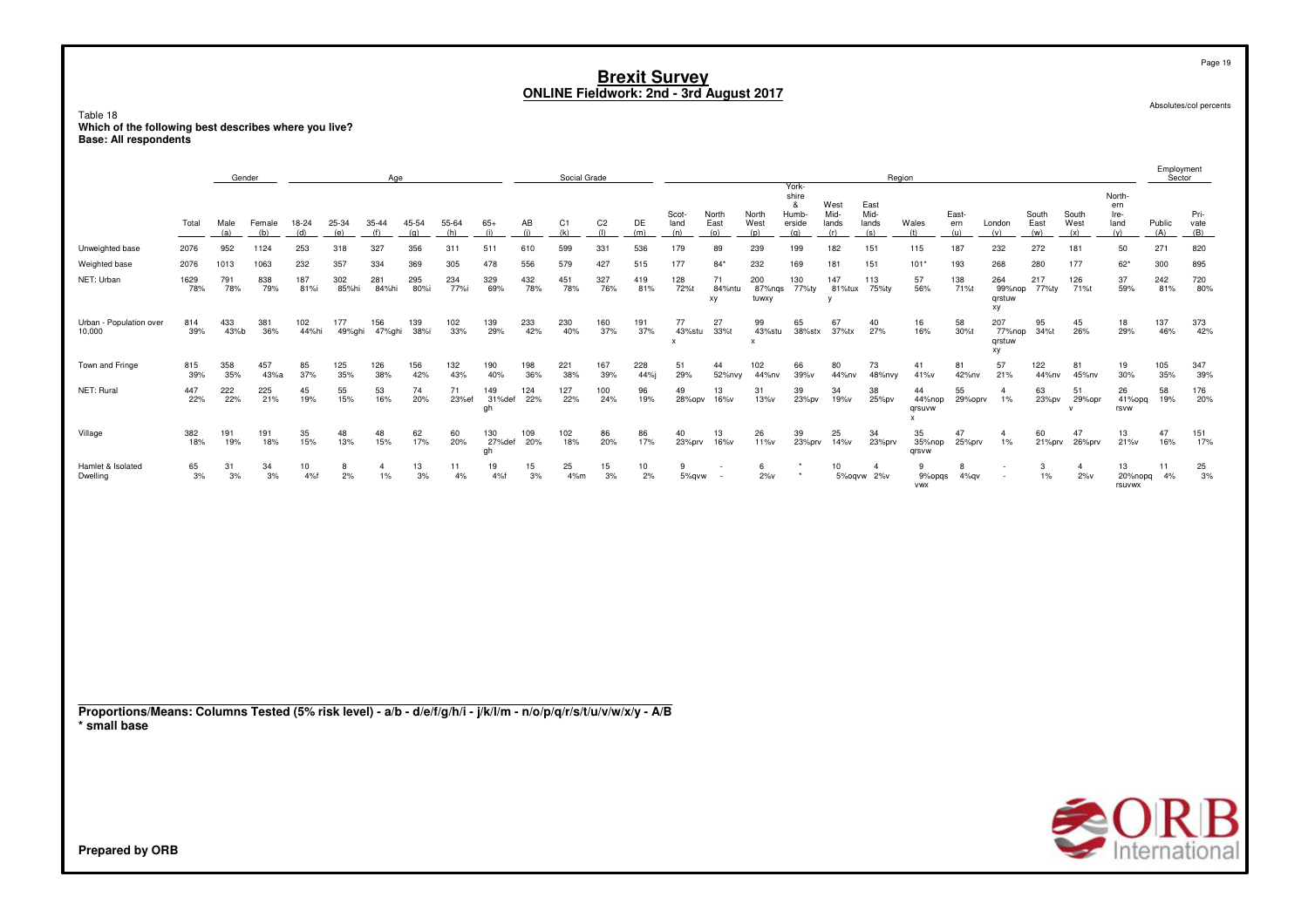Page 19

Absolutes/col percents

Table 18 nanch<br>Which of the following best describes where you live?<br>Base: All respondents

|                                                                                                                                 |             | Gender      |               |              |               | Age                  |              |              |                     |            | Social Grade |                       |             |                      |                      |                                           |                                               |                               |                              | Region                      |                     |                               |                      |                              |                                      | Employment<br>Sector |                     |
|---------------------------------------------------------------------------------------------------------------------------------|-------------|-------------|---------------|--------------|---------------|----------------------|--------------|--------------|---------------------|------------|--------------|-----------------------|-------------|----------------------|----------------------|-------------------------------------------|-----------------------------------------------|-------------------------------|------------------------------|-----------------------------|---------------------|-------------------------------|----------------------|------------------------------|--------------------------------------|----------------------|---------------------|
|                                                                                                                                 | Total       | Male<br>(a) | Female<br>(b) | 18-24<br>(d) | 25-34<br>(e)  | 35-44<br>(f)         | 45-54<br>(q) | 55-64<br>(h) | $65+$<br>(i)        | AB<br>(i)  | C1<br>(k)    | C <sub>2</sub><br>(1) | DE<br>(m)   | Scot-<br>land<br>(n) | North<br>East<br>(o) | North<br>West<br>(p)                      | York-<br>shire<br>&<br>Humb-<br>erside<br>(q) | West<br>Mid-<br>lands<br>(r)  | East<br>Mid-<br>lands<br>(s) | Wales<br>(t)                | East-<br>ern<br>(u) | London<br>(v)                 | South<br>East<br>(w) | South<br>West<br>(x)         | North-<br>ern<br>Ire-<br>land<br>(y) | Public<br>(A)        | Pri-<br>vate<br>(B) |
| Unweighted base                                                                                                                 | 2076        | 952         | 1124          | 253          | 318           | 327                  | 356          | 311          | 511                 | 610        | 599          | 331                   | 536         | 179                  | 89                   | 239                                       | 199                                           | 182                           | 151                          | 115                         | 187                 | 232                           | 272                  | 181                          | 50                                   | 271                  | 820                 |
| Weighted base                                                                                                                   | 2076        | 1013        | 1063          | 232          | 357           | 334                  | 369          | 305          | 478                 | 556        | 579          | 427                   | 515         | 177                  | $84*$                | 232                                       | 169                                           | 181                           | 151                          | $101*$                      | 193                 | 268                           | 280                  | 177                          | $62*$                                | 300                  | 895                 |
| NET: Urban                                                                                                                      | 1629<br>78% | 791<br>78%  | 838<br>79%    | 187<br>81%i  | 302<br>85%hi  | 281<br>84%hi         | 295<br>80%i  | 234<br>77%i  | 329<br>69%          | 432<br>78% | 451<br>78%   | 327<br>76%            | 419<br>81%  | 128<br>72%t          | 71<br>84%ntu<br>xy   | 200<br>87%nqs<br>tuwxy                    | 130<br>77%ty                                  | 147<br>81%tux<br>$\mathsf{v}$ | 113<br>75%ty                 | 57<br>56%                   | 138<br>71%t         | 264<br>99%nop<br>qrstuw<br>xy | 217<br>77%ty         | 126<br>71%t                  | 37<br>59%                            | 242<br>81%           | 720<br>80%          |
| Urban - Population over<br>10,000                                                                                               | 814<br>39%  | 433<br>43%b | 381<br>36%    | 102<br>44%hi | 177<br>49%ghi | 156<br>47%ghi        | 139<br>38%i  | 102<br>33%   | 139<br>29%          | 233<br>42% | 230<br>40%   | 160<br>37%            | 191<br>37%  | 77<br>43%stu<br>x    | 27<br>33%t           | 99<br>43%stu<br>$\boldsymbol{\mathsf{x}}$ | 65<br>38%stx                                  | 67<br>37%tx                   | 40<br>27%                    | 16<br>16%                   | 58<br>30%t          | 207<br>77%nop<br>qrstuw<br>хy | 95<br>34%t           | 45<br>26%                    | 18<br>29%                            | 137<br>46%           | 373<br>42%          |
| Town and Fringe                                                                                                                 | 815<br>39%  | 358<br>35%  | 457<br>43%a   | 85<br>37%    | 125<br>35%    | 126<br>38%           | 156<br>42%   | 132<br>43%   | 190<br>40%          | 198<br>36% | 221<br>38%   | 167<br>39%            | 228<br>44%i | 51<br>29%            | 44<br>52%nvy         | 102<br>44%nv                              | 66<br>39%v                                    | 80<br>44%nv                   | 73<br>48%nvy                 | 41<br>41%v                  | 81<br>42%nv         | 57<br>21%                     | 122<br>44%nv         | 81<br>45%nv                  | 19<br>30%                            | 105<br>35%           | 347<br>39%          |
| NET: Rural                                                                                                                      | 447<br>22%  | 222<br>22%  | 225<br>21%    | 45<br>19%    | 55<br>15%     | 53<br>16%            | 74<br>20%    | 71<br>23%ef  | 149<br>31%def<br>gh | 124<br>22% | 127<br>22%   | 100<br>24%            | 96<br>19%   | 49<br>28%opv         | 13<br>16%v           | 31<br>13%v                                | 39<br>23%pv                                   | 34<br>19%v                    | 38<br>25%pv                  | 44<br>44%nop<br>qrsuvw<br>x | 55<br>29%oprv       | $\overline{a}$<br>$1\%$       | 63<br>23%pv          | 51<br>29%opr<br>$\mathsf{v}$ | 26<br>41%opq<br>rsvw                 | 58<br>19%            | 176<br>20%          |
| Village                                                                                                                         | 382<br>18%  | 191<br>19%  | 191<br>18%    | 35<br>15%    | 48<br>13%     | 48<br>15%            | 62<br>17%    | 60<br>20%    | 130<br>27%def<br>gh | 109<br>20% | 102<br>18%   | 86<br>20%             | 86<br>17%   | 40<br>23%prv         | 13<br>16%v           | 26<br>11%v                                | 39<br>23%prv                                  | 25<br>14%v                    | 34<br>23%prv                 | 35<br>35%nop<br>qrsvw       | 47<br>25%prv        | $\Delta$<br>1%                | 60<br>21%prv         | 47<br>26%prv                 | 13<br>21%v                           | 47<br>16%            | 151<br>17%          |
| Hamlet & Isolated<br>Dwelling                                                                                                   | 65<br>3%    | 31<br>3%    | 34<br>3%      | 10<br>4%f    | 8<br>2%       | $\overline{4}$<br>1% | 13<br>3%     | 11<br>4%     | 19<br>4%f           | 15<br>3%   | 25<br>4%m    | 15<br>3%              | 10<br>2%    | 9<br>5%qvw           |                      | 6<br>$2\%$ v                              | $\star$<br>$\star$                            | 10                            | $\mathbf{4}$<br>5%oqvw 2%v   | 9<br>9%opqs<br><b>VWX</b>   | 8<br>4%qv           |                               | 3<br>$1\%$           | $\overline{4}$<br>$2\%$ v    | 13<br>20%nopq<br>rsuvwx              | 11<br>4%             | 25<br>3%            |
| Proportions/Means: Columns Tested (5% risk level) - a/b - d/e/f/g/h/i - j/k/l/m - n/o/p/q/r/s/t/u/v/w/x/y - A/B<br>* small base |             |             |               |              |               |                      |              |              |                     |            |              |                       |             |                      |                      |                                           |                                               |                               |                              |                             |                     |                               |                      |                              |                                      |                      |                     |
| Prepared by ORB                                                                                                                 |             |             |               |              |               |                      |              |              |                     |            |              |                       |             |                      |                      |                                           |                                               |                               |                              |                             |                     |                               |                      |                              |                                      |                      | <b>SORB</b>         |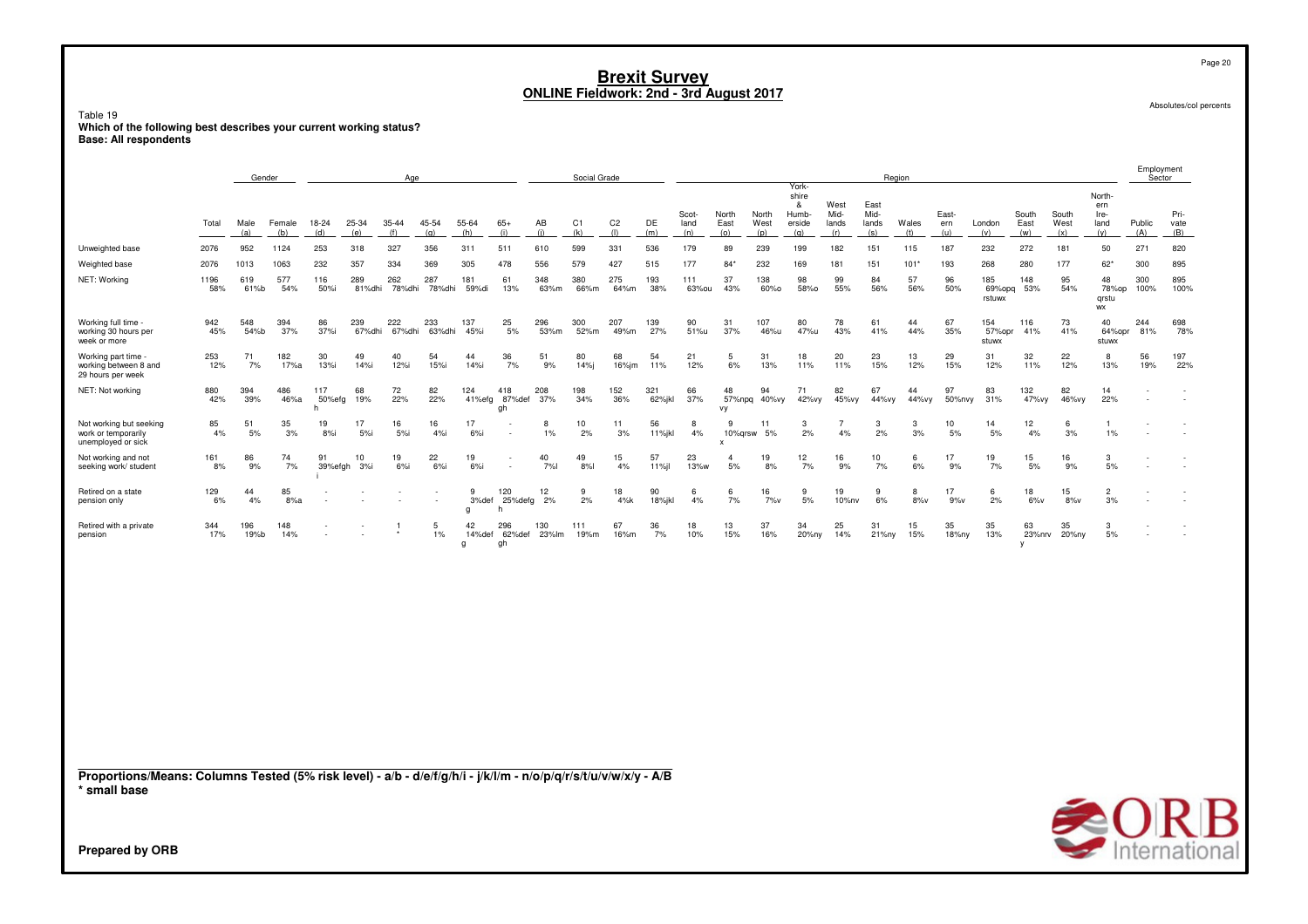### Table 19 nuou.<br>Which of the following best describes your current working status?<br>Base: All respondents

|                                                                                                                                 |             | Gender      |               |                                                      |               | Age           |               |                 |                            |              | Social Grade          |                       |               |                      |                      |                      | York-                                |                              |                              | Region       |                     |                         |                      |                      |                                      | Employment<br>Sector |                     |
|---------------------------------------------------------------------------------------------------------------------------------|-------------|-------------|---------------|------------------------------------------------------|---------------|---------------|---------------|-----------------|----------------------------|--------------|-----------------------|-----------------------|---------------|----------------------|----------------------|----------------------|--------------------------------------|------------------------------|------------------------------|--------------|---------------------|-------------------------|----------------------|----------------------|--------------------------------------|----------------------|---------------------|
|                                                                                                                                 | Total       | Male<br>(a) | Female<br>(b) | 18-24<br>(d)                                         | 25-34<br>(e)  | 35-44<br>(f)  | 45-54<br>(q)  | 55-64<br>(h)    | $65+$<br>(i)               | AB<br>(i)    | C <sub>1</sub><br>(k) | C <sub>2</sub><br>(1) | DE<br>(m)     | Scot-<br>land<br>(n) | North<br>East<br>(o) | North<br>West<br>(p) | shire<br>&<br>Humb-<br>erside<br>(q) | West<br>Mid-<br>lands<br>(r) | East<br>Mid-<br>lands<br>(s) | Wales<br>(t) | East-<br>ern<br>(u) | London<br>(v)           | South<br>East<br>(w) | South<br>West<br>(x) | North-<br>ern<br>Ire-<br>land<br>(y) | Public<br>(A)        | Pri-<br>vate<br>(B) |
| Unweighted base                                                                                                                 | 2076        | 952         | 1124          | 253                                                  | 318           | 327           | 356           | 311             | 511                        | 610          | 599                   | 331                   | 536           | 179                  | 89                   | 239                  | 199                                  | 182                          | 151                          | 115          | 187                 | 232                     | 272                  | 181                  | 50                                   | 271                  | 820                 |
| Weighted base                                                                                                                   | 2076        | 1013        | 1063          | 232                                                  | 357           | 334           | 369           | 305             | 478                        | 556          | 579                   | 427                   | 515           | 177                  | $84*$                | 232                  | 169                                  | 181                          | 151                          | 101'         | 193                 | 268                     | 280                  | 177                  | $62*$                                | 300                  | 895                 |
| NET: Working                                                                                                                    | 1196<br>58% | 619<br>61%b | 577<br>54%    | 116<br>50%i                                          | 289<br>81%dhi | 262<br>78%dhi | 287<br>78%dhi | 181<br>59%di    | 61<br>13%                  | 348<br>63%m  | 380<br>66%m           | 275<br>64%m           | 193<br>38%    | 111<br>63%ou         | 37<br>43%            | 138<br>60%0          | 98<br>58%0                           | 99<br>55%                    | 84<br>56%                    | 57<br>56%    | 96<br>50%           | 185<br>69%opq<br>rstuwx | 148<br>53%           | 95<br>54%            | 48<br>78%op<br>grstu<br>WX           | 300<br>100%          | 895<br>100%         |
| Working full time -<br>working 30 hours per<br>week or more                                                                     | 942<br>45%  | 548<br>54%b | 394<br>37%    | 86<br>37%i                                           | 239<br>67%dhi | 222<br>67%dhi | 233<br>63%dhi | 137<br>45%i     | 25<br>5%                   | 296<br>53%m  | 300<br>52%m           | 207<br>49%m           | 139<br>27%    | 90<br>51%u           | 31<br>37%            | 107<br>46%u          | 80<br>47%u                           | 78<br>43%                    | 61<br>41%                    | 44<br>44%    | 67<br>35%           | 154<br>57% opr<br>stuwx | 116<br>41%           | 73<br>41%            | 40<br>64%opr<br>stuwx                | 244<br>81%           | 698<br>78%          |
| Working part time -<br>working between 8 and<br>29 hours per week                                                               | 253<br>12%  | 71<br>7%    | 182<br>17%a   | 30<br>13%i                                           | 49<br>14%i    | 40<br>12%i    | 54<br>15%i    | 44<br>14%i      | 36<br>7%                   | 51<br>9%     | 80<br>14%             | 68<br>16%jm           | 54<br>11%     | 21<br>12%            | 5<br>6%              | 31<br>13%            | 18<br>11%                            | 20<br>11%                    | 23<br>15%                    | 13<br>12%    | 29<br>15%           | 31<br>12%               | 32<br>11%            | 22<br>12%            | 8<br>13%                             | 56<br>19%            | 197<br>22%          |
| NET: Not working                                                                                                                | 880<br>42%  | 394<br>39%  | 486<br>46%a   | 117<br>50%efg<br>h                                   | 68<br>19%     | 72<br>22%     | 82<br>22%     | 124<br>41%efg   | 418<br>87%def<br>gh        | 208<br>37%   | 198<br>34%            | 152<br>36%            | 321<br>62%jkl | 66<br>37%            | 48<br>57%npq<br>vy   | 94<br>40%vy          | 71<br>42%vy                          | 82<br>45%vy                  | 67<br>44%vy                  | 44<br>44%vy  | 97<br>50%nvy        | 83<br>31%               | 132<br>47% vy        | 82<br>46%vy          | 14<br>22%                            |                      |                     |
| Not working but seeking<br>work or temporarily<br>unemployed or sick                                                            | 85<br>4%    | 51<br>5%    | 35<br>3%      | 19<br>8%                                             | 17<br>5%      | 16<br>5%i     | 16<br>4%i     | 17<br>$6%$ i    |                            | 8<br>1%      | 10<br>2%              | 11<br>3%              | 56<br>11%jkl  | 8<br>4%              | -9<br>10%qrsw        | 11<br>5%             | 3<br>2%                              | 7<br>4%                      | 3<br>2%                      | 3<br>3%      | 10<br>5%            | 14<br>5%                | 12<br>4%             | 6<br>3%              | 1<br>$1\%$                           |                      |                     |
| Not working and not<br>seeking work/ student                                                                                    | 161<br>8%   | 86<br>9%    | 74<br>7%      | 91<br>39%efgh                                        | 10<br>3%      | 19<br>6%      | 22<br>$6%$ i  | 19<br>6%        |                            | 40<br>7%l    | 49<br>8%              | 15<br>4%              | 57<br>11%     | 23<br>13%w           | 5%                   | 19<br>8%             | 12<br>7%                             | 16<br>9%                     | 10<br>7%                     | 6<br>6%      | 17<br>9%            | 19<br>7%                | 15<br>5%             | 16<br>9%             | 3<br>5%                              |                      |                     |
| Retired on a state<br>pension only                                                                                              | 129<br>6%   | 44<br>4%    | 85<br>8%a     |                                                      |               |               |               | 9<br>3%def<br>g | 120<br>25%defg<br>h        | 12<br>2%     | 9<br>2%               | 18<br>4%k             | 90<br>18%jkl  | 6<br>4%              | 6<br>7%              | 16<br>7%v            | 9<br>5%                              | 19<br>10%nv                  | 9<br>6%                      | 8<br>8%v     | 17<br>9%v           | 6<br>2%                 | 18<br>$6\%$ v        | 15<br>$8\%$ v        | $\overline{2}$<br>3%                 |                      |                     |
| Retired with a private<br>pension                                                                                               | 344<br>17%  | 196<br>19%b | 148<br>14%    | $\overline{\phantom{a}}$<br>$\overline{\phantom{a}}$ |               |               | 5<br>1%       | 42<br>q         | 296<br>14%def 62%def<br>gh | 130<br>23%lm | 111<br>19%m           | 67<br>16%m            | 36<br>7%      | 18<br>10%            | 13<br>15%            | 37<br>16%            | 34<br>20%ny                          | 25<br>14%                    | 31<br>21%ny                  | 15<br>15%    | 35<br>18%ny         | 35<br>13%               | 63<br>23%nrv<br>v    | 35<br>20%ny          | 3<br>5%                              |                      |                     |
|                                                                                                                                 |             |             |               |                                                      |               |               |               |                 |                            |              |                       |                       |               |                      |                      |                      |                                      |                              |                              |              |                     |                         |                      |                      |                                      |                      |                     |
|                                                                                                                                 |             |             |               |                                                      |               |               |               |                 |                            |              |                       |                       |               |                      |                      |                      |                                      |                              |                              |              |                     |                         |                      |                      |                                      |                      |                     |
|                                                                                                                                 |             |             |               |                                                      |               |               |               |                 |                            |              |                       |                       |               |                      |                      |                      |                                      |                              |                              |              |                     |                         |                      |                      |                                      |                      |                     |
|                                                                                                                                 |             |             |               |                                                      |               |               |               |                 |                            |              |                       |                       |               |                      |                      |                      |                                      |                              |                              |              |                     |                         |                      |                      |                                      |                      |                     |
|                                                                                                                                 |             |             |               |                                                      |               |               |               |                 |                            |              |                       |                       |               |                      |                      |                      |                                      |                              |                              |              |                     |                         |                      |                      |                                      |                      |                     |
| Proportions/Means: Columns Tested (5% risk level) - a/b - d/e/f/g/h/i - j/k/l/m - n/o/p/q/r/s/t/u/v/w/x/y - A/B<br>* small base |             |             |               |                                                      |               |               |               |                 |                            |              |                       |                       |               |                      |                      |                      |                                      |                              |                              |              |                     |                         |                      |                      |                                      |                      |                     |
|                                                                                                                                 |             |             |               |                                                      |               |               |               |                 |                            |              |                       |                       |               |                      |                      |                      |                                      |                              |                              |              |                     |                         |                      |                      |                                      |                      | $\bigcirc$ O R B    |
| <b>Prepared by ORB</b>                                                                                                          |             |             |               |                                                      |               |               |               |                 |                            |              |                       |                       |               |                      |                      |                      |                                      |                              |                              |              |                     |                         |                      |                      |                                      |                      |                     |

Page 20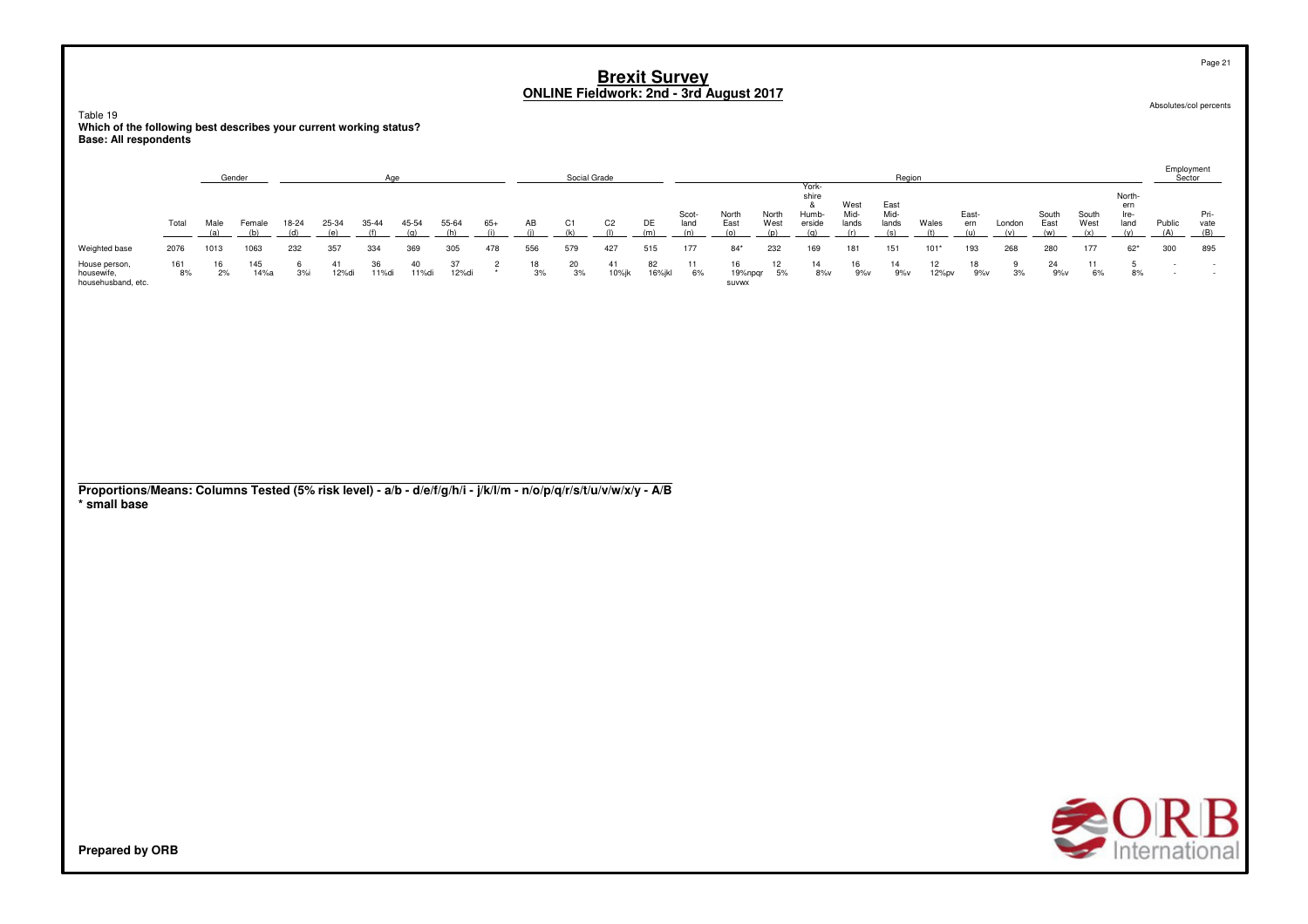Table 19**Which of the following best describes your current working status? Base: All respondents**

|                                                   |           |      | Gender      |       |       | Aae        |       |             |       |          | Social Grade |                |             |               |                        |               |                                   |                       | Region                |             |              |        |               |               |                              | Employment<br>Sector |                     |
|---------------------------------------------------|-----------|------|-------------|-------|-------|------------|-------|-------------|-------|----------|--------------|----------------|-------------|---------------|------------------------|---------------|-----------------------------------|-----------------------|-----------------------|-------------|--------------|--------|---------------|---------------|------------------------------|----------------------|---------------------|
|                                                   | Total     | Male | Female      | 18-24 | 25-34 | $35 - 44$  | 45-54 | 55-64       | $65+$ | AB       | C1           | C <sub>2</sub> | DE          | Scot-<br>land | North<br>East          | North<br>West | York-<br>shire<br>Humb-<br>erside | West<br>Mid-<br>lands | East<br>Mid-<br>lands | Wales       | East-<br>ern | London | South<br>East | South<br>West | North<br>ern<br>Ire-<br>land | Public               | Pri-<br>vate<br>(B) |
| Weighted base                                     | 2076      | 1013 | 1063        | 232   | 357   | 334        | 369   | 305         | 478   | 556      | 579          | 427            | 515         | 177           | $84*$                  | 232           | 169                               | 181                   | 151                   | $101*$      | 193          | 268    | 280           | 177           | $62*$                        | 300                  | 895                 |
| House person,<br>housewife,<br>househusband, etc. | 161<br>8% | 2%   | 145<br>14%a | 3%    | 12%di | 36<br>11%d | 11%di | 37<br>12%di |       | 18<br>3% | 20<br>3%     | 10%jk          | 82<br>16%jk | 6%            | 16<br>19%npqr<br>SUVWX | 5%            | 14<br>8%v                         | 16<br>9%v             | 14<br>9%v             | 12<br>12%pv | 18<br>9%v    | 3%     | 24<br>9%v     | 11<br>6%      | 8%                           | $\sim$               |                     |

**Proportions/Means: Columns Tested (5% risk level) - a/b - d/e/f/g/h/i - j/k/l/m - n/o/p/q/r/s/t/u/v/w/x/y - A/B\* small base**



Page 21

Absolutes/col percents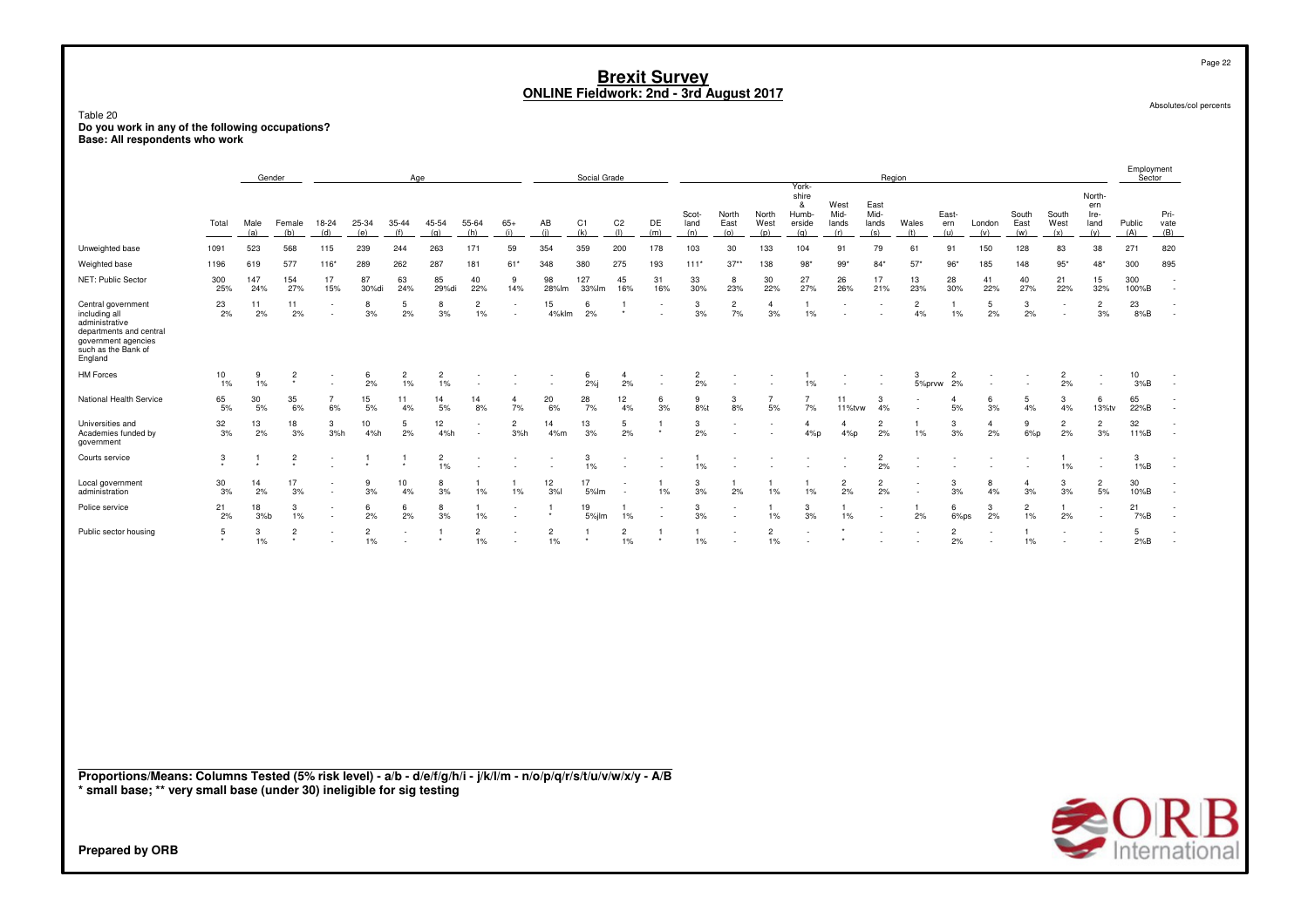|                                                                                                                                                                                           |                 |                 |                 |                      |                      |                         |                         |                                |                          | <b>ONLINE Fieldwork: 2nd - 3rd August 2017</b> |                   |                      |                | <b>Brexit Survey</b>  |                             |                                  |                                        |                       |                       |                             |                              |                          |                      |                      |                               |                      | Page 22                                   |
|-------------------------------------------------------------------------------------------------------------------------------------------------------------------------------------------|-----------------|-----------------|-----------------|----------------------|----------------------|-------------------------|-------------------------|--------------------------------|--------------------------|------------------------------------------------|-------------------|----------------------|----------------|-----------------------|-----------------------------|----------------------------------|----------------------------------------|-----------------------|-----------------------|-----------------------------|------------------------------|--------------------------|----------------------|----------------------|-------------------------------|----------------------|-------------------------------------------|
| Table 20<br>Do you work in any of the following occupations?<br>Base: All respondents who work                                                                                            |                 |                 |                 |                      |                      |                         |                         |                                |                          |                                                |                   |                      |                |                       |                             |                                  |                                        |                       |                       |                             |                              |                          |                      |                      |                               |                      | Absolutes/col percents                    |
|                                                                                                                                                                                           |                 | Gender          |                 |                      |                      | Age                     |                         |                                |                          |                                                | Social Grade      |                      |                |                       |                             |                                  |                                        |                       |                       | Region                      |                              |                          |                      |                      |                               | Employment<br>Sector |                                           |
|                                                                                                                                                                                           | Total           | Male            | Female          | 18-24                | 25-34                | $35 - 44$               | 45-54                   | 55-64                          | $65+$                    | AB                                             | C1                | C <sub>2</sub>       | DE             | Scot-<br>land         | North<br>East               | North<br>West                    | York-<br>shire<br>&<br>Humb-<br>erside | West<br>Mid-<br>lands | East<br>Mid-<br>lands | Wales                       | East-<br>ern                 | London                   | South<br>East        | South<br>West        | North-<br>ern<br>Ire-<br>land | Public               | Pri-<br>vate                              |
| Unweighted base                                                                                                                                                                           | 1091            | (a)<br>523      | (b)<br>568      | (d)<br>115           | (e)<br>239           | (f)<br>244              | (q)<br>263              | (h)<br>171                     | (i)<br>59                | (i)<br>354                                     | (k)<br>359        | (1)<br>200           | (m)<br>178     | (n)<br>103            | (0)<br>30                   | (p)<br>133                       | (a)<br>104                             | (r)<br>91             | (s)<br>79             | (t)<br>61                   | (u)<br>91                    | (v)<br>150               | (w)<br>128           | (x)<br>83            | (v)<br>38                     | (A)<br>271           | (B)<br>820                                |
| Weighted base                                                                                                                                                                             | 1196            | 619             | 577             | $116*$               | 289                  | 262                     | 287                     | 181                            | $61*$                    | 348                                            | 380               | 275                  | 193            | $111*$                | $37*$                       | 138                              | 98'                                    | $99*$                 | $84*$                 | 57'                         | 96'                          | 185                      | 148                  | $95*$                | $48*$                         | 300                  | 895                                       |
| NET: Public Sector                                                                                                                                                                        | 300             | 147             | 154             | 17                   | 87                   | 63                      | 85                      | 40                             | 9                        | 98                                             | 127               | 45                   | 31             | 33                    | 8                           | 30                               | 27                                     | 26                    | 17                    | 13                          | 28                           | 41                       | 40                   | 21                   | 15                            | 300                  |                                           |
| Central government<br>including all<br>administrative<br>departments and central<br>government agencies<br>such as the Bank of<br>England                                                 | 25%<br>23<br>2% | 24%<br>11<br>2% | 27%<br>11<br>2% | 15%<br>×,            | 30%di<br>8<br>3%     | 24%<br>-5<br>2%         | 29%di<br>8<br>3%        | 22%<br>$\overline{c}$<br>$1\%$ | 14%<br>×.                | 28%lm<br>15<br>4%klm                           | 33%lm<br>-6<br>2% | 16%                  | 16%            | 30%<br>3<br>3%        | 23%<br>$\overline{2}$<br>7% | <b>22%</b><br>$\mathbf{A}$<br>3% | 27%<br>1<br>$1\%$                      | 26%                   | 21%                   | 23%<br>$\overline{2}$<br>4% | 30%<br>$\mathbf{1}$<br>$1\%$ | 22%<br>5<br>2%           | 27%<br>3<br>2%       | 22%                  | 32%<br>$\overline{2}$<br>3%   | 100%B<br>23<br>8%B   |                                           |
| <b>HM Forces</b>                                                                                                                                                                          | 10<br>1%        | 9<br>1%         | $\overline{2}$  | ÷                    | 6<br>2%              | $\overline{2}$<br>$1\%$ | $\overline{c}$<br>$1\%$ |                                |                          |                                                | 6<br>2%           | 4<br>2%              |                | $\overline{c}$<br>2%  |                             |                                  | 1<br>$1\%$                             |                       |                       | 3<br>5%prvw                 | $\overline{2}$<br>2%         |                          |                      | $\overline{c}$<br>2% | $\overline{\phantom{a}}$      | 10<br>3%B            |                                           |
| National Health Service                                                                                                                                                                   | 65<br>5%        | 30<br>5%        | 35<br>6%        | $\overline{7}$<br>6% | 15<br>5%             | 11<br>4%                | 14<br>5%                | 14<br>8%                       | $\overline{4}$<br>7%     | 20<br>6%                                       | 28<br>7%          | 12<br>4%             | 6<br>3%        | 9<br>8%t              | 3<br>8%                     | 5%                               | $\overline{7}$<br>7%                   | 11<br>11%tvw          | 3<br>4%               |                             | $\overline{A}$<br>5%         | 6<br>3%                  | 5<br>4%              | 3<br>4%              | 6<br>13%tv                    | 65<br>22%B           |                                           |
| Universities and<br>Academies funded by<br>government                                                                                                                                     | 32<br>3%        | 13<br>2%        | 18<br>3%        | 3<br>3%h             | 10<br>4%h            | 5<br>2%                 | 12<br>4%h               | $\sim$                         | $\overline{2}$<br>3%h    | 14<br>4%m                                      | 13<br>3%          | 5<br>2%              | $\mathbf{1}$   | 3<br>2%               | $\sim$                      | $\overline{\phantom{a}}$         | $\overline{4}$<br>4%p                  | $\overline{4}$<br>4%p | $\overline{2}$<br>2%  | $1\%$                       | 3<br>3%                      | $\overline{4}$<br>2%     | 9<br>$6\%p$          | $\overline{2}$<br>2% | $\overline{2}$<br>3%          | 32<br>11%B           | ٠                                         |
| Courts service                                                                                                                                                                            | 3               |                 | $\overline{c}$  |                      |                      |                         | $\overline{2}$<br>$1\%$ |                                |                          |                                                | 3<br>$1\%$        |                      |                | 1<br>$1\%$            |                             |                                  |                                        |                       | $\overline{2}$<br>2%  |                             |                              | $\overline{\phantom{a}}$ |                      | 1%                   |                               | 3<br>1%B             | ÷,                                        |
| Local government<br>administration                                                                                                                                                        | 30<br>3%        | 14<br>2%        | 17<br>3%        |                      | 9<br>3%              | 10<br>4%                | 8<br>3%                 | 1%                             | $1\%$                    | 12<br>3%                                       | 17<br>5%lm        |                      | 1%             | $\mathbf{3}$<br>3%    | 2%                          | 1%                               | 1%                                     | $\overline{c}$<br>2%  | $\overline{2}$<br>2%  |                             | 3<br>3%                      | 8<br>4%                  | $\overline{4}$<br>3% | 3<br>3%              | $\overline{c}$<br>5%          | 30<br>10%B           |                                           |
| Police service                                                                                                                                                                            | 21<br>2%        | 18<br>$3%$ b    | 3<br>1%         | ×,                   | 6<br>2%              | 6<br>2%                 | 8<br>3%                 | -1<br>1%                       | $\overline{\phantom{a}}$ | 1                                              | 19<br>5%jlm       | 1<br>1%              |                | $\mathbf{3}$<br>3%    | $\sim$                      | 1%                               | 3<br>3%                                | $\overline{1}$<br>1%  | ٠                     | $\mathbf{1}$<br>2%          | 6<br>6%ps                    | 3<br>2%                  | $\overline{2}$<br>1% | $\mathbf{1}$<br>2%   |                               | 21<br>7%B            | ٠                                         |
| Public sector housing                                                                                                                                                                     | 5               | 3<br>1%         | $\overline{2}$  |                      | $\overline{2}$<br>1% |                         | $\mathbf{1}$            | $\overline{2}$<br>$1\%$        | ×.                       | $\overline{2}$<br>1%                           | $\overline{1}$    | $\overline{2}$<br>1% | $\overline{1}$ | $\mathbf{1}$<br>$1\%$ | $\overline{\phantom{a}}$    | $\overline{2}$<br>$1\%$          | $\overline{\phantom{a}}$               |                       |                       |                             | $\overline{2}$<br>2%         | ÷,                       | $\mathbf{1}$<br>1%   |                      |                               | 5<br>2%B             | $\overline{\phantom{a}}$                  |
|                                                                                                                                                                                           |                 |                 |                 |                      |                      |                         |                         |                                |                          |                                                |                   |                      |                |                       |                             |                                  |                                        |                       |                       |                             |                              |                          |                      |                      |                               |                      |                                           |
| Proportions/Means: Columns Tested (5% risk level) - a/b - d/e/f/g/h/i - j/k/l/m - n/o/p/q/r/s/t/u/v/w/x/y - A/B<br>* small base; ** very small base (under 30) ineligible for sig testing |                 |                 |                 |                      |                      |                         |                         |                                |                          |                                                |                   |                      |                |                       |                             |                                  |                                        |                       |                       |                             |                              |                          |                      |                      |                               |                      | RВ<br>$\bigotimes_{\text{International}}$ |
| <b>Prepared by ORB</b>                                                                                                                                                                    |                 |                 |                 |                      |                      |                         |                         |                                |                          |                                                |                   |                      |                |                       |                             |                                  |                                        |                       |                       |                             |                              |                          |                      |                      |                               |                      |                                           |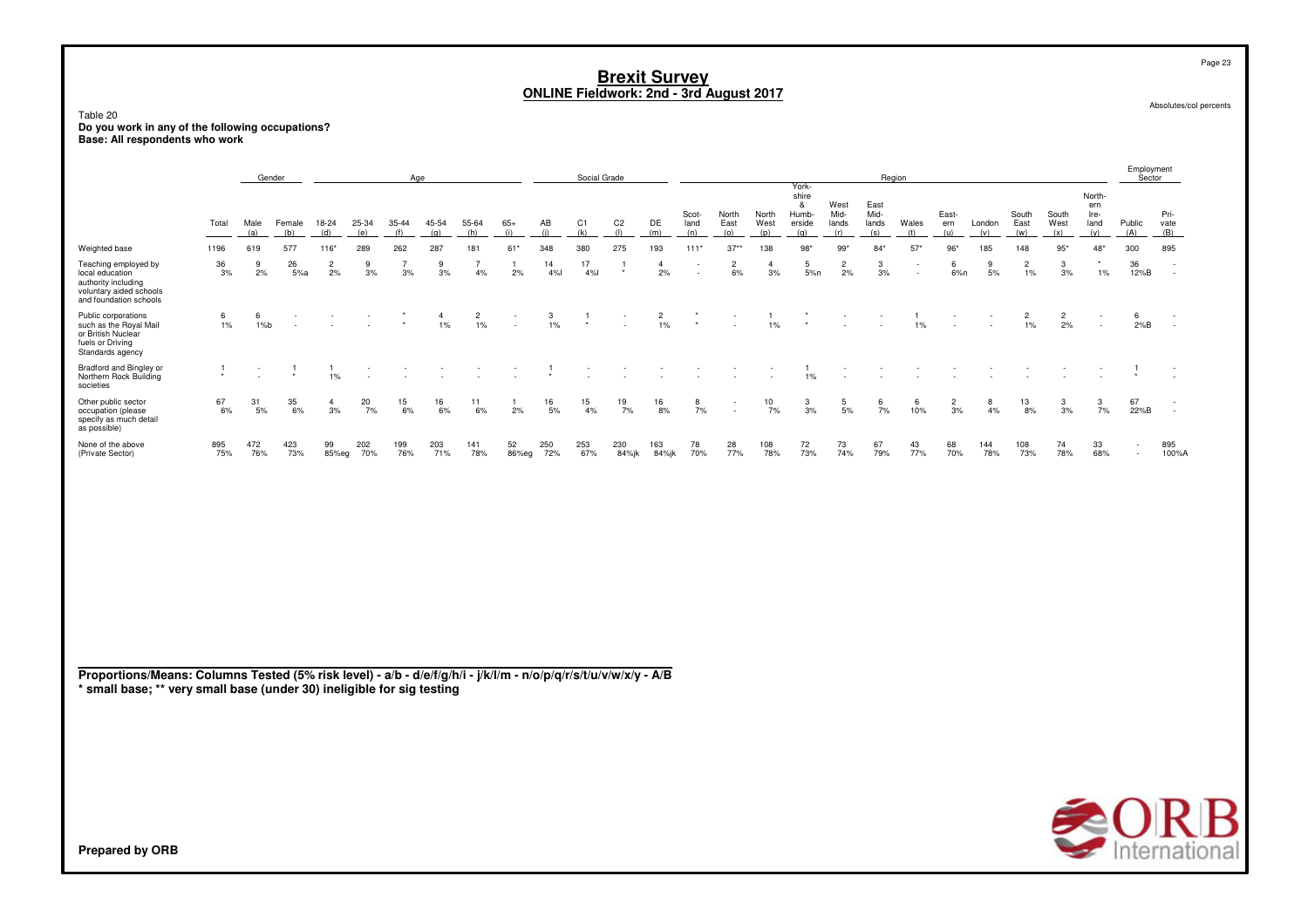### Table 20

**Do you work in any of the following occupations? Base: All respondents who work**

|                                                                                                                     |                 |             | Gender        |                      |              | Age          |              |              |              |                        | Social Grade |                       |                      |                          |                      |                      | York-                                |                       | Region                       |           |                      |               |                      |                      |                                      | Employment<br>Sector               |                                    |
|---------------------------------------------------------------------------------------------------------------------|-----------------|-------------|---------------|----------------------|--------------|--------------|--------------|--------------|--------------|------------------------|--------------|-----------------------|----------------------|--------------------------|----------------------|----------------------|--------------------------------------|-----------------------|------------------------------|-----------|----------------------|---------------|----------------------|----------------------|--------------------------------------|------------------------------------|------------------------------------|
|                                                                                                                     | Total           | Male<br>(a) | Female<br>(b) | 18-24<br>(d)         | 25-34<br>(e) | 35-44<br>(f) | 45-54<br>(a) | 55-64<br>(h) | $65+$<br>(i) | ΑВ<br>$\left  \right $ | C1<br>(k)    | C <sub>2</sub><br>(1) | DE<br>(m)            | Scot-<br>land<br>(n)     | North<br>East<br>(0) | North<br>West<br>(p) | shire<br>&<br>Humb-<br>erside<br>(n) | West<br>Mid-<br>lands | East<br>Mid-<br>lands<br>(s) | Wales     | East-<br>ern         | London<br>(v) | South<br>East<br>(w) | South<br>West<br>(x) | North-<br>ern<br>Ire-<br>land<br>(v) | Public<br>(A)                      | Pri-<br>vate<br>(B)                |
| Weighted base                                                                                                       | 1196            | 619         | 577           | $116*$               | 289          | 262          | 287          | 181          | $61*$        | 348                    | 380          | 275                   | 193                  | $111*$                   | $37**$               | 138                  | $98*$                                | $99*$                 | $84*$                        | 57'       | $96*$                | 185           | 148                  | $95*$                | $48*$                                | 300                                | 895                                |
| Teaching employed by<br>local education<br>authority including<br>voluntary aided schools<br>and foundation schools | $\frac{36}{3%}$ | 9<br>2%     | 26<br>5%a     | $\overline{2}$<br>2% | 9<br>3%      | 3%           | 9<br>3%      | 4%           | 2%           | 14<br>4%               | 17<br>4%     | $\star$               | $\overline{4}$<br>2% | $\overline{\phantom{a}}$ | $\overline{2}$<br>6% | 3%                   | 5<br>5%n                             | 2<br>2%               | 3%                           | ۰.        | 6<br>6%n             | 9<br>5%       | $\overline{2}$<br>1% | 3<br>3%              | $\star$<br>1%                        | 36<br>12%B                         | $\overline{\phantom{a}}$<br>$\sim$ |
| Public corporations<br>such as the Royal Mail<br>or British Nuclear<br>fuels or Driving<br>Standards agency         | 6<br>1%         | 6<br>1%b    |               |                      |              |              | 1%           | $2$<br>1%    | $\sim$       | $\frac{3}{1\%}$        |              | $\sim$                | $\frac{2}{1\%}$      | $\star$                  | $\sim$               | 1%                   |                                      | $\sim$                |                              | 1%        |                      |               | 2<br>1%              | $\overline{c}$<br>2% | $\overline{\phantom{0}}$             | 6<br>2%B                           | $\sim$                             |
| Bradford and Bingley or<br>Northern Rock Building<br>societies                                                      | $\bullet$       |             | $\star$       | 1%                   |              |              |              |              |              |                        |              |                       |                      |                          |                      |                      | 1%                                   |                       |                              |           |                      |               |                      |                      |                                      |                                    |                                    |
| Other public sector<br>occupation (please<br>specify as much detail<br>as possible)                                 | 67<br>6%        | 31<br>5%    | 35<br>6%      | 4<br>3%              | 20<br>7%     | 15<br>6%     | 16<br>6%     | 11<br>6%     | 2%           | 16<br>5%               | 15<br>4%     | 19<br>7%              | 16<br>8%             | 8<br>7%                  | $\sim$<br>$\sim$     | $\frac{10}{7\%}$     | 3<br>3%                              | 5<br>5%               | 6<br>7%                      | 6<br>10%  | $\overline{c}$<br>3% | 8<br>4%       | 13<br>8%             | 3<br>3%              | 3<br>7%                              | 67<br>22%B                         | $\overline{\phantom{a}}$           |
| None of the above<br>(Private Sector)                                                                               | 895<br>75%      | 472<br>76%  | 423<br>73%    | 99<br>85%eg          | 202<br>70%   | 199<br>76%   | 203<br>71%   | 141<br>78%   | 52<br>86%eg  | 250<br>72%             | 253<br>67%   | 230<br>84%jk          | 163<br>84%jk         | 78<br>70%                | 28<br>77%            | 108<br>78%           | 72<br>73%                            | 73<br>74%             | 67<br>79%                    | 43<br>77% | 68<br>70%            | 144<br>78%    | 108<br>73%           | 74<br>78%            | 33<br>68%                            | $\overline{\phantom{a}}$<br>$\sim$ | 895<br>100%A                       |

**Proportions/Means: Columns Tested (5% risk level) - a/b - d/e/f/g/h/i - j/k/l/m - n/o/p/q/r/s/t/u/v/w/x/y - A/B \* small base; \*\* very small base (under 30) ineligible for sig testing**



Absolutes/col percents

Page 23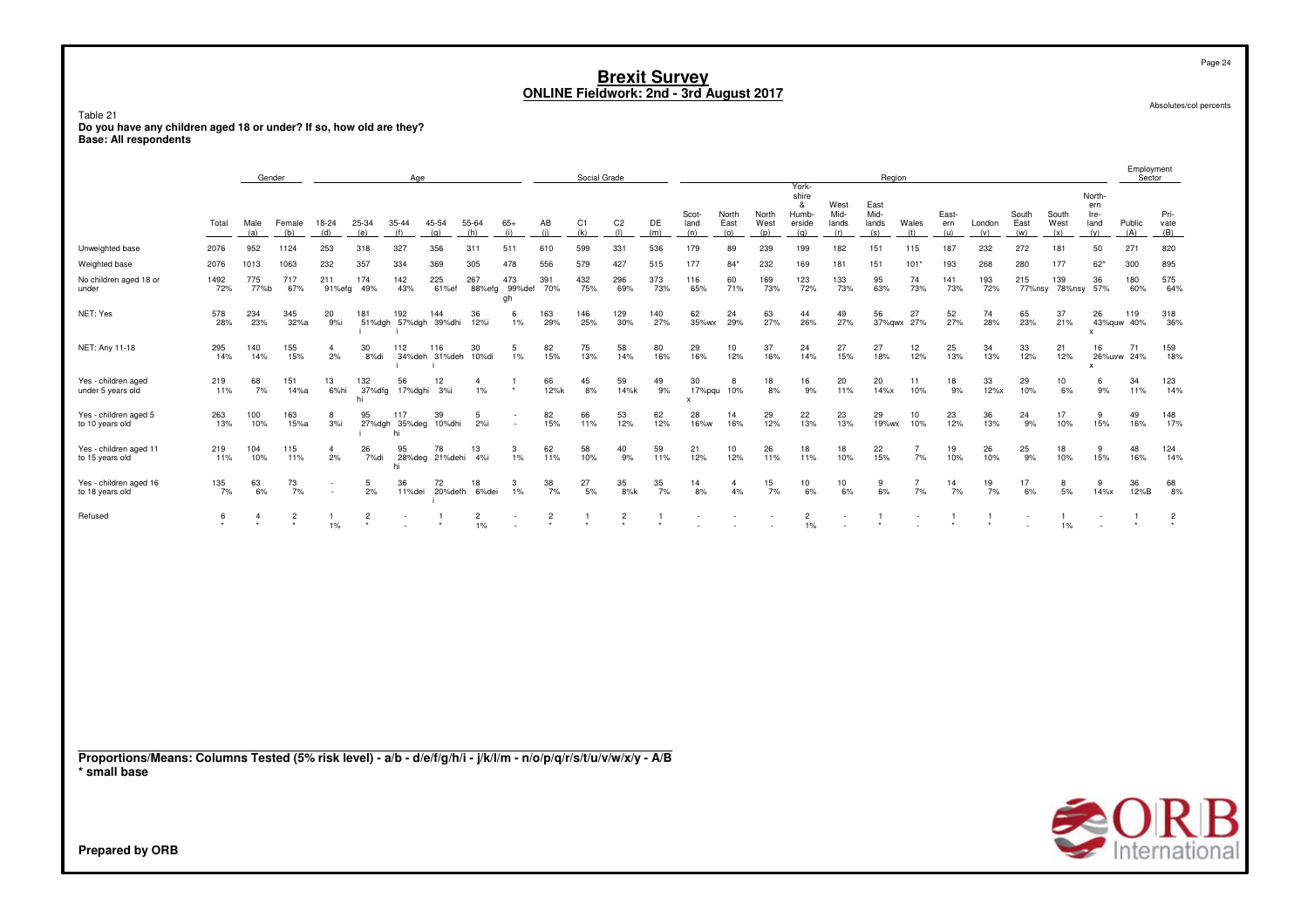Table 21 ndou<br>Do you have any children aged 18 or under? If so, how old are they?<br>Base: All respondents

|                                                                                                                                 |             |                | Gender         |                      |                     | Age                         |                            |                         |                         |                | Social Grade   |                       |            |                      |                      |               |                                        |                        | Region                       |                      |              |            |               |               |                                               | Employment<br>Sector |                     |
|---------------------------------------------------------------------------------------------------------------------------------|-------------|----------------|----------------|----------------------|---------------------|-----------------------------|----------------------------|-------------------------|-------------------------|----------------|----------------|-----------------------|------------|----------------------|----------------------|---------------|----------------------------------------|------------------------|------------------------------|----------------------|--------------|------------|---------------|---------------|-----------------------------------------------|----------------------|---------------------|
|                                                                                                                                 | Total       | Male           | Female<br>(b)  | 18-24<br>(d)         | 25-34               | 35-44<br>(f)                | 45-54                      | 55-64<br>(h)            | $65+$<br>(i)            | AB<br>(i)      | C1<br>(k)      | C <sub>2</sub><br>(1) | DE<br>(m)  | Scot-<br>land<br>(n) | North<br>East        | North<br>West | York-<br>shire<br>&<br>Humb-<br>erside | West<br>Mid-<br>lands  | East<br>Mid-<br>lands<br>(s) | Wales                | East-<br>ern | London     | South<br>East | South<br>West | North-<br>ern<br>Ire-<br>land<br>(y)          | Public<br>(A)        | Pri-<br>vate<br>(B) |
| Unweighted base                                                                                                                 | 2076        | (a)<br>952     | 1124           | 253                  | (e)<br>318          | 327                         | (q)<br>356                 | 311                     | 511                     | 610            | 599            | 331                   | 536        | 179                  | (o)<br>89            | (p)<br>239    | (q)<br>199                             | (r)<br>182             | 151                          | (t)<br>115           | (u)<br>187   | (v)<br>232 | (w)<br>272    | (x)<br>181    | 50                                            | 271                  | 820                 |
| Weighted base                                                                                                                   | 2076        | 1013           | 1063           | 232                  | 357                 | 334                         | 369                        | 305                     | 478                     | 556            | 579            | 427                   | 515        | 177                  | $84*$                | 232           | 169                                    | 181                    | 151                          | $101*$               | 193          | 268        | 280           | 177           | $62*$                                         | 300                  | 895                 |
| No children aged 18 or<br>under                                                                                                 | 1492<br>72% | 775<br>77%b    | 717<br>67%     | 211<br>91%efg        | 174<br>49%          | 142<br>43%                  | 225<br>61%ef               | 267<br>88%efg           | 473<br>99%def 70%<br>gh | 391            | 432<br>75%     | 296<br>69%            | 373<br>73% | 116<br>65%           | 60<br>71%            | 169<br>73%    | 123<br>72%                             | 133<br>73%             | 95<br>63%                    | 74<br>73%            | 141<br>73%   | 193<br>72% | 215<br>77%nsy | 139<br>78%nsy | 36<br>57%                                     | 180<br>60%           | 575<br>64%          |
| NET: Yes                                                                                                                        | 578<br>28%  | 234<br>23%     | 345<br>32%a    | 20<br>9%i            | 181                 | 192<br>51%dgh 57%dgh 39%dhi | 144                        | 36<br>12%i              | 6<br>1%                 | 163<br>29%     | 146<br>25%     | 129<br>30%            | 140<br>27% | 62<br>35%wx          | 24<br>29%            | 63<br>27%     | 44<br>26%                              | 49<br>27%              | 56                           | 27<br>37%gwx 27%     | 52<br>27%    | 74<br>28%  | 65<br>23%     | 37<br>21%     | 26<br>43%quw 40%<br>$\boldsymbol{\mathsf{x}}$ | 119                  | 318<br>36%          |
| NET: Any 11-18                                                                                                                  | 295<br>14%  | 140<br>14%     | 155<br>15%     | $\overline{a}$<br>2% | 30<br>8%di          | 112                         | 116<br>34%deh 31%deh 10%di | 30                      | 5<br>1%                 | 82<br>15%      | 75<br>13%      | 58<br>14%             | 80<br>16%  | 29<br>16%            | 10<br>12%            | 37<br>16%     | 24<br>14%                              | 27<br>15%              | 27<br>18%                    | 12<br>12%            | 25<br>13%    | 34<br>13%  | 33<br>12%     | 21<br>12%     | 16<br>26%uvw 24%<br>X                         | 71                   | 159<br>18%          |
| Yes - children aged<br>under 5 years old                                                                                        | 219<br>11%  | 68<br>7%       | 151<br>14%a    | 13<br>6%hi           | 132<br>37%dfg<br>hi | 56<br>17%dghi               | 12<br>$3%$ i               | $\overline{4}$<br>1%    | $\star$                 | 66<br>12%k     | 45<br>8%       | 59<br>14%k            | 49<br>9%   | 30<br>$\mathbf{x}$   | 8<br>17%pqu 10%      | 18<br>8%      | 16<br>9%                               | 20<br>11%              | 20<br>14%x                   | 11<br>10%            | 18<br>9%     | 33<br>12%x | 29<br>10%     | 10<br>6%      | 6<br>9%                                       | 34<br>11%            | 123<br>14%          |
| Yes - children aged 5<br>to 10 years old                                                                                        | 263<br>13%  | 100<br>10%     | 163<br>15%a    | 8<br>3%i             | 95                  | 117<br>27%dgh 35%deg<br>hi  | 39<br>10%dhi               | 5<br>2%                 |                         | 82<br>15%      | 66<br>11%      | 53<br>12%             | 62<br>12%  | 28<br>16%w           | 14<br>16%            | 29<br>12%     | 22<br>13%                              | 23<br>13%              | 29<br>19%wx                  | 10<br>10%            | 23<br>12%    | 36<br>13%  | 24<br>9%      | 17<br>10%     | 9<br>15%                                      | 49<br>16%            | 148<br>17%          |
| Yes - children aged 11<br>to 15 years old                                                                                       | 219<br>11%  | 104<br>10%     | 115<br>11%     | $\overline{4}$<br>2% | 26<br>7%di          | 95<br>hi                    | 78<br>28%deg 21%dehi       | 13<br>4%i               | 3<br>1%                 | 62<br>11%      | 58<br>10%      | 40<br>9%              | 59<br>11%  | 21<br>12%            | 10<br>12%            | 26<br>11%     | 18<br>11%                              | 18<br>10%              | 22<br>15%                    | $\overline{7}$<br>7% | 19<br>10%    | 26<br>10%  | 25<br>9%      | 18<br>10%     | 9<br>15%                                      | 48<br>16%            | 124<br>14%          |
| Yes - children aged 16<br>to 18 years old                                                                                       | 135<br>7%   | 63<br>6%       | 73<br>7%       |                      | 5<br>2%             | 36<br>11%dei                | 72<br>20%defh              | 18<br>6%dei             | 3<br>$1\%$              | 38<br>7%       | 27<br>5%       | 35<br>8%k             | 35<br>7%   | 14<br>8%             | $\overline{4}$<br>4% | 15<br>7%      | 10<br>6%                               | 10 <sup>10</sup><br>6% | 9<br>6%                      | $\overline{7}$<br>7% | 14<br>7%     | 19<br>7%   | 17<br>6%      | 8<br>5%       | 9<br>14%x                                     | 36<br>12%B           | 68<br>8%            |
| Refused                                                                                                                         | 6           | $\overline{4}$ | $\overline{c}$ | 1%                   | $\overline{2}$      |                             |                            | $\overline{c}$<br>$1\%$ |                         | $\overline{c}$ | $\overline{1}$ | $\overline{c}$        | -1         |                      |                      |               | $\overline{c}$<br>1%                   |                        | -1                           |                      |              |            |               | 1%            |                                               |                      | $\frac{2}{x}$       |
|                                                                                                                                 |             |                |                |                      |                     |                             |                            |                         |                         |                |                |                       |            |                      |                      |               |                                        |                        |                              |                      |              |            |               |               |                                               |                      |                     |
|                                                                                                                                 |             |                |                |                      |                     |                             |                            |                         |                         |                |                |                       |            |                      |                      |               |                                        |                        |                              |                      |              |            |               |               |                                               |                      |                     |
|                                                                                                                                 |             |                |                |                      |                     |                             |                            |                         |                         |                |                |                       |            |                      |                      |               |                                        |                        |                              |                      |              |            |               |               |                                               |                      |                     |
|                                                                                                                                 |             |                |                |                      |                     |                             |                            |                         |                         |                |                |                       |            |                      |                      |               |                                        |                        |                              |                      |              |            |               |               |                                               |                      |                     |
|                                                                                                                                 |             |                |                |                      |                     |                             |                            |                         |                         |                |                |                       |            |                      |                      |               |                                        |                        |                              |                      |              |            |               |               |                                               |                      |                     |
| Proportions/Means: Columns Tested (5% risk level) - a/b - d/e/f/g/h/i - j/k/l/m - n/o/p/q/r/s/t/u/v/w/x/y - A/B<br>* small base |             |                |                |                      |                     |                             |                            |                         |                         |                |                |                       |            |                      |                      |               |                                        |                        |                              |                      |              |            |               |               |                                               |                      |                     |
|                                                                                                                                 |             |                |                |                      |                     |                             |                            |                         |                         |                |                |                       |            |                      |                      |               |                                        |                        |                              |                      |              |            |               |               |                                               |                      |                     |
|                                                                                                                                 |             |                |                |                      |                     |                             |                            |                         |                         |                |                |                       |            |                      |                      |               |                                        |                        |                              |                      |              |            |               |               |                                               |                      | <b>SORB</b>         |
| <b>Prepared by ORB</b>                                                                                                          |             |                |                |                      |                     |                             |                            |                         |                         |                |                |                       |            |                      |                      |               |                                        |                        |                              |                      |              |            |               |               |                                               |                      |                     |

Absolutes/col percents

Page 24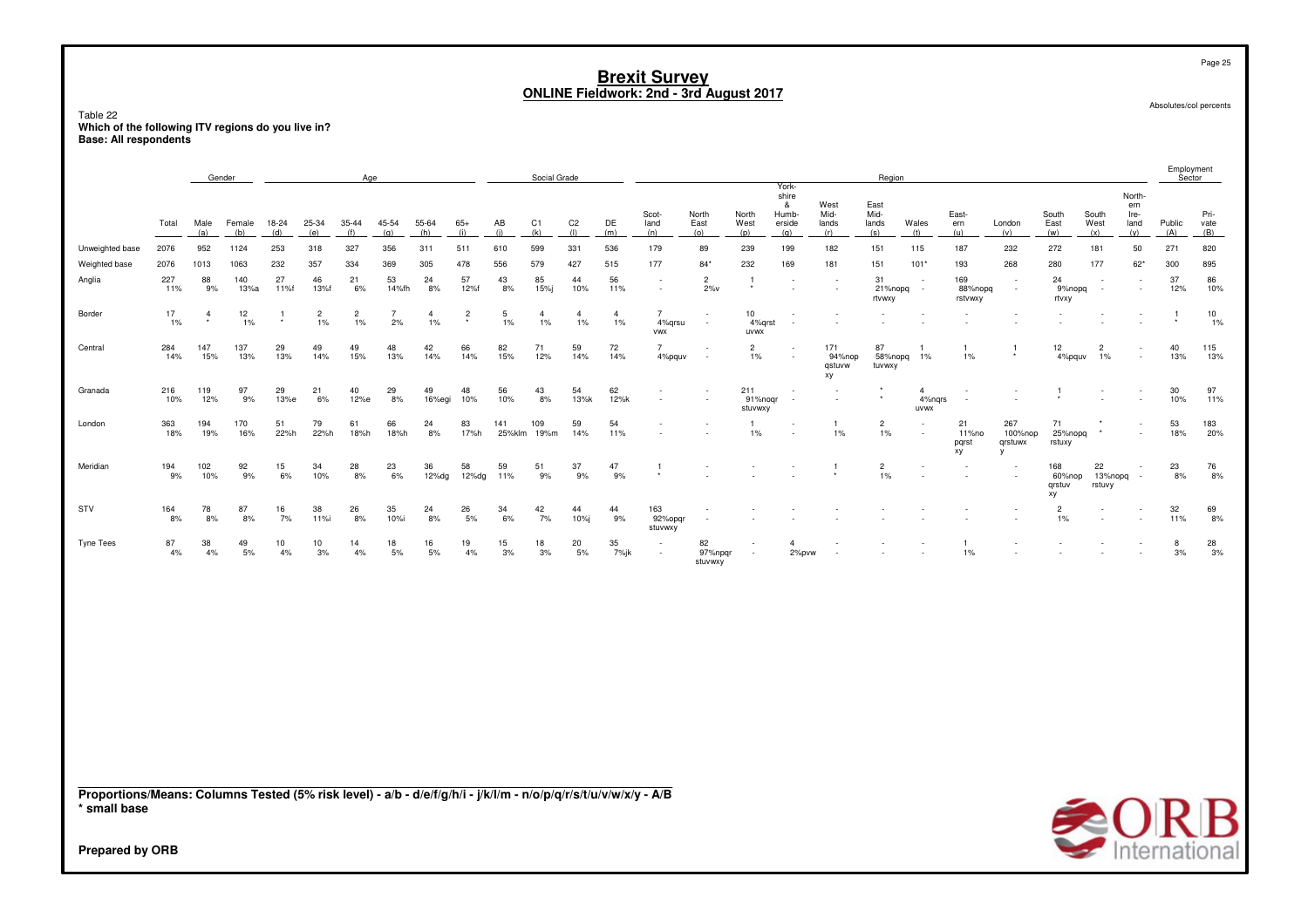Table 22**Which of the following ITV regions do you live in? Base: All respondents**

| North-<br>shire<br>West<br>&<br>East<br>ern<br>Mid-<br>Mid-<br>East-<br>South<br>Pri-<br>Scot-<br>North<br>North<br>Humb-<br>South<br>Ire-<br>45-54<br>AB<br>C1<br>C <sub>2</sub><br>DE<br>West<br>Wales<br>East<br>West<br>Public<br>Male<br>Female<br>18-24<br>25-34<br>35-44<br>55-64<br>$65+$<br>land<br>East<br>erside<br>lands<br>lands<br>ern<br>London<br>land<br>vate<br>Total<br>(d)<br>(h)<br>(i)<br>(i)<br>(k)<br>(1)<br>(m)<br>(A)<br>(a)<br>(b)<br>(e)<br>(f)<br>(q)<br>(n)<br>(o)<br>(p)<br>(r)<br>(s)<br>(t)<br>(v)<br>(w)<br>(x)<br>(v)<br>(B)<br>(q)<br>(u)<br>952<br>253<br>327<br>356<br>511<br>610<br>599<br>331<br>536<br>179<br>50<br>271<br>820<br>2076<br>1124<br>318<br>311<br>89<br>239<br>199<br>182<br>151<br>115<br>187<br>232<br>272<br>181<br>Unweighted base<br>478<br>515<br>2076<br>1063<br>232<br>357<br>334<br>369<br>305<br>556<br>579<br>427<br>177<br>$84*$<br>232<br>169<br>151<br>$101*$<br>193<br>268<br>280<br>177<br>$62*$<br>300<br>895<br>Weighted base<br>1013<br>181<br>88<br>27<br>53<br>57<br>56<br>37<br>227<br>140<br>46<br>21<br>43<br>85<br>31<br>169<br>24<br>86<br>Anglia<br>24<br>44<br>$\overline{c}$<br>$\overline{1}$<br>$\overline{\phantom{a}}$<br>÷<br>$\overline{\phantom{a}}$<br>$2\%v$<br>12%<br>10%<br>13%a<br>6%<br>8%<br>12%f<br>15%<br>10%<br>11%<br>88%nopq<br>11%<br>9%<br>11%f<br>13%f<br>14%fh<br>8%<br>21%nopq<br>9%nopq<br>$\sim$<br>$\sim$<br>$\sim$<br>$\overline{\phantom{a}}$<br>$\overline{\phantom{a}}$<br>rtvwxy<br>rstvwxy<br>rtvxy<br>17<br>12<br>10<br>Border<br>$\overline{c}$<br>$\overline{c}$<br>$\overline{7}$<br>$\frac{2}{x}$<br>5<br>$\overline{4}$<br>$\overline{4}$<br>$\overline{4}$<br>10<br>$\overline{4}$<br>$\overline{4}$<br>7<br>-1<br>1%<br>2%<br>$1\%$<br>4%qrsu<br>1%<br>1%<br>1%<br>$1\%$<br>$1\%$<br>$1\%$<br>$1\%$<br>1%<br>4%qrst<br>$\sim$<br><b>VWX</b><br>uvwx<br>284<br>147<br>137<br>29<br>49<br>49<br>48<br>42<br>66<br>82<br>71<br>59<br>72<br>171<br>87<br>12<br>40<br>115<br>Central<br>$\overline{7}$<br>$\overline{2}$<br>$\overline{2}$<br>$\mathbf{1}$<br>14%<br>13%<br>15%<br>14%<br>14%<br>13%<br>13%<br>15%<br>13%<br>14%<br>15%<br>13%<br>14%<br>14%<br>12%<br>4%pquv<br>1%<br>94%nop<br>58%nopq<br>1%<br>1%<br>4%pquv<br>1%<br>qstuvw<br>tuvwxy<br>xy<br>62<br>97<br>216<br>119<br>97<br>29<br>21<br>40<br>29<br>49<br>48<br>56<br>43<br>54<br>211<br>30<br>Granada<br>$\mathbf{A}$<br>$\star$<br>11%<br>10%<br>12%<br>9%<br>13%e<br>6%<br>12%e<br>8%<br>16%egi<br>10%<br>10%<br>8%<br>13%k<br>12%k<br>91%noqr<br>4%ngrs<br>10%<br>$\sim$<br>stuvwxy<br>uvwx<br>53<br>170<br>51<br>79<br>61<br>66<br>83<br>109<br>59<br>54<br>21<br>267<br>71<br>183<br>363<br>194<br>24<br>141<br>$\overline{c}$<br>London<br>22%h<br>14%<br>$1\%$<br>100%nop<br>25%nopq<br>18%<br>20%<br>18%<br>19%<br>16%<br>22%h<br>18%h<br>18%h<br>17%h<br>25%klm<br>11%<br>1%<br>$1\%$<br>8%<br>19%m<br>11%no<br>٠<br>pqrst<br>qrstuwx<br>rstuxy<br>xy<br>194<br>102<br>92<br>15<br>34<br>28<br>23<br>36<br>58<br>59<br>51<br>37<br>47<br>23<br>76<br>Meridian<br>$\overline{c}$<br>168<br>22<br>$\overline{1}$<br>$\mathbf{1}$<br>9%<br>9%<br>1%<br>8%<br>9%<br>10%<br>9%<br>6%<br>10%<br>8%<br>6%<br>12%dg<br>12%dg<br>11%<br>9%<br>60%nop<br>13%nopq<br>8%<br>$\overline{\phantom{a}}$<br>qrstuv<br>rstuvy<br>хy<br>STV<br>164<br>78<br>87<br>38<br>26<br>35<br>26<br>42<br>44<br>163<br>32<br>69<br>16<br>24<br>34<br>44<br>$\overline{2}$<br>8%<br>8%<br>8%<br>7%<br>8%<br>10%i<br>5%<br>6%<br>7%<br>10%i<br>9%<br>92%opgr<br>11%<br>8%<br>11%i<br>8%<br>1%<br>stuvwxy<br>35<br>$\frac{28}{3\%}$<br>87<br>38<br>49<br>10<br>10<br>14<br>18<br>16<br>19<br>15<br>18<br>20<br>82<br>$\mathbf{A}$<br>8<br>4%<br>5%<br>4%<br>3%<br>4%<br>5%<br>5%<br>4%<br>3%<br>3%<br>5%<br>7%jk<br>97%npgr<br>2%pvw<br>1%<br>3%<br>4%<br>stuvwxy<br>Proportions/Means: Columns Tested (5% risk level) - a/b - d/e/f/g/h/i - j/k/l/m - n/o/p/q/r/s/t/u/v/w/x/y - A/B<br><b>SORB</b><br>* small base |  | Gender |  | Age |  |  | Social Grade |  |  | York- | Region |  |  |  | Employment<br>Sector |  |
|----------------------------------------------------------------------------------------------------------------------------------------------------------------------------------------------------------------------------------------------------------------------------------------------------------------------------------------------------------------------------------------------------------------------------------------------------------------------------------------------------------------------------------------------------------------------------------------------------------------------------------------------------------------------------------------------------------------------------------------------------------------------------------------------------------------------------------------------------------------------------------------------------------------------------------------------------------------------------------------------------------------------------------------------------------------------------------------------------------------------------------------------------------------------------------------------------------------------------------------------------------------------------------------------------------------------------------------------------------------------------------------------------------------------------------------------------------------------------------------------------------------------------------------------------------------------------------------------------------------------------------------------------------------------------------------------------------------------------------------------------------------------------------------------------------------------------------------------------------------------------------------------------------------------------------------------------------------------------------------------------------------------------------------------------------------------------------------------------------------------------------------------------------------------------------------------------------------------------------------------------------------------------------------------------------------------------------------------------------------------------------------------------------------------------------------------------------------------------------------------------------------------------------------------------------------------------------------------------------------------------------------------------------------------------------------------------------------------------------------------------------------------------------------------------------------------------------------------------------------------------------------------------------------------------------------------------------------------------------------------------------------------------------------------------------------------------------------------------------------------------------------------------------------------------------------------------------------------------------------------------------------------------------------------------------------------------------------------------------------------------------------------------------------------------------------------------------------------------------------------------------------------------------------------------------------------------------------------------------------------------------------------------------------------------------------------------------------------------------------------------------------------------------------------------------------------------------------------------------------------------------------------------------------------------------------------------------------------------------------------|--|--------|--|-----|--|--|--------------|--|--|-------|--------|--|--|--|----------------------|--|
|                                                                                                                                                                                                                                                                                                                                                                                                                                                                                                                                                                                                                                                                                                                                                                                                                                                                                                                                                                                                                                                                                                                                                                                                                                                                                                                                                                                                                                                                                                                                                                                                                                                                                                                                                                                                                                                                                                                                                                                                                                                                                                                                                                                                                                                                                                                                                                                                                                                                                                                                                                                                                                                                                                                                                                                                                                                                                                                                                                                                                                                                                                                                                                                                                                                                                                                                                                                                                                                                                                                                                                                                                                                                                                                                                                                                                                                                                                                                                                                              |  |        |  |     |  |  |              |  |  |       |        |  |  |  |                      |  |
| Tyne Tees<br><b>Prepared by ORB</b>                                                                                                                                                                                                                                                                                                                                                                                                                                                                                                                                                                                                                                                                                                                                                                                                                                                                                                                                                                                                                                                                                                                                                                                                                                                                                                                                                                                                                                                                                                                                                                                                                                                                                                                                                                                                                                                                                                                                                                                                                                                                                                                                                                                                                                                                                                                                                                                                                                                                                                                                                                                                                                                                                                                                                                                                                                                                                                                                                                                                                                                                                                                                                                                                                                                                                                                                                                                                                                                                                                                                                                                                                                                                                                                                                                                                                                                                                                                                                          |  |        |  |     |  |  |              |  |  |       |        |  |  |  |                      |  |
|                                                                                                                                                                                                                                                                                                                                                                                                                                                                                                                                                                                                                                                                                                                                                                                                                                                                                                                                                                                                                                                                                                                                                                                                                                                                                                                                                                                                                                                                                                                                                                                                                                                                                                                                                                                                                                                                                                                                                                                                                                                                                                                                                                                                                                                                                                                                                                                                                                                                                                                                                                                                                                                                                                                                                                                                                                                                                                                                                                                                                                                                                                                                                                                                                                                                                                                                                                                                                                                                                                                                                                                                                                                                                                                                                                                                                                                                                                                                                                                              |  |        |  |     |  |  |              |  |  |       |        |  |  |  |                      |  |
|                                                                                                                                                                                                                                                                                                                                                                                                                                                                                                                                                                                                                                                                                                                                                                                                                                                                                                                                                                                                                                                                                                                                                                                                                                                                                                                                                                                                                                                                                                                                                                                                                                                                                                                                                                                                                                                                                                                                                                                                                                                                                                                                                                                                                                                                                                                                                                                                                                                                                                                                                                                                                                                                                                                                                                                                                                                                                                                                                                                                                                                                                                                                                                                                                                                                                                                                                                                                                                                                                                                                                                                                                                                                                                                                                                                                                                                                                                                                                                                              |  |        |  |     |  |  |              |  |  |       |        |  |  |  |                      |  |
|                                                                                                                                                                                                                                                                                                                                                                                                                                                                                                                                                                                                                                                                                                                                                                                                                                                                                                                                                                                                                                                                                                                                                                                                                                                                                                                                                                                                                                                                                                                                                                                                                                                                                                                                                                                                                                                                                                                                                                                                                                                                                                                                                                                                                                                                                                                                                                                                                                                                                                                                                                                                                                                                                                                                                                                                                                                                                                                                                                                                                                                                                                                                                                                                                                                                                                                                                                                                                                                                                                                                                                                                                                                                                                                                                                                                                                                                                                                                                                                              |  |        |  |     |  |  |              |  |  |       |        |  |  |  |                      |  |
|                                                                                                                                                                                                                                                                                                                                                                                                                                                                                                                                                                                                                                                                                                                                                                                                                                                                                                                                                                                                                                                                                                                                                                                                                                                                                                                                                                                                                                                                                                                                                                                                                                                                                                                                                                                                                                                                                                                                                                                                                                                                                                                                                                                                                                                                                                                                                                                                                                                                                                                                                                                                                                                                                                                                                                                                                                                                                                                                                                                                                                                                                                                                                                                                                                                                                                                                                                                                                                                                                                                                                                                                                                                                                                                                                                                                                                                                                                                                                                                              |  |        |  |     |  |  |              |  |  |       |        |  |  |  |                      |  |
|                                                                                                                                                                                                                                                                                                                                                                                                                                                                                                                                                                                                                                                                                                                                                                                                                                                                                                                                                                                                                                                                                                                                                                                                                                                                                                                                                                                                                                                                                                                                                                                                                                                                                                                                                                                                                                                                                                                                                                                                                                                                                                                                                                                                                                                                                                                                                                                                                                                                                                                                                                                                                                                                                                                                                                                                                                                                                                                                                                                                                                                                                                                                                                                                                                                                                                                                                                                                                                                                                                                                                                                                                                                                                                                                                                                                                                                                                                                                                                                              |  |        |  |     |  |  |              |  |  |       |        |  |  |  |                      |  |
|                                                                                                                                                                                                                                                                                                                                                                                                                                                                                                                                                                                                                                                                                                                                                                                                                                                                                                                                                                                                                                                                                                                                                                                                                                                                                                                                                                                                                                                                                                                                                                                                                                                                                                                                                                                                                                                                                                                                                                                                                                                                                                                                                                                                                                                                                                                                                                                                                                                                                                                                                                                                                                                                                                                                                                                                                                                                                                                                                                                                                                                                                                                                                                                                                                                                                                                                                                                                                                                                                                                                                                                                                                                                                                                                                                                                                                                                                                                                                                                              |  |        |  |     |  |  |              |  |  |       |        |  |  |  |                      |  |
|                                                                                                                                                                                                                                                                                                                                                                                                                                                                                                                                                                                                                                                                                                                                                                                                                                                                                                                                                                                                                                                                                                                                                                                                                                                                                                                                                                                                                                                                                                                                                                                                                                                                                                                                                                                                                                                                                                                                                                                                                                                                                                                                                                                                                                                                                                                                                                                                                                                                                                                                                                                                                                                                                                                                                                                                                                                                                                                                                                                                                                                                                                                                                                                                                                                                                                                                                                                                                                                                                                                                                                                                                                                                                                                                                                                                                                                                                                                                                                                              |  |        |  |     |  |  |              |  |  |       |        |  |  |  |                      |  |
|                                                                                                                                                                                                                                                                                                                                                                                                                                                                                                                                                                                                                                                                                                                                                                                                                                                                                                                                                                                                                                                                                                                                                                                                                                                                                                                                                                                                                                                                                                                                                                                                                                                                                                                                                                                                                                                                                                                                                                                                                                                                                                                                                                                                                                                                                                                                                                                                                                                                                                                                                                                                                                                                                                                                                                                                                                                                                                                                                                                                                                                                                                                                                                                                                                                                                                                                                                                                                                                                                                                                                                                                                                                                                                                                                                                                                                                                                                                                                                                              |  |        |  |     |  |  |              |  |  |       |        |  |  |  |                      |  |
|                                                                                                                                                                                                                                                                                                                                                                                                                                                                                                                                                                                                                                                                                                                                                                                                                                                                                                                                                                                                                                                                                                                                                                                                                                                                                                                                                                                                                                                                                                                                                                                                                                                                                                                                                                                                                                                                                                                                                                                                                                                                                                                                                                                                                                                                                                                                                                                                                                                                                                                                                                                                                                                                                                                                                                                                                                                                                                                                                                                                                                                                                                                                                                                                                                                                                                                                                                                                                                                                                                                                                                                                                                                                                                                                                                                                                                                                                                                                                                                              |  |        |  |     |  |  |              |  |  |       |        |  |  |  |                      |  |
|                                                                                                                                                                                                                                                                                                                                                                                                                                                                                                                                                                                                                                                                                                                                                                                                                                                                                                                                                                                                                                                                                                                                                                                                                                                                                                                                                                                                                                                                                                                                                                                                                                                                                                                                                                                                                                                                                                                                                                                                                                                                                                                                                                                                                                                                                                                                                                                                                                                                                                                                                                                                                                                                                                                                                                                                                                                                                                                                                                                                                                                                                                                                                                                                                                                                                                                                                                                                                                                                                                                                                                                                                                                                                                                                                                                                                                                                                                                                                                                              |  |        |  |     |  |  |              |  |  |       |        |  |  |  |                      |  |
|                                                                                                                                                                                                                                                                                                                                                                                                                                                                                                                                                                                                                                                                                                                                                                                                                                                                                                                                                                                                                                                                                                                                                                                                                                                                                                                                                                                                                                                                                                                                                                                                                                                                                                                                                                                                                                                                                                                                                                                                                                                                                                                                                                                                                                                                                                                                                                                                                                                                                                                                                                                                                                                                                                                                                                                                                                                                                                                                                                                                                                                                                                                                                                                                                                                                                                                                                                                                                                                                                                                                                                                                                                                                                                                                                                                                                                                                                                                                                                                              |  |        |  |     |  |  |              |  |  |       |        |  |  |  |                      |  |

Page 25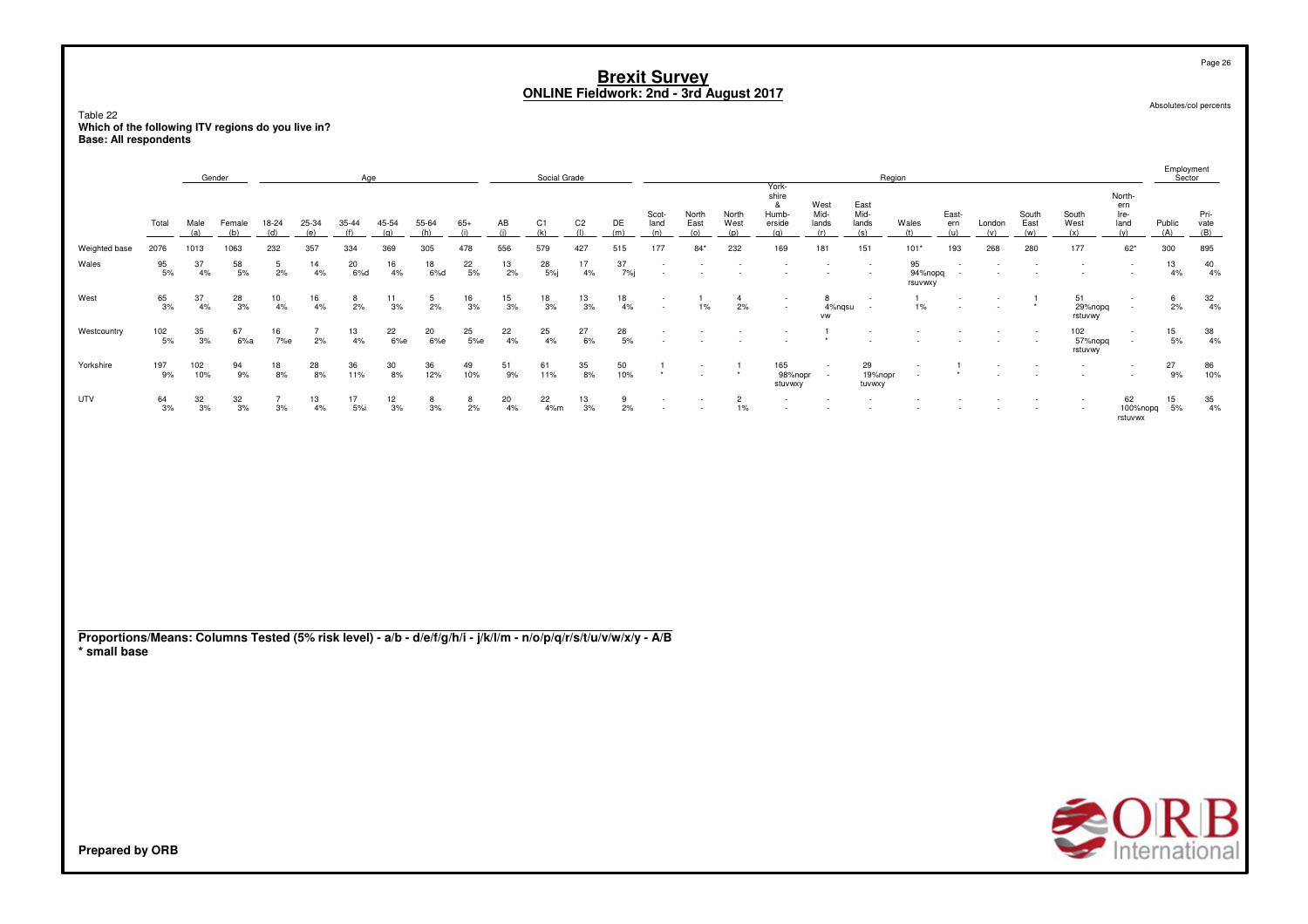Table 22**Which of the following ITV regions do you live in? Base: All respondents**

|                                                                                                                                 |                   |                  | Gender           |              |                      | Age              |                  |                   |                 |                  | Social Grade              |                       |                   |                          |                                            |                         |                                               |                              |                              | Region                   |                                    |               |                      |                           |                                      | Employment<br>Sector |                     |
|---------------------------------------------------------------------------------------------------------------------------------|-------------------|------------------|------------------|--------------|----------------------|------------------|------------------|-------------------|-----------------|------------------|---------------------------|-----------------------|-------------------|--------------------------|--------------------------------------------|-------------------------|-----------------------------------------------|------------------------------|------------------------------|--------------------------|------------------------------------|---------------|----------------------|---------------------------|--------------------------------------|----------------------|---------------------|
|                                                                                                                                 | Total             | Male<br>(a)      | Female<br>(b)    | 18-24<br>(d) | 25-34<br>(e)         | 35-44<br>(f)     | 45-54<br>(q)     | 55-64<br>(h)      | $65+$<br>(i)    | AB<br>(i)        | C1<br>(k)                 | C <sub>2</sub><br>(1) | DE<br>(m)         | Scot-<br>land<br>(n)     | North<br>East<br>(o)                       | North<br>West<br>(p)    | York-<br>shire<br>&<br>Humb-<br>erside<br>(a) | West<br>Mid-<br>lands<br>(r) | East<br>Mid-<br>lands<br>(s) | Wales<br>(t)             | East-<br>ern<br>(u)                | London<br>(v) | South<br>East<br>(w) | South<br>West<br>(x)      | North-<br>ern<br>Ire-<br>land<br>(v) | Public<br>(A)        | Pri-<br>vate<br>(B) |
| Weighted base                                                                                                                   | 2076              | 1013             | 1063             | 232          | 357                  | 334              | 369              | 305               | 478             | 556              | 579                       | 427                   | 515               | 177                      | $84*$                                      | 232                     | 169                                           | 181                          | 151                          | $101*$                   | 193                                | 268           | 280                  | 177                       | $62^{\star}$                         | 300                  | 895                 |
| Wales                                                                                                                           | $\frac{95}{5\%}$  | 37<br>4%         | $58\atop 5\%$    | 5<br>2%      | 14<br>4%             | $^{20}_{\ 6\%d}$ | $\frac{16}{4\%}$ | $\frac{18}{6\%d}$ | $^{22}_{\ 5\%}$ | $\frac{13}{2\%}$ | $^{28}_{\phantom{1}5\%j}$ | 17<br>$4\%$           | 37<br>-<br>7%j    | $\overline{\phantom{a}}$ |                                            |                         |                                               | $\overline{\phantom{a}}$     |                              | 95<br>94%nopq<br>rsuvwxy | $\overline{\phantom{a}}$<br>$\sim$ |               |                      |                           | $\sim$                               | $\frac{13}{4\%}$     | $\frac{40}{4\%}$    |
| West                                                                                                                            | $\frac{65}{3\%}$  | 37<br>4%         | 28<br>3%         | 10<br>$4\%$  | 16<br>4%             | 8<br>2%          | 11<br>3%         | 5<br>2%           | $\frac{16}{3%}$ | 15<br>3%         | 18<br>3%                  | 13<br>3%              | 18<br>4%          | ٠                        | $1\%$                                      | $\overline{a}$<br>2%    |                                               | 8<br>4%nqsu<br><b>VW</b>     |                              | $1\%$                    |                                    |               |                      | 51<br>29%nopq<br>rstuvwy  | $\sim$                               | 6<br>2%              | $\frac{32}{4\%}$    |
| Westcountry                                                                                                                     | $\frac{102}{5\%}$ | 35<br>3%         | 67<br>6%a        | 16<br>7%e    | $\overline{7}$<br>2% | 13<br>4%         | 22<br>6%e        | 20<br>6%e         | 25<br>5%e       | 22<br>4%         | 25<br>4%                  | 27<br>6%              | 28<br>5%          |                          |                                            |                         |                                               |                              |                              |                          |                                    |               |                      | 102<br>57%nopq<br>rstuvwy | $\sim$                               | 15<br>5%             | $\frac{38}{4\%}$    |
| Yorkshire                                                                                                                       | 197<br>9%         | 102<br>10%       | 94<br>9%         | 18<br>8%     | $^{28}_{\ 8\%}$      | 36<br>11%        | $\frac{30}{8\%}$ | 36<br>12%         | 49<br>10%       | 51<br>9%         | 61<br>11%                 | 35<br>8%              | $\frac{50}{10\%}$ | -1                       | $\overline{\phantom{a}}$<br>$\overline{a}$ | $\overline{1}$          | 165<br>98%nopr<br>stuvwxy                     | $\sim$<br>$\sim$             | 29<br>19%nopr<br>tuvwxy      |                          |                                    |               |                      |                           |                                      | $^{27}_{9\%}$        | 86<br>10%           |
| UTV                                                                                                                             | $\frac{64}{3\%}$  | $\frac{32}{3\%}$ | $\frac{32}{3\%}$ | 3%           | $\frac{13}{4\%}$     | 17<br>5%i        | $\frac{12}{3\%}$ | 8<br>3%           | 8<br>2%         | 20<br>4%         | $^{22}_{4\%m}$            | $\frac{13}{3\%}$      | $\frac{9}{2\%}$   | ٠                        | $\overline{\phantom{a}}$                   | $\overline{c}$<br>$1\%$ |                                               |                              |                              |                          |                                    |               |                      |                           | 62<br>100%nopq<br>rstuvwx            | $\frac{15}{5\%}$     | $\frac{35}{4\%}$    |
| Proportions/Means: Columns Tested (5% risk level) - a/b - d/e/f/g/h/i - j/k/l/m - n/o/p/q/r/s/t/u/v/w/x/y - A/B<br>* small base |                   |                  |                  |              |                      |                  |                  |                   |                 |                  |                           |                       |                   |                          |                                            |                         |                                               |                              |                              |                          |                                    |               |                      |                           |                                      |                      |                     |



Page 26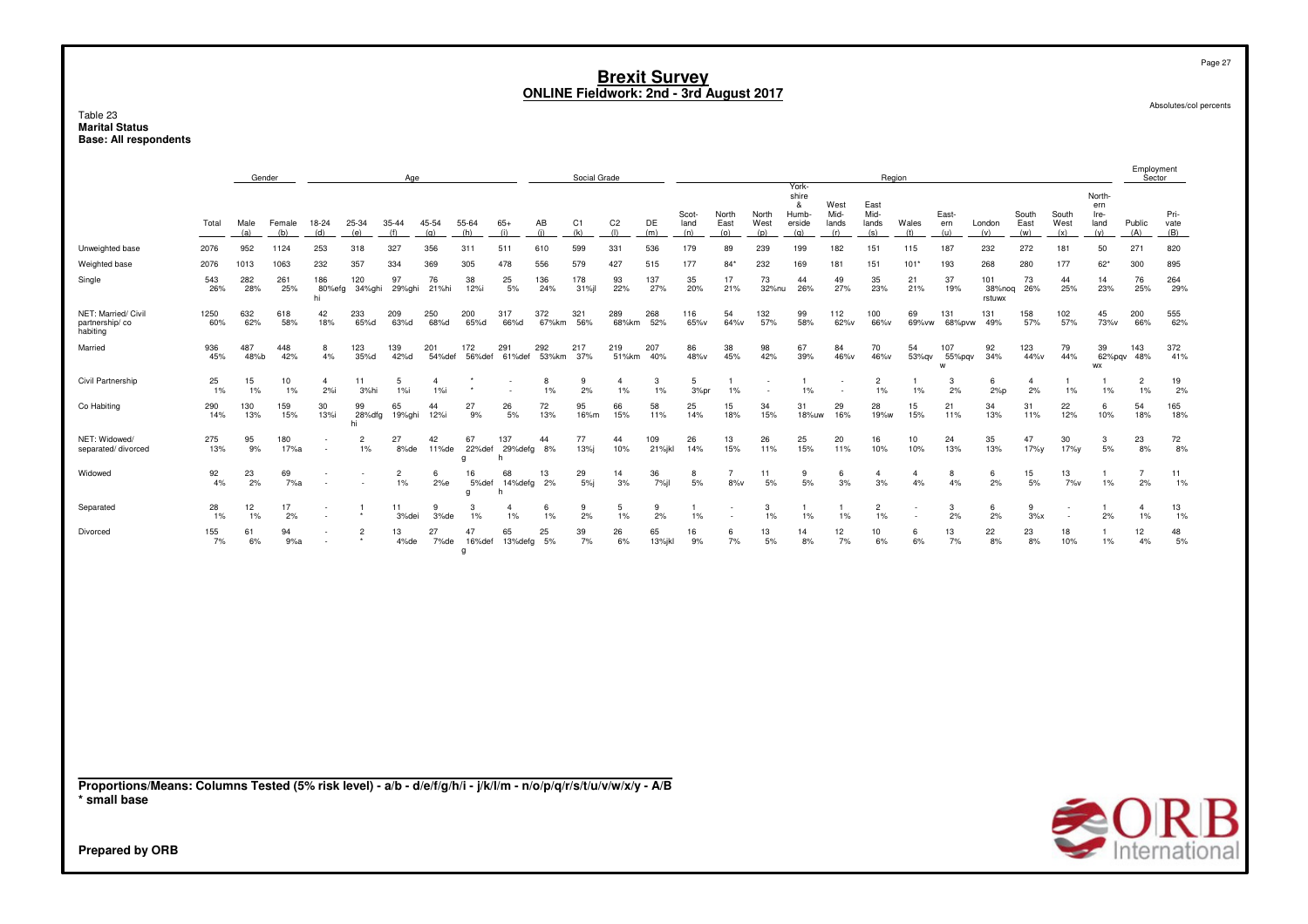### Table 23 **Marital Status<br>Base: All respondents**

|                                                                                                                                 |             |             | Gender      |                     |                | Age                  |                       |                   |                             |              | Social Grade |                      |               |               |                       |               |                                        |                       | Region                |                      |                    |                         |                      |               |                               | Employment<br>Sector    |              |
|---------------------------------------------------------------------------------------------------------------------------------|-------------|-------------|-------------|---------------------|----------------|----------------------|-----------------------|-------------------|-----------------------------|--------------|--------------|----------------------|---------------|---------------|-----------------------|---------------|----------------------------------------|-----------------------|-----------------------|----------------------|--------------------|-------------------------|----------------------|---------------|-------------------------------|-------------------------|--------------|
|                                                                                                                                 | Total       | Male        | Female      | 18-24               | 25-34          | 35-44                | 45-54                 | 55-64             | $65+$                       | AB           | C1           | C <sub>2</sub>       | DE            | Scot-<br>land | North<br>East         | North<br>West | York-<br>shire<br>&<br>Humb-<br>erside | West<br>Mid-<br>lands | East<br>Mid-<br>lands | Wales                | East-<br>ern       | London                  | South<br>East        | South<br>West | North-<br>ern<br>Ire-<br>land | Public                  | Pri-<br>vate |
| Unweighted base                                                                                                                 | 2076        | (a)<br>952  | (b)<br>1124 | (d)<br>253          | (e)<br>318     | (f)<br>327           | (q)<br>356            | (h)<br>311        | (i)<br>511                  | (i)<br>610   | (k)<br>599   | (1)<br>331           | (m)<br>536    | (n)<br>179    | (0)<br>89             | (p)<br>239    | (q)<br>199                             | (r)<br>182            | (s)<br>151            | (t)<br>115           | (u)<br>187         | (v)<br>232              | (w)<br>272           | (x)<br>181    | (y)<br>50                     | (A)<br>271              | (B)<br>820   |
| Weighted base                                                                                                                   | 2076        | 1013        | 1063        | 232                 | 357            | 334                  | 369                   | 305               | 478                         | 556          | 579          | 427                  | 515           | 177           | $84*$                 | 232           | 169                                    | 181                   | 151                   | $101*$               | 193                | 268                     | 280                  | 177           | $62*$                         | 300                     | 895          |
| Single                                                                                                                          | 543<br>26%  | 282<br>28%  | 261<br>25%  | 186<br>80%efg<br>hi | 120<br>34%ghi  | 97<br>29%ghi         | 76<br>21%hi           | 38<br>12%i        | 25<br>5%                    | 136<br>24%   | 178<br>31%jl | 93<br>22%            | 137<br>27%    | 35<br>20%     | 17<br>21%             | 73<br>32%nu   | 44<br>26%                              | 49<br>27%             | 35<br>23%             | 21<br>21%            | 37<br>19%          | 101<br>38%noq<br>rstuwx | 73<br>26%            | 44<br>25%     | 14<br>23%                     | 76<br>25%               | 264<br>29%   |
| NET: Married/ Civil<br>partnership/co<br>habiting                                                                               | 1250<br>60% | 632<br>62%  | 618<br>58%  | 42<br>18%           | 233<br>65%d    | 209<br>63%d          | 250<br>68%d           | 200<br>65%d       | 317<br>66%d                 | 372<br>67%km | 321<br>56%   | 289<br>68%km         | 268<br>52%    | 116<br>65%v   | 54<br>64%v            | 132<br>57%    | 99<br>58%                              | 112<br>62%v           | 100<br>66%v           | 69<br>69%vw          | 131<br>68%pvw      | 131<br>49%              | 158<br>57%           | 102<br>57%    | 45<br>73%v                    | 200<br>66%              | 555<br>62%   |
| Married                                                                                                                         | 936<br>45%  | 487<br>48%b | 448<br>42%  | 8<br>4%             | 123<br>35%d    | 139<br>42%d          | 201<br>54%def         | 172<br>56%def     | 291<br>61%def               | 292<br>53%km | 217<br>37%   | 219<br>51%km         | 207<br>40%    | 86<br>48%v    | 38<br>45%             | 98<br>42%     | 67<br>39%                              | 84<br>46%v            | 70<br>46%v            | 54<br>53%qv          | 107<br>55%pqv<br>W | 92<br>34%               | 123<br>44%v          | 79<br>44%     | 39<br>WX                      | 143<br>62%pqv 48%       | 372<br>41%   |
| Civil Partnership                                                                                                               | 25<br>$1\%$ | 15<br>1%    | 10<br>1%    | 4<br>$2%$ i         | 11<br>3%hi     | - 5<br>1%            | $\overline{4}$<br>1%i |                   |                             | 8<br>1%      | 9<br>2%      | $\overline{4}$<br>1% | 3<br>$1\%$    | 5<br>3%pr     | -1<br>1%              |               | -1<br>$1\%$                            |                       | $\overline{2}$<br>1%  | -1<br>$1\%$          | 3<br>2%            | 6<br>2%p                | $\overline{4}$<br>2% | 1%            | 1<br>$1\%$                    | $\overline{2}$<br>1%    | 19<br>2%     |
| Co Habiting                                                                                                                     | 290<br>14%  | 130<br>13%  | 159<br>15%  | 30<br>13%i          | 99<br>28%dfg   | 65<br>19%ghi         | 44<br>12%i            | 27<br>9%          | 26<br>5%                    | 72<br>13%    | 95<br>16%m   | 66<br>15%            | 58<br>11%     | 25<br>14%     | 15<br>18%             | 34<br>15%     | 31<br>18%uw                            | 29<br>16%             | 28<br>19%w            | 15<br>15%            | 21<br>11%          | 34<br>13%               | 31<br>11%            | 22<br>12%     | 6<br>10%                      | 54<br>18%               | 165<br>18%   |
| NET: Widowed/<br>separated/divorced                                                                                             | 275<br>13%  | 95<br>9%    | 180<br>17%a |                     | 2<br>1%        | 27<br>8%de           | 42<br>11%de           | 67<br>22%def<br>q | 137<br>29%defg<br>h         | 44<br>8%     | 77<br>13%j   | 44<br>10%            | 109<br>21%jkl | 26<br>14%     | 13<br>15%             | 26<br>11%     | 25<br>15%                              | 20<br>11%             | 16<br>10%             | 10<br>10%            | 24<br>13%          | 35<br>13%               | 47<br>17%y           | 30<br>17%y    | 3<br>5%                       | 23<br>8%                | 72<br>8%     |
| Widowed                                                                                                                         | 92<br>4%    | 23<br>2%    | 69<br>7%a   |                     |                | $\overline{c}$<br>1% | 6<br>2%e              | 16<br>5%def<br>q  | 68<br>14%defg               | 13<br>2%     | 29<br>5%     | 14<br>3%             | 36<br>7%jl    | 8<br>5%       | $\overline{7}$<br>8%v | 11<br>5%      | 9<br>5%                                | 6<br>3%               | $\overline{4}$<br>3%  | $\overline{4}$<br>4% | 8<br>4%            | 6<br>2%                 | 15<br>5%             | 13<br>7%v     | $\mathbf{1}$<br>1%            | $\overline{7}$<br>2%    | 11<br>1%     |
| Separated                                                                                                                       | 28<br>$1\%$ | 12<br>1%    | 17<br>2%    |                     | -1             | 11<br>3%dei          | 9<br>3%de             | 3<br>1%           | $\boldsymbol{\Delta}$<br>1% | -6<br>1%     | 9<br>2%      | 5<br>1%              | 9<br>2%       | 1<br>1%       |                       | 3<br>1%       | $\mathbf{1}$<br>1%                     | $\mathbf{1}$<br>$1\%$ | $\overline{2}$<br>1%  |                      | 3<br>2%            | 6<br>2%                 | 9<br>$3\%x$          |               | $\overline{1}$<br>2%          | $\overline{4}$<br>$1\%$ | 13<br>1%     |
| Divorced                                                                                                                        | 155<br>7%   | 61<br>6%    | 94<br>9%a   |                     | $\overline{2}$ | 13<br>4%de           | 27<br>7%de            | 47<br>16%def<br>q | 65<br>13%defg               | 25<br>5%     | 39<br>7%     | 26<br>6%             | 65<br>13%jkl  | 16<br>9%      | 6<br>7%               | 13<br>5%      | 14<br>8%                               | 12<br>7%              | 10<br>6%              | 6<br>6%              | 13<br>7%           | 22<br>8%                | 23<br>8%             | 18<br>10%     | $\mathbf{1}$<br>$1\%$         | 12<br>4%                | 48<br>5%     |
|                                                                                                                                 |             |             |             |                     |                |                      |                       |                   |                             |              |              |                      |               |               |                       |               |                                        |                       |                       |                      |                    |                         |                      |               |                               |                         |              |
| Proportions/Means: Columns Tested (5% risk level) - a/b - d/e/f/g/h/i - j/k/l/m - n/o/p/q/r/s/t/u/v/w/x/y - A/B<br>* small base |             |             |             |                     |                |                      |                       |                   |                             |              |              |                      |               |               |                       |               |                                        |                       |                       |                      |                    |                         |                      |               |                               |                         | <b>SORB</b>  |
| <b>Prepared by ORB</b>                                                                                                          |             |             |             |                     |                |                      |                       |                   |                             |              |              |                      |               |               |                       |               |                                        |                       |                       |                      |                    |                         |                      |               |                               |                         |              |

Page 27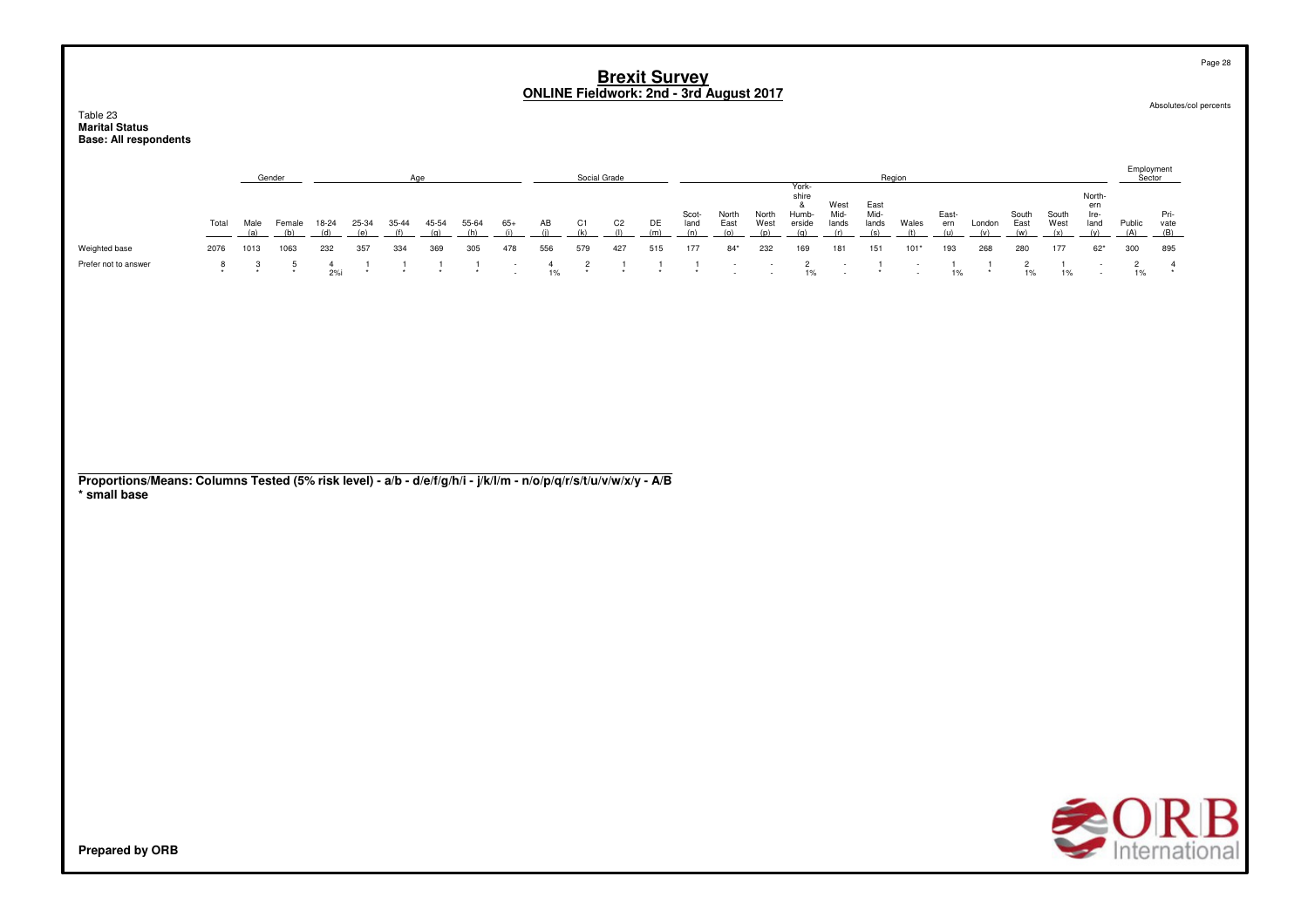Table 23**Marital Status Base: All respondents**

|                      |       |      | Gender |       |       |       |       |       |       |     | Social Grade |     |     |               |               |               |                                   |                       | Region                |        |             |        |               |               |                               | Sector |              |
|----------------------|-------|------|--------|-------|-------|-------|-------|-------|-------|-----|--------------|-----|-----|---------------|---------------|---------------|-----------------------------------|-----------------------|-----------------------|--------|-------------|--------|---------------|---------------|-------------------------------|--------|--------------|
|                      | Total | Male | Female | 18-24 | 25-34 | 35-44 | 45-54 | 55-64 | $65+$ | AВ  | C1.          | C2  | DE  | Scot-<br>land | North<br>East | North<br>West | York-<br>shire<br>Humb-<br>erside | West<br>Mid-<br>lands | East<br>Mid-<br>lands | Wales  | East<br>ern | London | South<br>East | South<br>West | North-<br>ern<br>Ire-<br>land | Public | Pri-<br>vate |
| Weighted base        | 2076  | 1013 | 1063   | 232   | 357   | 334   | 369   | 305   | 478   | 556 | 579          | 427 | 515 | 177           | $84*$         | 232           | 169                               | 181                   | 151                   | $101*$ | 193         | 268    | 280           | 177           | $62*$                         | 300    | 895          |
| Prefer not to answer |       |      |        | 2%    |       |       |       |       |       | 1%  | $\star$      |     |     |               | $\sim$        |               | 1%                                | $\sim$<br>$\sim$      |                       | $\sim$ | 1%          |        | 1%            | 1%            | $\sim$                        |        |              |

**Proportions/Means: Columns Tested (5% risk level) - a/b - d/e/f/g/h/i - j/k/l/m - n/o/p/q/r/s/t/u/v/w/x/y - A/B\* small base**



Absolutes/col percents

Page 28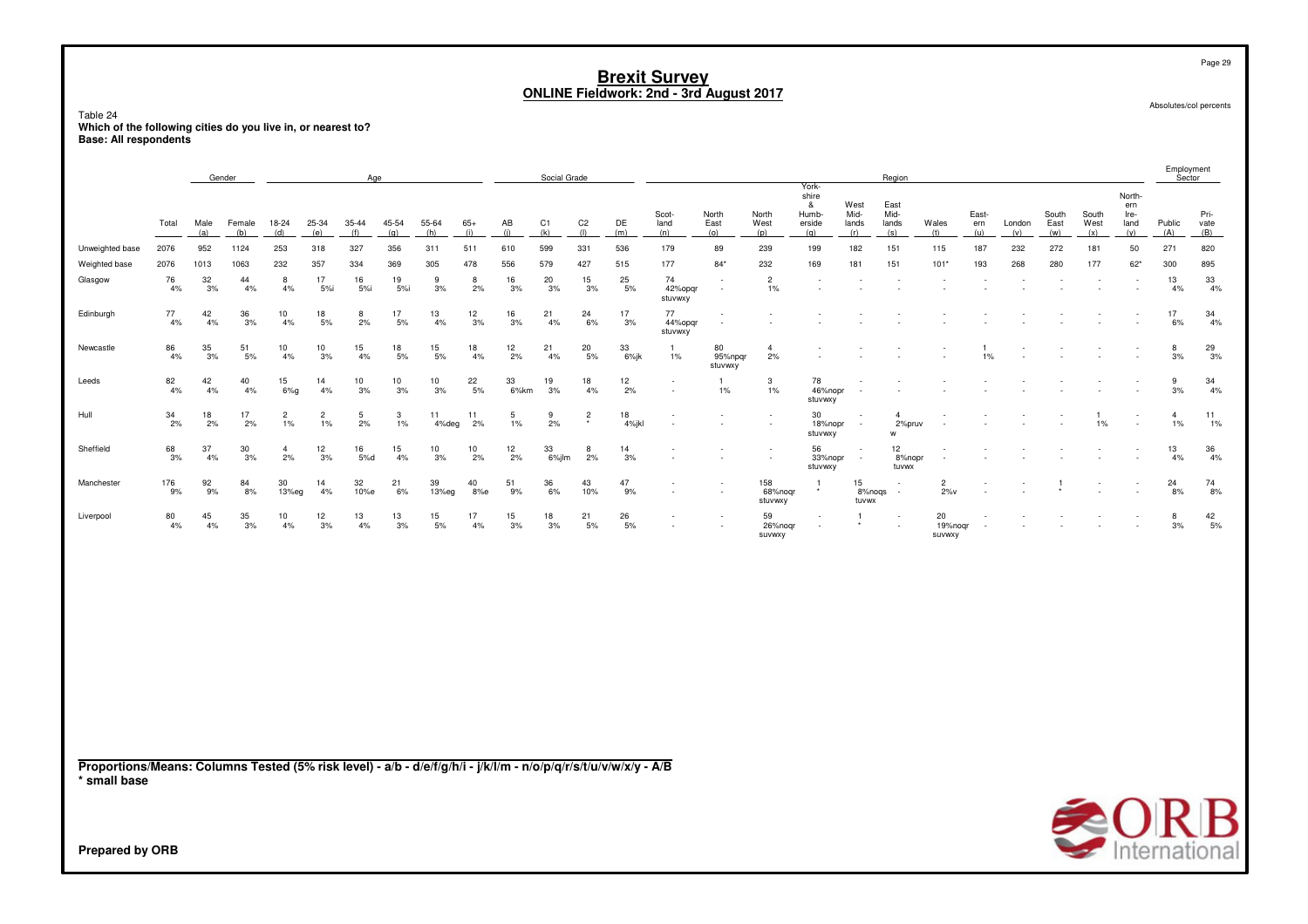Table 24**Which of the following cities do you live in, or nearest to? Base: All respondents**

|                                                                                                                                 |           |             | Gender        |                         |                      |              | Age          |              |              |            | Social Grade          |                       |                |                          |                                                      |                           |                                               |                              | Region                               |                          |                     |               |                      |                             |                                      |                      | Employment<br>Sector |
|---------------------------------------------------------------------------------------------------------------------------------|-----------|-------------|---------------|-------------------------|----------------------|--------------|--------------|--------------|--------------|------------|-----------------------|-----------------------|----------------|--------------------------|------------------------------------------------------|---------------------------|-----------------------------------------------|------------------------------|--------------------------------------|--------------------------|---------------------|---------------|----------------------|-----------------------------|--------------------------------------|----------------------|----------------------|
|                                                                                                                                 | Total     | Male<br>(a) | Female<br>(b) | 18-24<br>(d)            | 25-34<br>(e)         | 35-44<br>(f) | 45-54<br>(q) | 55-64<br>(h) | $65+$<br>(i) | AB<br>(i)  | C <sub>1</sub><br>(k) | C <sub>2</sub><br>(1) | DE<br>(m)      | Scot-<br>land<br>(n)     | North<br>East<br>(o)                                 | North<br>West<br>(p)      | York-<br>shire<br>&<br>Humb-<br>erside<br>(q) | West<br>Mid-<br>lands<br>(r) | East<br>Mid-<br>lands<br>(s)         | Wales<br>(t)             | East-<br>ern<br>(u) | London<br>(v) | South<br>East<br>(w) | South<br>West<br>(x)        | North-<br>ern<br>Ire-<br>land<br>(y) | Public<br>(A)        | Pri-<br>vate<br>(B)  |
| Unweighted base                                                                                                                 | 2076      | 952         | 1124          | 253                     | 318                  | 327          | 356          | 311          | 511          | 610        | 599                   | 331                   | 536            | 179                      | 89                                                   | 239                       | 199                                           | 182                          | 151                                  | 115                      | 187                 | 232           | 272                  | 181                         | 50                                   | 271                  | 820                  |
| Weighted base                                                                                                                   | 2076      | 1013        | 1063          | 232                     | 357                  | 334          | 369          | 305          | 478          | 556        | 579                   | 427                   | 515            | 177                      | $84*$                                                | 232                       | 169                                           | 181                          | 151                                  | $101*$                   | 193                 | 268           | 280                  | 177                         | $62*$                                | 300                  | 895                  |
| Glasgow                                                                                                                         | 76<br>4%  | 32<br>3%    | 44<br>4%      | 8<br>4%                 | 17<br>5%i            | 16<br>5%i    | 19<br>5%i    | 9<br>3%      | 8<br>2%      | 16<br>3%   | 20<br>3%              | 15<br>3%              | 25<br>5%       | 74<br>42%opgr<br>stuvwxy | $\overline{\phantom{a}}$<br>$\overline{\phantom{a}}$ | $\overline{2}$<br>1%      | $\blacksquare$                                |                              |                                      |                          |                     |               |                      |                             |                                      | 13<br>4%             | $33\,$<br>4%         |
| Edinburgh                                                                                                                       | 77<br>4%  | 42<br>4%    | 36<br>3%      | 10<br>4%                | 18<br>5%             | 8<br>2%      | 17<br>5%     | 13<br>4%     | 12<br>3%     | 16<br>3%   | 21<br>4%              | 24<br>6%              | 17<br>3%       | 77<br>44%opqr<br>stuvwxy | ٠<br>÷                                               |                           |                                               |                              |                                      |                          |                     |               |                      |                             |                                      | 17<br>6%             | 34<br>4%             |
| Newcastle                                                                                                                       | 86<br>4%  | 35<br>3%    | 51<br>5%      | 10<br>4%                | 10<br>3%             | 15<br>4%     | 18<br>5%     | 15<br>5%     | 18<br>4%     | 12<br>2%   | 21<br>4%              | 20<br>5%              | 33<br>$6\%$ jk | 1.<br>$1\%$              | 80<br>95%npgr<br>stuvwxy                             | $\overline{4}$<br>2%      |                                               |                              |                                      |                          | 1%                  |               |                      |                             |                                      | 8<br>3%              | $^{29}_{3\%}$        |
| Leeds                                                                                                                           | 82<br>4%  | 42<br>4%    | 40<br>4%      | 15<br>$6\%g$            | 14<br>4%             | 10<br>3%     | 10<br>3%     | 10<br>3%     | 22<br>5%     | 33<br>6%km | 19<br>3%              | 18<br>4%              | 12<br>2%       |                          | $\mathbf{1}$<br>$1\%$                                | 3<br>$1\%$                | 78<br>46%nopr<br>stuvwxy                      |                              |                                      |                          |                     |               |                      |                             |                                      | 9<br>3%              | $\frac{34}{4\%}$     |
| Hull                                                                                                                            | 34<br>2%  | 18<br>2%    | 17<br>2%      | $\overline{2}$<br>$1\%$ | $\overline{2}$<br>1% | 5<br>2%      | 3<br>1%      | 11<br>4%deg  | 11<br>2%     | 5<br>1%    | 9<br>2%               | $\overline{c}$        | 18<br>4%jkl    |                          |                                                      |                           | 30<br>18%nopr<br>stuvwxy                      |                              | $\boldsymbol{\Delta}$<br>2%pruv<br>w |                          |                     |               |                      | $1\%$                       |                                      | $\overline{4}$<br>1% | 11<br>1%             |
| Sheffield                                                                                                                       | 68<br>3%  | 37<br>4%    | 30<br>3%      | $\overline{4}$<br>2%    | 12<br>3%             | 16<br>5%d    | 15<br>4%     | 10<br>3%     | 10<br>2%     | 12<br>2%   | 33<br>6%jlm           | 8<br>2%               | 14<br>3%       |                          |                                                      |                           | 56<br>33%nopr<br>stuvwxy                      | $\sim$                       | 12<br>8%nopr<br>tuvwx                |                          |                     |               |                      |                             |                                      | 13<br>4%             | 36<br>4%             |
| Manchester                                                                                                                      | 176<br>9% | 92<br>9%    | 84<br>8%      | 30<br>13%eg             | 14<br>4%             | 32<br>10%e   | 21<br>6%     | 39<br>13%eg  | 40<br>8%e    | 51<br>9%   | 36<br>6%              | 43<br>10%             | 47<br>9%       |                          |                                                      | 158<br>68%noqr<br>stuvwxy | $\overline{1}$                                | 15<br>8%noqs<br>tuvwx        | $\overline{\phantom{a}}$             | $\overline{c}$<br>$2\%v$ |                     |               |                      |                             |                                      | 24<br>8%             | 74<br>8%             |
| Liverpool                                                                                                                       | 80<br>4%  | 45<br>4%    | 35<br>3%      | 10<br>4%                | 12<br>3%             | 13<br>4%     | 13<br>3%     | 15<br>5%     | 17<br>4%     | 15<br>3%   | 18<br>3%              | 21<br>5%              | 26<br>5%       |                          |                                                      | 59<br>26%noqr<br>suvwxy   | ٠                                             |                              |                                      | 20<br>19%nogr<br>SUVWXY  |                     |               |                      |                             |                                      | 8<br>3%              | $^{42}_{\ 5\%}$      |
| Proportions/Means: Columns Tested (5% risk level) - a/b - d/e/f/g/h/i - j/k/l/m - n/o/p/q/r/s/t/u/v/w/x/y - A/B<br>* small base |           |             |               |                         |                      |              |              |              |              |            |                       |                       |                |                          |                                                      |                           |                                               |                              |                                      |                          |                     |               |                      |                             |                                      |                      |                      |
|                                                                                                                                 |           |             |               |                         |                      |              |              |              |              |            |                       |                       |                |                          |                                                      |                           |                                               |                              |                                      |                          |                     |               |                      | $\blacktriangle$ $\cap$ D D |                                      |                      |                      |



Page 29

Absolutes/col percents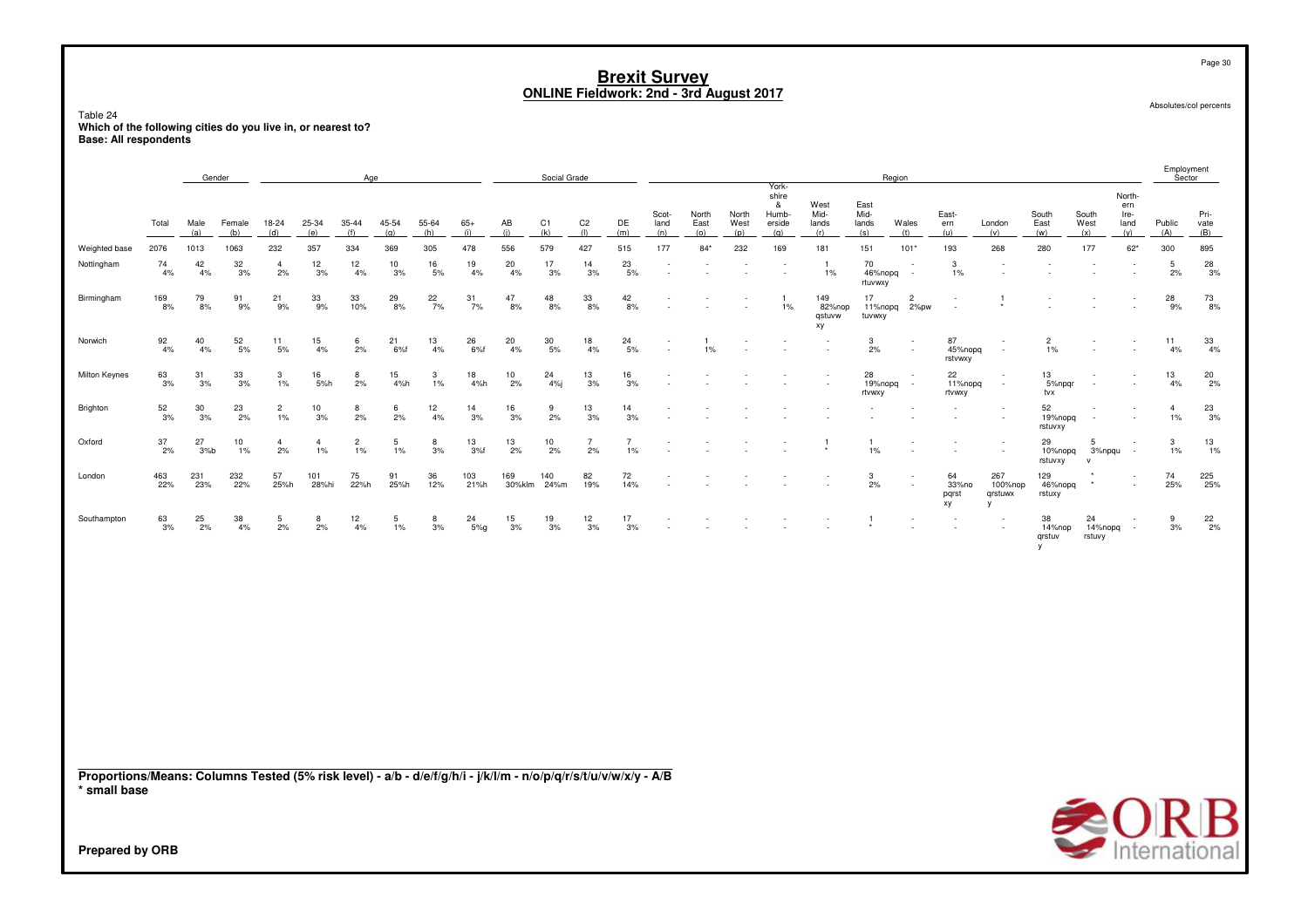Page 30

Absolutes/col percents

Table 24**Which of the following cities do you live in, or nearest to? Base: All respondents**

|               |            |              | Gender                                   |                         |                         | Age                     |              |              |              |               | Social Grade          |                       |                      |                      |                      |                                                      | York-                                |                               |                              | Region                             |                                                      |                                          |                          |                             |                                                      | Employment<br>Sector |                     |
|---------------|------------|--------------|------------------------------------------|-------------------------|-------------------------|-------------------------|--------------|--------------|--------------|---------------|-----------------------|-----------------------|----------------------|----------------------|----------------------|------------------------------------------------------|--------------------------------------|-------------------------------|------------------------------|------------------------------------|------------------------------------------------------|------------------------------------------|--------------------------|-----------------------------|------------------------------------------------------|----------------------|---------------------|
|               | Total      | Male<br>(a)  | Female<br>(b)                            | 18-24<br>(d)            | 25-34<br>(e)            | 35-44<br>(f)            | 45-54<br>(q) | 55-64<br>(h) | $65+$<br>(i) | AB<br>(i)     | C <sub>1</sub><br>(k) | C <sub>2</sub><br>(1) | DE<br>(m)            | Scot-<br>land<br>(n) | North<br>East<br>(o) | North<br>West<br>(p)                                 | shire<br>&<br>Humb-<br>erside<br>(a) | West<br>Mid-<br>lands<br>(r)  | East<br>Mid-<br>lands<br>(s) | Wales<br>(t)                       | East-<br>ern<br>(u)                                  | London<br>(v)                            | South<br>East<br>(w)     | South<br>West<br>(x)        | North-<br>ern<br>Ire-<br>land<br>(v)                 | Public<br>(A)        | Pri-<br>vate<br>(B) |
| Weighted base | 2076       | 1013         | 1063                                     | 232                     | 357                     | 334                     | 369          | 305          | 478          | 556           | 579                   | 427                   | 515                  | 177                  | $84*$                | 232                                                  | 169                                  | 181                           | 151                          | 101'                               | 193                                                  | 268                                      | 280                      | 177                         | $62*$                                                | 300                  | 895                 |
| Nottingham    | 74<br>4%   | 42<br>4%     | $\frac{32}{3\%}$                         | $\overline{4}$<br>2%    | 12<br>3%                | 12<br>4%                | 10<br>3%     | 16<br>5%     | 19<br>4%     | 20<br>4%      | 17<br>3%              | 14<br>3%              | $^{23}_{\ 5\%}$      |                      |                      |                                                      |                                      | $\overline{1}$<br>1%          | 70<br>46%nopq<br>rtuvwxy     | $\sim$                             | 3<br>1%                                              |                                          |                          | $\overline{\phantom{a}}$    | . .                                                  | 5<br>2%              | $\frac{28}{3\%}$    |
| Birmingham    | 169<br>8%  | 79<br>8%     | 91<br>9%                                 | 21<br>9%                | 33<br>9%                | 33<br>10%               | 29<br>8%     | 22<br>7%     | 31<br>7%     | 47<br>8%      | 48<br>8%              | 33<br>8%              | 42<br>8%             |                      |                      |                                                      | $1\%$                                | 149<br>82%nop<br>gstuvw<br>хy | 17<br>11%nopg<br>tuvwxy      | $\overline{2}$<br>2%pw             |                                                      | $\star$                                  |                          |                             | $\sim$                                               | 28<br>9%             | 73<br>8%            |
| Norwich       | 92<br>4%   | 40<br>4%     | 52<br>5%                                 | 11<br>5%                | 15<br>4%                | 6<br>2%                 | 21<br>6%f    | 13<br>4%     | 26<br>6%f    | 20<br>4%      | $\frac{30}{5\%}$      | 18<br>4%              | 24<br>5%             |                      | 1%                   | $\overline{\phantom{a}}$<br>$\overline{\phantom{a}}$ |                                      | $\overline{\phantom{a}}$      | 3<br>2%                      | $\overline{\phantom{a}}$<br>$\sim$ | 87<br>45%nopg<br>rstvwxy                             | $\sim$<br>$\sim$                         | $\overline{2}$<br>1%     | $\sim$<br>$\sim$            | $\overline{\phantom{a}}$                             | 11<br>4%             | 33<br>4%            |
| Milton Keynes | 63<br>3%   | 31<br>3%     | $\begin{array}{c} 33 \\ 3\% \end{array}$ | 3<br>$1\%$              | 16<br>5%h               | 8<br>2%                 | 15<br>4%h    | 3<br>1%      | 18<br>4%h    | 10<br>2%      | 24<br>4%j             | 13<br>3%              | 16<br>3%             |                      |                      |                                                      |                                      |                               | 28<br>19%nopg<br>rtvwxy      | $\sim$                             | 22<br>11%nopg<br>rtvwxy                              | $\sim$<br>$\sim$                         | 13<br>5%npgr<br>tvx      | $\sim$<br>$\sim$            | $\sim$<br>$\sim$                                     | 13<br>4%             | $^{20}_{\,2\%}$     |
| Brighton      | 52<br>3%   | 30<br>3%     | 23<br>2%                                 | $\overline{c}$<br>$1\%$ | 10<br>3%                | 8<br>2%                 | 6<br>2%      | 12<br>4%     | 14<br>3%     | 16<br>3%      | 9<br>2%               | 13<br>3%              | 14<br>3%             |                      |                      |                                                      |                                      |                               |                              |                                    |                                                      | $\overline{\phantom{a}}$<br>$\sim$       | 52<br>19%nopg<br>rstuvxy | $\sim$<br>$\sim$            | $\overline{\phantom{a}}$<br>$\overline{\phantom{a}}$ | 4<br>1%              | 23<br>3%            |
| Oxford        | 37<br>2%   | 27<br>$3%$ b | 10<br>$1\%$                              | $\overline{4}$<br>2%    | $\overline{4}$<br>$1\%$ | $\overline{c}$<br>$1\%$ | 5<br>$1\%$   | 8<br>3%      | 13<br>3%f    | 13<br>2%      | 10<br>2%              | $\overline{7}$<br>2%  | $\overline{7}$<br>1% |                      |                      |                                                      |                                      | $\overline{1}$<br>$\star$     | $1\%$                        |                                    | $\overline{\phantom{a}}$<br>$\overline{\phantom{a}}$ |                                          | 29<br>10%nopq<br>rstuvxy | 5<br>3%npqu<br>$\mathsf{v}$ | $\sim$                                               | 3<br>1%              | 13<br>1%            |
| London        | 463<br>22% | 231<br>23%   | 232<br>22%                               | 57<br>25%h              | 101<br>28%hi            | 75<br>22%h              | 91<br>25%h   | 36<br>12%    | 103<br>21%h  | 169<br>30%klm | 140<br>24%m           | 82<br>19%             | 72<br>14%            |                      |                      |                                                      |                                      |                               | 3<br>2%                      |                                    | 64<br>33%no<br>pqrst<br>xy                           | 267<br>100%nop<br>qrstuwx<br>$\mathbf v$ | 129<br>46%nopq<br>rstuxy | $\star$                     | $\overline{\phantom{a}}$                             | 74<br>25%            | 225<br>25%          |
| Southampton   | 63<br>3%   | 25<br>2%     | 38<br>4%                                 | 5<br>2%                 | 8<br>2%                 | 12<br>4%                | 5<br>$1\%$   | 8<br>3%      | 24<br>5%g    | 15<br>3%      | 19<br>3%              | 12<br>3%              | 17<br>3%             |                      |                      |                                                      |                                      |                               |                              |                                    | $\overline{\phantom{a}}$                             | $\sim$                                   | 38<br>14%nop<br>grstuv   | 24<br>14%nopg<br>rstuvy     |                                                      | 9<br>3%              | $\frac{22}{2\%}$    |
|               |            |              |                                          |                         |                         |                         |              |              |              |               |                       |                       |                      |                      |                      |                                                      |                                      |                               |                              |                                    |                                                      |                                          |                          |                             |                                                      |                      |                     |

**Proportions/Means: Columns Tested (5% risk level) - a/b - d/e/f/g/h/i - j/k/l/m - n/o/p/q/r/s/t/u/v/w/x/y - A/B\* small base**

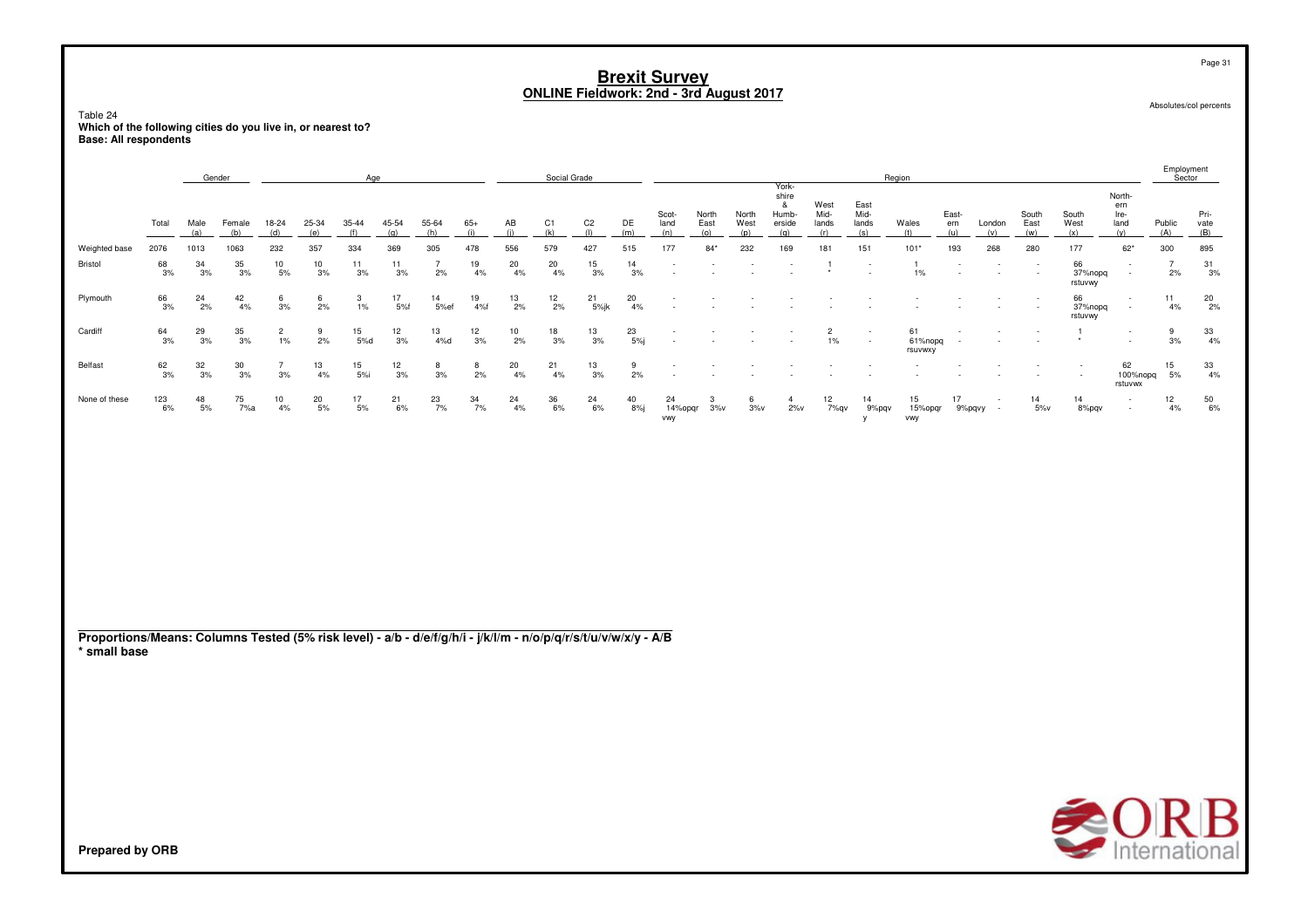Page 31

Absolutes/col percents

Table 24**Which of the following cities do you live in, or nearest to? Base: All respondents**

|               |                 |                  | Gender                                   |                         |                  | Age              |                  |                |                  |                  | Social Grade    |                  |                           |                          |                      |               | York-                               |                         |                              | Region                   |                  |                          |                                                      |                          |                                    | Employment<br>Sector |                     |
|---------------|-----------------|------------------|------------------------------------------|-------------------------|------------------|------------------|------------------|----------------|------------------|------------------|-----------------|------------------|---------------------------|--------------------------|----------------------|---------------|-------------------------------------|-------------------------|------------------------------|--------------------------|------------------|--------------------------|------------------------------------------------------|--------------------------|------------------------------------|----------------------|---------------------|
|               | Total           | Male<br>(a)      |                                          |                         | 25-34            |                  |                  |                | 65+              | AB               | C <sub>1</sub>  | C <sub>2</sub>   | DE<br>(m)                 | Scot-<br>land<br>(n)     | North<br>East<br>(0) | North<br>West | shire<br>&<br>Humb<br>erside<br>(a) | West<br>Mid-<br>lands   | East<br>Mid-<br>lands<br>(s) | Wales                    | East-<br>ern     | London                   | South<br>East                                        | South<br>West<br>(x)     | North-<br>ern<br>Ire-<br>land      | Public<br>(A)        | Pri-<br>vate<br>(B) |
| Weighted base | 2076            | 1013             | 1063                                     | 232                     | 357              | 334              | 369              | 305            | 478              | 556              | 579             | 427              | 515                       | 177                      | $84*$                | 232           | 169                                 | 181                     | 151                          | $101*$                   | 193              | 268                      | 280                                                  | 177                      | $62*$                              | 300                  | 895                 |
| Bristol       | 68<br>3%        | 34<br>3%         | $\begin{array}{c} 35 \\ 3\% \end{array}$ | $\frac{10}{5\%}$        | $\frac{10}{3\%}$ | $\frac{11}{3\%}$ | 11<br>3%         | 2%             | $\frac{19}{4%}$  | $^{20}_{4\%}$    | $^{20}_{4\%}$   | $\frac{15}{3\%}$ | 14<br>3%                  | $\overline{\phantom{a}}$ |                      |               |                                     |                         | $\sim$                       | $1\%$                    | $\sim$<br>$\sim$ |                          | $\overline{\phantom{a}}$<br>$\overline{\phantom{a}}$ | 66<br>37%nopg<br>rstuvwy | $\overline{\phantom{a}}$<br>$\sim$ | 2%                   | 31<br>3%            |
| Plymouth      | 66<br>3%        | 24<br>2%         | 42<br>4%                                 | 6<br>3%                 | 6<br>2%          | 3<br>$1\%$       | 17<br>5%         | 14<br>5%ef     | 19<br>4%f        | 13<br>2%         | 12<br>2%        | 21<br>5%jk       | 20<br>4%                  |                          |                      |               |                                     |                         |                              |                          |                  | $\overline{\phantom{a}}$ | $\sim$                                               | 66<br>37%nopg<br>rstuvwy | $\sim$<br>$\sim$                   | 11<br>4%             | $^{20}_{2\%}$       |
| Cardiff       | $\frac{64}{3%}$ | $\frac{29}{3%}$  | $\frac{35}{3\%}$                         | $\overline{c}$<br>$1\%$ | $\frac{9}{2\%}$  | 15<br>5%d        | $\frac{12}{3\%}$ | 13<br>4%d      | $\frac{12}{3\%}$ | $\frac{10}{2\%}$ | $\frac{18}{3%}$ | $\frac{13}{3\%}$ | 23<br>5%j                 | . .                      |                      |               |                                     | $\overline{c}$<br>$1\%$ | $\sim$                       | 61<br>61%nopg<br>rsuvwxy |                  |                          |                                                      |                          | $\sim$                             | 9<br>3%              | $\frac{33}{4\%}$    |
| Belfast       | $\frac{62}{3%}$ | $\frac{32}{3\%}$ | $\frac{30}{3\%}$                         | 3%                      | $\frac{13}{4\%}$ | 15<br>5%i        | $\frac{12}{3\%}$ | $\frac{8}{3%}$ | 8<br>2%          | 20<br>4%         | 21<br>4%        | $\frac{13}{3\%}$ | 9<br>2%                   |                          |                      |               |                                     |                         |                              |                          |                  |                          |                                                      | $\overline{\phantom{a}}$ | 62<br>100%nopq<br>rstuvwx          | 15<br>5%             | 33<br>4%            |
| None of these | 123<br>6%       | 48<br>5%         | 75<br>7%a                                | $\frac{10}{4\%}$        | $^{20}_{\ 5\%}$  | $\frac{17}{5\%}$ | $^{21}_{6\%}$    | $^{23}_{7\%}$  | 34<br>7%         | $^{24}_{4\%}$    | 36<br>6%        | $^{24}_{6\%}$    | $^{40}_{\phantom{1}8\%j}$ | 24<br>14%opqr<br>vwy     | 3%v                  | 6<br>3%v      | $2\%$                               | 12<br>7%qv              | 14<br>9%pqv                  | 15<br>15%opgr<br>vwy     | 17<br>9%pqvy     |                          | 14<br>5%v                                            | 14<br>8%pqv              | $\overline{\phantom{a}}$<br>$\sim$ | 12<br>4%             | $\frac{50}{6\%}$    |
|               |                 |                  |                                          |                         |                  |                  |                  |                |                  |                  |                 |                  |                           |                          |                      |               |                                     |                         |                              |                          |                  |                          |                                                      |                          |                                    |                      |                     |

**Proportions/Means: Columns Tested (5% risk level) - a/b - d/e/f/g/h/i - j/k/l/m - n/o/p/q/r/s/t/u/v/w/x/y - A/B\* small base**

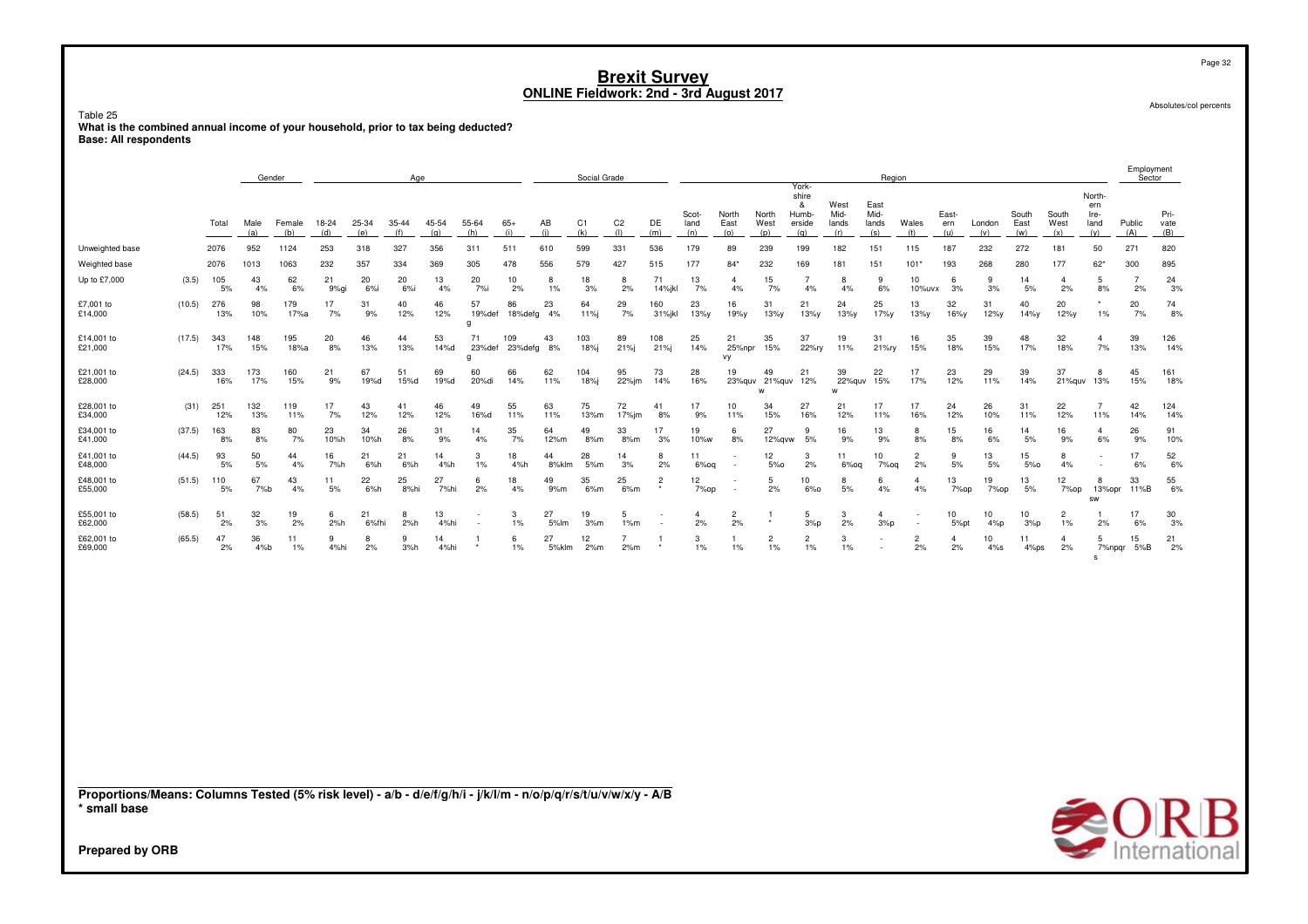Table 25 nuou <u>co</u><br>What is the combined annual income of your household, prior to tax being deducted?<br>Base: All respondents

|                                                                                                                                                    |        |            |             | Gender        |              |              | Age          |              |                   |                |             | Social Grade |                       |                |                      |                      |                      |                                               |                              | Region                       |                      |                      |               |                      |                      |                                      | Employment<br>Sector |                                     |
|----------------------------------------------------------------------------------------------------------------------------------------------------|--------|------------|-------------|---------------|--------------|--------------|--------------|--------------|-------------------|----------------|-------------|--------------|-----------------------|----------------|----------------------|----------------------|----------------------|-----------------------------------------------|------------------------------|------------------------------|----------------------|----------------------|---------------|----------------------|----------------------|--------------------------------------|----------------------|-------------------------------------|
|                                                                                                                                                    |        | Total      | Male<br>(a) | Female<br>(b) | 18-24<br>(d) | 25-34<br>(e) | 35-44<br>(f) | 45-54<br>(q) | 55-64<br>(h)      | $65+$<br>(i)   | AB<br>(i)   | C1<br>(k)    | C <sub>2</sub><br>(1) | DE<br>(m)      | Scot-<br>land<br>(n) | North<br>East<br>(o) | North<br>West<br>(p) | York-<br>shire<br>&<br>Humb-<br>erside<br>(q) | West<br>Mid-<br>lands<br>(r) | East<br>Mid-<br>lands<br>(s) | Wales<br>(t)         | East-<br>ern<br>(u)  | London<br>(v) | South<br>East<br>(w) | South<br>West<br>(x) | North-<br>ern<br>Ire-<br>land<br>(y) | Public<br>(A)        | Pri-<br>vate<br>(B)                 |
| Unweighted base                                                                                                                                    |        | 2076       | 952         | 1124          | 253          | 318          | 327          | 356          | 311               | 511            | 610         | 599          | 331                   | 536            | 179                  | 89                   | 239                  | 199                                           | 182                          | 151                          | 115                  | 187                  | 232           | 272                  | 181                  | 50                                   | 271                  | 820                                 |
| Weighted base                                                                                                                                      |        | 2076       | 1013        | 1063          | 232          | 357          | 334          | 369          | 305               | 478            | 556         | 579          | 427                   | 515            | 177                  | $84*$                | 232                  | 169                                           | 181                          | 151                          | $101*$               | 193                  | 268           | 280                  | 177                  | $62*$                                | 300                  | 895                                 |
| Up to £7,000                                                                                                                                       | (3.5)  | 105<br>5%  | 43<br>4%    | 62<br>6%      | 21<br>9%gi   | 20<br>6%     | 20<br>6%     | 13<br>4%     | 20<br>7%i         | 10<br>2%       | 8<br>1%     | 18<br>3%     | 8<br>2%               | 71<br>14%jkl   | 13<br>7%             | $\overline{a}$<br>4% | 15<br>7%             | $\overline{7}$<br>4%                          | 8<br>4%                      | 9<br>6%                      | 10<br>10%uvx         | 6<br>3%              | 9<br>3%       | 14<br>5%             | $\overline{4}$<br>2% | 5<br>8%                              | $\overline{7}$<br>2% | 24<br>3%                            |
| £7,001 to<br>£14,000                                                                                                                               | (10.5) | 276<br>13% | 98<br>10%   | 179<br>17%a   | 17<br>7%     | 31<br>9%     | 40<br>12%    | 46<br>12%    | 57<br>19%def<br>a | 86<br>18%defg  | 23<br>4%    | 64<br>11%j   | 29<br>7%              | 160<br>31%jkl  | 23<br>13%y           | 16<br>19%y           | 31<br>13%y           | 21<br>$13\%y$                                 | 24<br>13%у                   | 25<br>17%y                   | 13<br>13%y           | 32<br>16%y           | 31<br>12%y    | 40<br>$14\%y$        | 20<br>12%y           | $\star$<br>1%                        | 20<br>7%             | 74<br>8%                            |
| £14,001 to<br>£21,000                                                                                                                              | (17.5) | 343<br>17% | 148<br>15%  | 195<br>18%a   | 20<br>8%     | 46<br>13%    | 44<br>13%    | 53<br>14%d   | 71<br>23%def<br>q | 109<br>23%defg | 43<br>8%    | 103<br>18%j  | 89<br>21%             | 108<br>21%j    | 25<br>14%            | 21<br>25%npr<br>vy   | 35<br>15%            | 37<br>22%ry                                   | 19<br>11%                    | 31<br>21%ry                  | 16<br>15%            | 35<br>18%            | 39<br>15%     | 48<br>17%            | 32<br>18%            | 4<br>7%                              | 39<br>13%            | 126<br>14%                          |
| £21,001 to<br>£28,000                                                                                                                              | (24.5) | 333<br>16% | 173<br>17%  | 160<br>15%    | 21<br>9%     | 67<br>19%d   | 51<br>15%d   | 69<br>19%d   | 60<br>20%di       | 66<br>14%      | 62<br>11%   | 104<br>18%j  | 95<br>22%jm           | 73<br>14%      | 28<br>16%            | 19<br>23%quv         | 49<br>21%quv<br>W    | 21<br>12%                                     | 39<br>22%quv<br>w            | 22<br>15%                    | 17<br>17%            | 23<br>12%            | 29<br>11%     | 39<br>14%            | 37<br>21%quv         | 8<br>13%                             | 45<br>15%            | 161<br>18%                          |
| £28,001 to<br>£34,000                                                                                                                              | (31)   | 251<br>12% | 132<br>13%  | 119<br>11%    | 17<br>7%     | 43<br>12%    | 41<br>12%    | 46<br>12%    | 49<br>16%d        | 55<br>11%      | 63<br>11%   | 75<br>13%m   | 72<br>$17%$ im        | 41<br>8%       | 17<br>9%             | 10<br>11%            | 34<br>15%            | 27<br>16%                                     | 21<br>12%                    | 17<br>11%                    | 17<br>16%            | 24<br>12%            | 26<br>10%     | 31<br>11%            | 22<br>12%            | $\overline{7}$<br>11%                | 42<br>14%            | 124<br>14%                          |
| £34,001 to<br>£41,000                                                                                                                              | (37.5) | 163<br>8%  | 83<br>8%    | 80<br>7%      | 23<br>10%h   | 34<br>10%h   | 26<br>8%     | 31<br>9%     | 14<br>4%          | 35<br>7%       | 64<br>12%m  | 49<br>8%m    | 33<br>8%m             | 17<br>3%       | 19<br>10%w           | 6<br>8%              | 27<br>12%qvw         | 9<br>5%                                       | 16<br>9%                     | 13<br>9%                     | 8<br>8%              | 15<br>8%             | 16<br>6%      | 14<br>5%             | 16<br>9%             | $\overline{a}$<br>6%                 | 26<br>9%             | 91<br>10%                           |
| £41,001 to<br>£48,000                                                                                                                              | (44.5) | 93<br>5%   | 50<br>5%    | 44<br>4%      | 16<br>7%h    | 21<br>6%h    | 21<br>6%h    | 14<br>4%h    | 3<br>$1\%$        | 18<br>4%h      | 44<br>8%klm | 28<br>5%m    | 14<br>3%              | 8<br>2%        | 11<br>$6%$ oq        |                      | 12<br>5%             | 3<br>2%                                       | 11<br>$6\%$ oq               | 10<br>7%oq                   | $\overline{2}$<br>2% | 9<br>5%              | 13<br>5%      | 15<br>$5%$ o         | 8<br>4%              |                                      | 17<br>6%             | 52<br>6%                            |
| £48,001 to<br>£55,000                                                                                                                              | (51.5) | 110<br>5%  | 67<br>7%b   | 43<br>4%      | 11<br>5%     | 22<br>6%h    | 25<br>8%hi   | 27<br>7%hi   | 6<br>2%           | 18<br>4%       | 49<br>9%m   | 35<br>6%m    | 25<br>6%m             | $\overline{2}$ | 12<br>7%op           |                      | 5<br>2%              | 10 <sup>10</sup><br>6%                        | 8<br>5%                      | 6<br>4%                      | $\mathbf{4}$<br>4%   | 13<br>7%op           | 19<br>7%op    | 13<br>5%             | 12<br>7%op           | 8<br>13%opr<br>SW                    | 33<br>11%B           | 55<br>6%                            |
| £55,001 to<br>£62,000                                                                                                                              | (58.5) | 51<br>2%   | 32<br>3%    | 19<br>2%      | 6<br>2%h     | 21<br>6%fhi  | 8<br>2%h     | 13<br>4%hi   |                   | 3<br>1%        | 27<br>5%lm  | 19<br>3%m    | 5<br>1%m              |                | $\overline{4}$<br>2% | $\overline{2}$<br>2% |                      | 5<br>3%p                                      | 3<br>2%                      | $\overline{4}$<br>3%p        |                      | 10<br>5%pt           | 10<br>4%p     | 10<br>3%р            | $\overline{2}$<br>1% | 2%                                   | 17<br>6%             | 30<br>3%                            |
| £62,001 to<br>£69,000                                                                                                                              | (65.5) | 47<br>2%   | 36<br>4%b   | 11<br>1%      | 9<br>4%hi    | 8<br>2%      | 9<br>3%h     | 14<br>4%hi   |                   | 6<br>1%        | 27<br>5%klm | 12<br>2%m    | $\overline{7}$<br>2%m |                | 3<br>$1\%$           | 1%                   | $\overline{c}$<br>1% | $\overline{2}$<br>1%                          | 3<br>1%                      | $\overline{\phantom{a}}$     | $\overline{2}$<br>2% | $\overline{4}$<br>2% | 10<br>$4\%s$  | 11<br>4%ps           | 4<br>2%              | .5<br>7%npqr<br>s                    | 15<br>5%B            | 21<br>2%                            |
|                                                                                                                                                    |        |            |             |               |              |              |              |              |                   |                |             |              |                       |                |                      |                      |                      |                                               |                              |                              |                      |                      |               |                      |                      |                                      |                      |                                     |
| Proportions/Means: Columns Tested (5% risk level) - a/b - d/e/f/g/h/i - j/k/l/m - n/o/p/q/r/s/t/u/v/w/x/y - A/B<br>* small base<br>Prepared by ORB |        |            |             |               |              |              |              |              |                   |                |             |              |                       |                |                      |                      |                      |                                               |                              |                              |                      |                      |               |                      |                      |                                      |                      | $\bigotimes_{\text{International}}$ |

Page 32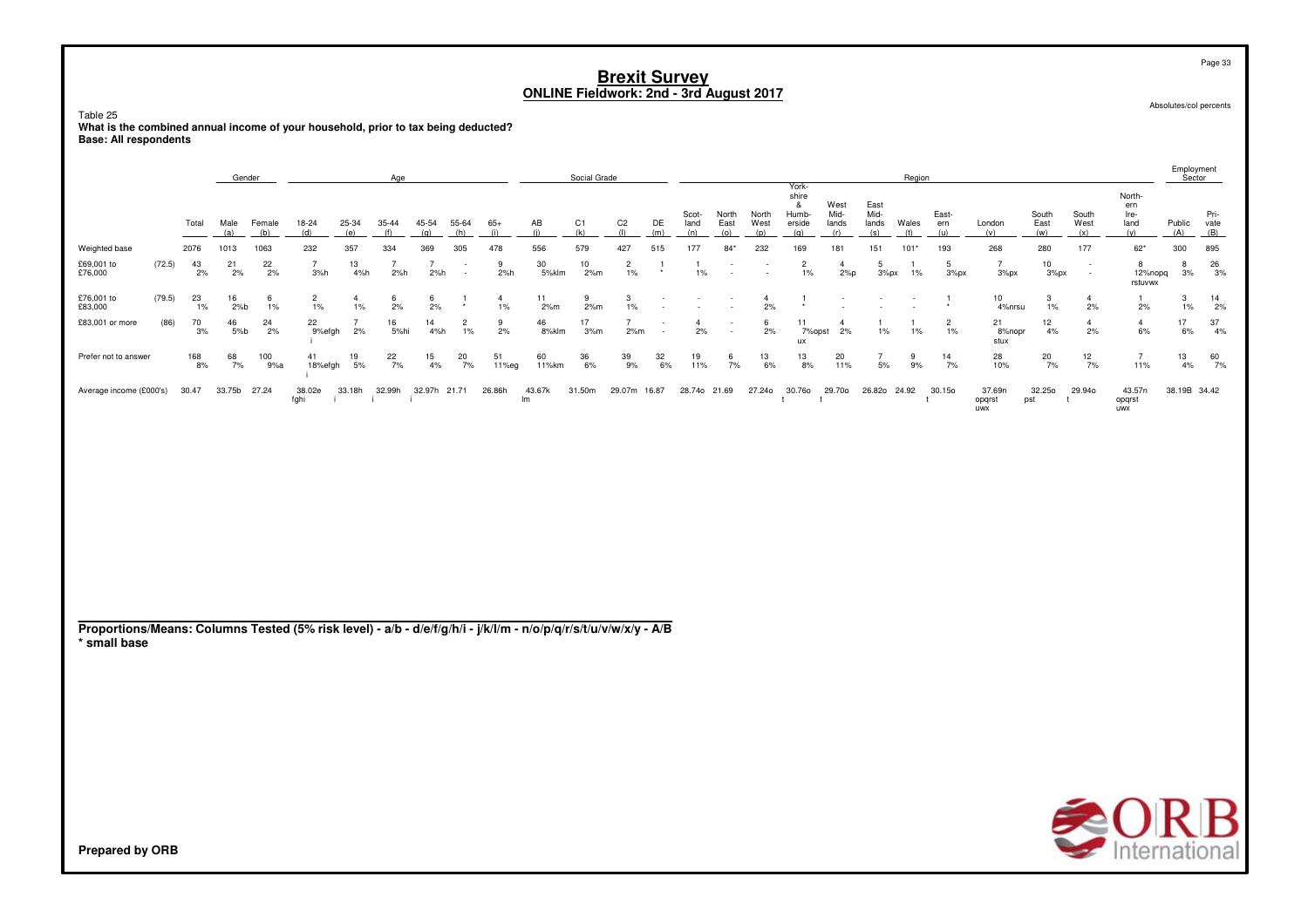Table 25

nuou <u>co</u><br>What is the combined annual income of your household, prior to tax being deducted?<br>Base: All respondents

|                                                                                                                                 |        |             | Gender       |               |                         |                      | Age                   |                       |                          |                      |              | Social Grade          |                         |           |                      |                                                      |                      |                                               |                              |                              | Region       |                      |                         |                      |                      |                                      | Employment<br>Sector |                     |
|---------------------------------------------------------------------------------------------------------------------------------|--------|-------------|--------------|---------------|-------------------------|----------------------|-----------------------|-----------------------|--------------------------|----------------------|--------------|-----------------------|-------------------------|-----------|----------------------|------------------------------------------------------|----------------------|-----------------------------------------------|------------------------------|------------------------------|--------------|----------------------|-------------------------|----------------------|----------------------|--------------------------------------|----------------------|---------------------|
|                                                                                                                                 |        | Total       | Male<br>(a)  | Female<br>(b) | 18-24<br>(d)            | 25-34<br>(e)         | 35-44<br>(f)          | 45-54<br>(q)          | 55-64<br>(h)             | $65+$<br>(i)         | AB<br>(i)    | C <sub>1</sub><br>(k) | C <sub>2</sub><br>(1)   | DE<br>(m) | Scot-<br>land<br>(n) | North<br>East<br>(o)                                 | North<br>West<br>(p) | York-<br>shire<br>&<br>Humb-<br>erside<br>(q) | West<br>Mid-<br>lands<br>(r) | East<br>Mid-<br>lands<br>(s) | Wales<br>(t) | East-<br>ern<br>(u)  | London<br>(v)           | South<br>East<br>(w) | South<br>West<br>(x) | North-<br>ern<br>Ire-<br>land<br>(y) | Public<br>(A)        | Pri-<br>vate<br>(B) |
| Weighted base                                                                                                                   |        | 2076        | 1013         | 1063          | 232                     | 357                  | 334                   | 369                   | 305                      | 478                  | 556          | 579                   | 427                     | 515       | 177                  | $84*$                                                | 232                  | 169                                           | 181                          | 151                          | $101*$       | 193                  | 268                     | 280                  | 177                  | $62*$                                | 300                  | 895                 |
| £69,001 to<br>£76,000                                                                                                           | (72.5) | 43<br>2%    | 21<br>2%     | 22<br>2%      | $\overline{7}$<br>3%h   | 13<br>4%h            | $\overline{7}$<br>2%h | $\overline{7}$<br>2%h | $\overline{\phantom{a}}$ | 9<br>2%h             | 30<br>5%klm  | 10<br>2%m             | $\overline{c}$<br>$1\%$ |           | -1.<br>$1\%$         | $\overline{\phantom{a}}$<br>$\overline{\phantom{a}}$ |                      | $\overline{c}$<br>$1\%$                       | $\overline{4}$<br>2%p        | 5<br>3%px                    | $1\%$        | 5<br>3%px            | $\overline{7}$<br>3%px  | $10\,$<br>3%px       | $\sim$               | 8<br>12%nopq<br>rstuvwx              | 8<br>3%              | 26<br>3%            |
| £76,001 to<br>£83,000                                                                                                           | (79.5) | 23<br>$1\%$ | 16<br>2%b    | 6<br>1%       | $\overline{c}$<br>$1\%$ | $\overline{4}$<br>1% | 6<br>2%               | 6<br>2%               | $\overline{1}$           | $\overline{4}$<br>1% | 11<br>2%m    | 9<br>2%m              | 3<br>1%                 |           |                      | $\overline{\phantom{a}}$                             | $\overline{4}$<br>2% | $\overline{1}$                                |                              | $\overline{\phantom{a}}$     |              |                      | 10<br>4%nrsu            | 3<br>1%              | $\overline{4}$<br>2% | $\mathbf{1}$<br>2%                   | 3<br>1%              | 14<br>2%            |
| £83,001 or more                                                                                                                 | (86)   | 70<br>3%    | 46<br>$5%$ b | 24<br>2%      | 22<br>9%efgh            | $\overline{7}$<br>2% | 16<br>5%hi            | 14<br>4%h             | $\overline{c}$<br>1%     | 9<br>2%              | 46<br>8%klm  | 17<br>3%m             | $\overline{7}$<br>2%m   |           | $\mathbf{A}$<br>2%   | $\overline{\phantom{a}}$                             | 6<br>2%              | 11<br>7%opst<br>ux                            | $\overline{4}$<br>2%         | -1<br>$1\%$                  | -1<br>1%     | $\overline{2}$<br>1% | 21<br>8%nopr<br>stux    | 12<br>4%             | $\overline{4}$<br>2% | $\overline{4}$<br>6%                 | 17<br>6%             | 37<br>4%            |
| Prefer not to answer                                                                                                            |        | 168<br>8%   | 68<br>7%     | 100<br>9%a    | 41<br>18%efgh           | 19<br>5%             | 22<br>7%              | 15<br>4%              | 20<br>7%                 | 51<br>11%eg          | 60<br>11%km  | 36<br>6%              | 39<br>9%                | 32<br>6%  | 19<br>11%            | 6<br>7%                                              | 13<br>6%             | 13<br>8%                                      | 20<br>11%                    | $\overline{7}$<br>5%         | 9<br>9%      | 14<br>7%             | 28<br>10%               | 20<br>7%             | 12<br>7%             | $\overline{7}$<br>11%                | 13<br>4%             | 60<br>7%            |
| Average income (£000's)                                                                                                         |        | 30.47       | 33.75b 27.24 |               | 38.02e<br>fghi          | 33.18h<br>-i -       | 32.99h<br>- i<br>-i   | 32.97h 21.71          |                          | 26.86h               | 43.67k<br>Im | 31.50m                | 29.07m 16.87            |           | 28.740 21.69         |                                                      | 27.240               | 30.760<br>$\mathsf{t}$                        | 29.70o<br>t                  | 26.82o 24.92                 |              | 30.15o<br>t          | 37.69n<br>opqrst<br>uwx | 32.250<br>pst        | 29.940<br>t          | 43.57n<br>opqrst<br>uwx              | 38.19B 34.42         |                     |
| Proportions/Means: Columns Tested (5% risk level) - a/b - d/e/f/g/h/i - j/k/l/m - n/o/p/q/r/s/t/u/v/w/x/y - A/B<br>* small base |        |             |              |               |                         |                      |                       |                       |                          |                      |              |                       |                         |           |                      |                                                      |                      |                                               |                              |                              |              |                      |                         |                      |                      |                                      |                      |                     |
|                                                                                                                                 |        |             |              |               |                         |                      |                       |                       |                          |                      |              |                       |                         |           |                      |                                                      |                      |                                               |                              |                              |              |                      |                         |                      |                      | $\bigotimes_{\text{International}}$  |                      |                     |
| <b>Prepared by ORB</b>                                                                                                          |        |             |              |               |                         |                      |                       |                       |                          |                      |              |                       |                         |           |                      |                                                      |                      |                                               |                              |                              |              |                      |                         |                      |                      |                                      |                      |                     |

Page 33